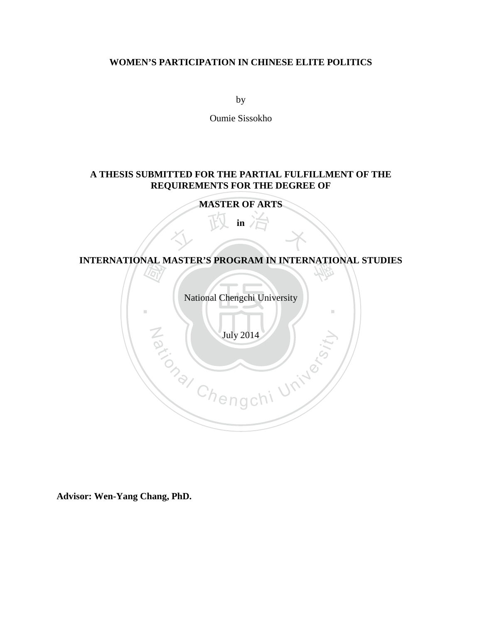#### **WOMEN'S PARTICIPATION IN CHINESE ELITE POLITICS**

by

Oumie Sissokho

#### **A THESIS SUBMITTED FOR THE PARTIAL FULFILLMENT OF THE REQUIREMENTS FOR THE DEGREE OF**

**MASTER OF ARTS**

文 政 的 文 **in**

# **DEATH** 學 **INTERNATIONAL MASTER'S PROGRAM IN INTERNATIONAL STUDIES**

National Chengchi University

‧

Nuly 2014

**Advisor: Wen-Yang Chang, PhD.**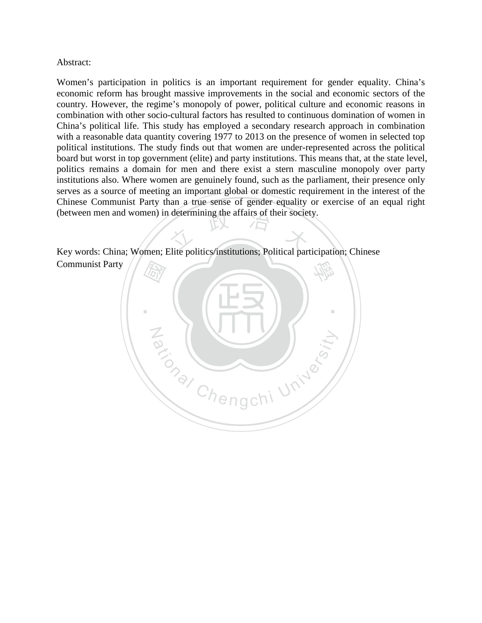#### Abstract:

(between men and women) in determining the affairs of their society.<br>
Key words: China: Women: Elite politics/institutions: Political pertici Women's participation in politics is an important requirement for gender equality. China's economic reform has brought massive improvements in the social and economic sectors of the country. However, the regime's monopoly of power, political culture and economic reasons in combination with other socio-cultural factors has resulted to continuous domination of women in China's political life. This study has employed a secondary research approach in combination with a reasonable data quantity covering 1977 to 2013 on the presence of women in selected top political institutions. The study finds out that women are under-represented across the political board but worst in top government (elite) and party institutions. This means that, at the state level, politics remains a domain for men and there exist a stern masculine monopoly over party institutions also. Where women are genuinely found, such as the parliament, their presence only serves as a source of meeting an important global or domestic requirement in the interest of the Chinese Communist Party than a true sense of gender equality or exercise of an equal right

Key words: China; Women; Elite politics/institutions; Political participation; Chinese Communist Party

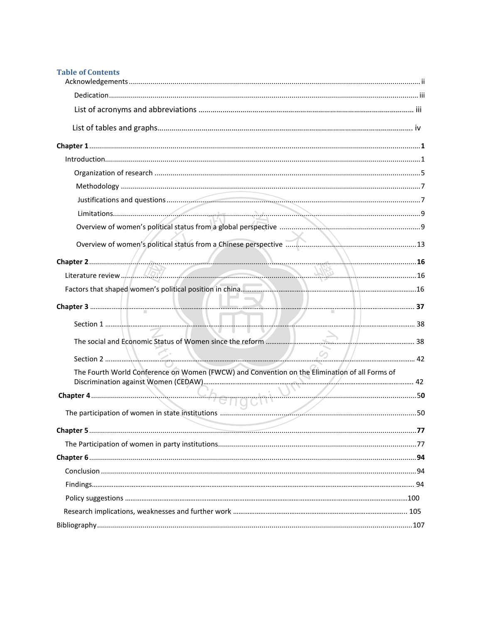| <b>Table of Contents</b> |
|--------------------------|
|--------------------------|

| Section 1 $\frac{1}{2}$ 38                                                                    |  |
|-----------------------------------------------------------------------------------------------|--|
|                                                                                               |  |
| Section 2                                                                                     |  |
| The Fourth World Conference on Women (FWCW) and Convention on the Elimination of all Forms of |  |
|                                                                                               |  |
|                                                                                               |  |
|                                                                                               |  |
|                                                                                               |  |
|                                                                                               |  |
|                                                                                               |  |
|                                                                                               |  |
|                                                                                               |  |
|                                                                                               |  |
|                                                                                               |  |
|                                                                                               |  |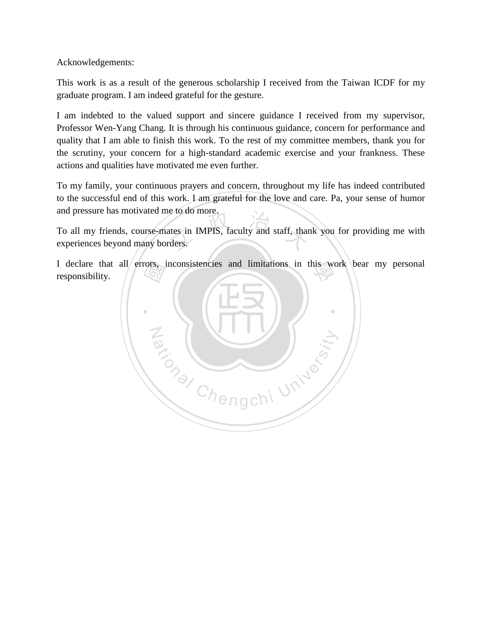Acknowledgements:

This work is as a result of the generous scholarship I received from the Taiwan ICDF for my graduate program. I am indeed grateful for the gesture.

I am indebted to the valued support and sincere guidance I received from my supervisor, Professor Wen-Yang Chang. It is through his continuous guidance, concern for performance and quality that I am able to finish this work. To the rest of my committee members, thank you for the scrutiny, your concern for a high-standard academic exercise and your frankness. These actions and qualities have motivated me even further.

To my family, your continuous prayers and concern, throughout my life has indeed contributed to the successful end of this work. I am grateful for the love and care. Pa, your sense of humor and pressure has motivated me to do more.

ates in IMPIS, faculty and staff, than<br>rders. To all my friends, course-mates in IMPIS, faculty and staff, thank you for providing me with experiences beyond many borders.

responsibility.

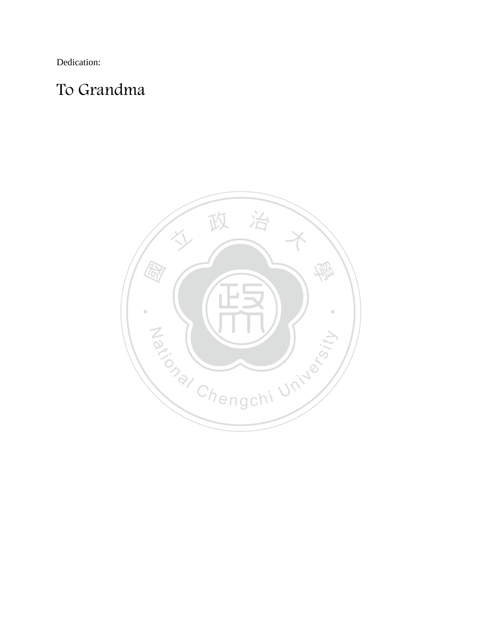Dedication:

## To Grandma

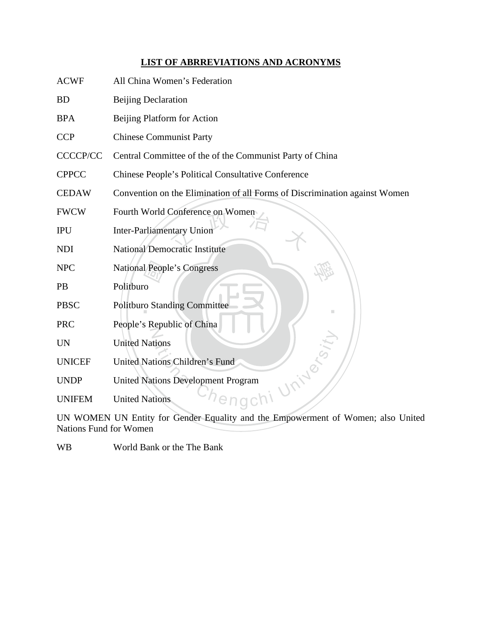### **LIST OF ABRREVIATIONS AND ACRONYMS**

| <b>ACWF</b>     | All China Women's Federation                                               |
|-----------------|----------------------------------------------------------------------------|
| <b>BD</b>       | <b>Beijing Declaration</b>                                                 |
| <b>BPA</b>      | Beijing Platform for Action                                                |
| <b>CCP</b>      | <b>Chinese Communist Party</b>                                             |
| <b>CCCCP/CC</b> | Central Committee of the of the Communist Party of China                   |
| <b>CPPCC</b>    | <b>Chinese People's Political Consultative Conference</b>                  |
| <b>CEDAW</b>    | Convention on the Elimination of all Forms of Discrimination against Women |
| <b>FWCW</b>     | Fourth World Conference on Women                                           |
| <b>IPU</b>      | <b>Inter-Parliamentary Union</b>                                           |
| <b>NDI</b>      | <b>National Democratic Institute</b>                                       |
| <b>NPC</b>      | <b>National People's Congress</b>                                          |
| <b>PB</b>       | Politburo                                                                  |
| <b>PBSC</b>     | <b>Politburo Standing Committee</b>                                        |
| <b>PRC</b>      | People's Republic of China                                                 |
| <b>UN</b>       | <b>United Nations</b>                                                      |
| <b>UNICEF</b>   | <b>United Nations Children's Fund</b>                                      |
| <b>UNDP</b>     | United Nations Development Program                                         |
| <b>UNIFEM</b>   | <b>United Nations</b>                                                      |
|                 |                                                                            |

UN WOMEN UN Entity for Gender Equality and the Empowerment of Women; also United Nations Fund for Women

WB World Bank or the The Bank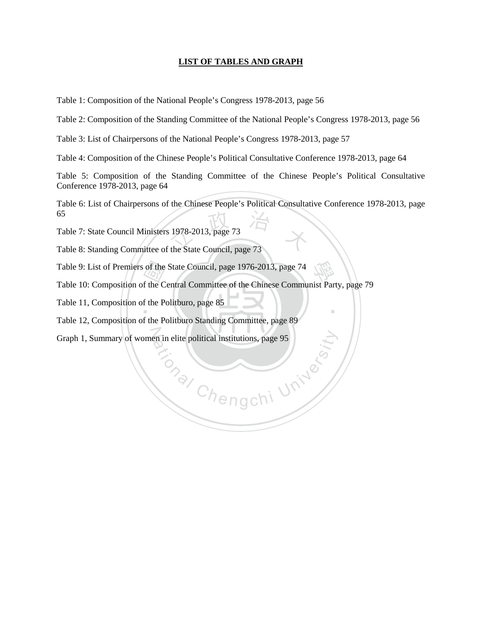#### **LIST OF TABLES AND GRAPH**

Table 1: Composition of the National People's Congress 1978-2013, page 56

Table 2: Composition of the Standing Committee of the National People's Congress 1978-2013, page 56

Table 3: List of Chairpersons of the National People's Congress 1978-2013, page 57

Table 4: Composition of the Chinese People's Political Consultative Conference 1978-2013, page 64

Table 5: Composition of the Standing Committee of the Chinese People's Political Consultative Conference 1978-2013, page 64

Table 7: State Council Ministers 1978-2013, page 73<br>Table 8: Standing Committee of the State Council, page 73 Table 6: List of Chairpersons of the Chinese People's Political Consultative Conference 1978-2013, page 65

Chengchi University

‧

Table 7: State Council Ministers 1978-2013, page 73

Table 9: List of Premiers of the State Council, page 1976-2013, page 74<br>
Table 10: Composition of the Central Committee of the Chinese Commu<br>
Table 11, Composition of the Politburo, page 85<br>
Table 12, Composition of the Po Table 9: List of Premiers of the State Council, page 1976-2013, page 74<br>Table 10: Composition of the Central Committee of the Chinese Communist Party, page 79

Table 11, Composition of the Politburo, page 85

Table 12, Composition of the Politburo Standing Committee, page 89

N Graph 1, Summary of women in elite political institutions, page 95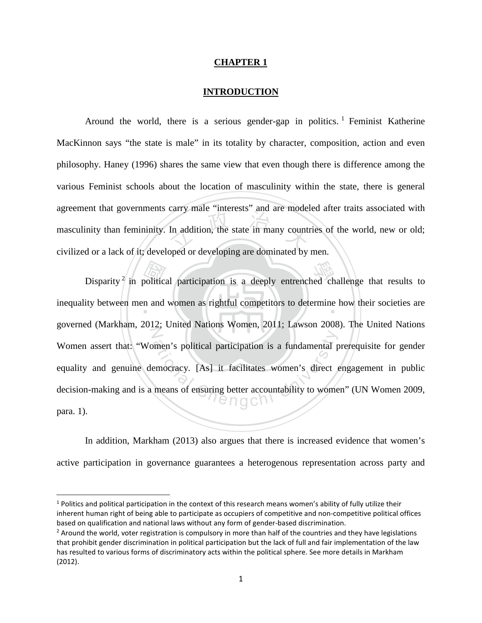#### **CHAPTER 1**

#### **INTRODUCTION**

In addition, the state in many country<br>and or developing are dominated by Around the world, there is a serious gender-gap in politics. <sup>[1](#page-7-0)</sup> Feminist Katherine MacKinnon says "the state is male" in its totality by character, composition, action and even philosophy. Haney (1996) shares the same view that even though there is difference among the various Feminist schools about the location of masculinity within the state, there is general agreement that governments carry male "interests" and are modeled after traits associated with masculinity than femininity. In addition, the state in many countries of the world, new or old; civilized or a lack of it; developed or developing are dominated by men.

Disparity<sup>[2](#page-7-1)</sup> in political participation is a deeply entrenched challenge that results to dity between men and women as rightful competitors to determine how their societies are inequality between men and women as rightful competitors to determine how their societies are Z men's political participation is a fundamental proporacy. [As] it facilitates women's direct energy means of ensuring better accountability to woment governed (Markham, 2012; United Nations Women, 2011; Lawson 2008). The United Nations Women assert that: "Women's political participation is a fundamental prerequisite for gender equality and genuine democracy. [As] it facilitates women's direct engagement in public decision-making and is a means of ensuring better accountability to women" (UN Women 2009, para. 1).

In addition, Markham (2013) also argues that there is increased evidence that women's active participation in governance guarantees a heterogenous representation across party and

<span id="page-7-0"></span><sup>&</sup>lt;sup>1</sup> Politics and political participation in the context of this research means women's ability of fully utilize their inherent human right of being able to participate as occupiers of competitive and non-competitive political offices based on qualification and national laws without any form of gender-based discrimination.

<span id="page-7-1"></span><sup>&</sup>lt;sup>2</sup> Around the world, voter registration is compulsory in more than half of the countries and they have legislations that prohibit gender discrimination in political participation but the lack of full and fair implementation of the law has resulted to various forms of discriminatory acts within the political sphere. See more details in Markham (2012).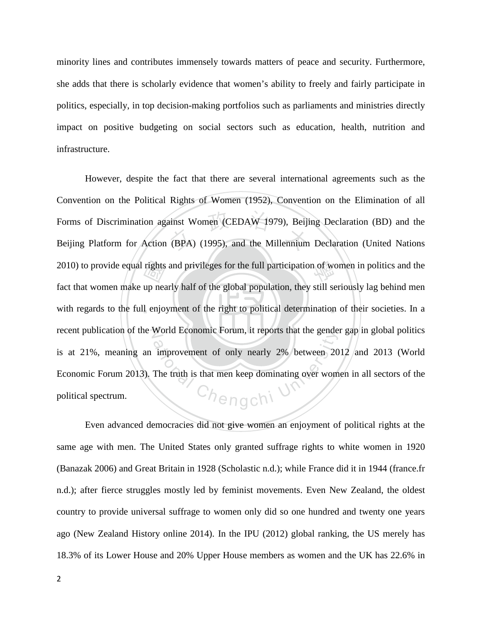minority lines and contributes immensely towards matters of peace and security. Furthermore, she adds that there is scholarly evidence that women's ability to freely and fairly participate in politics, especially, in top decision-making portfolios such as parliaments and ministries directly impact on positive budgeting on social sectors such as education, health, nutrition and infrastructure.

with regards to the full enjoyment of the right to political determination of their societies. In a 2010) to provide equal rights and privileges for the full participation of women in politics and the fact that women make up nearly half of the global population, they still seriously lag behind men with regards to the ful ainst Women (CEDAW 1979), Beiji<br>(BPA) (1995), and the Millennium recent publication of the World Economic Forum, it reports that the gender gap in global politics Chengchi \ However, despite the fact that there are several international agreements such as the Convention on the Political Rights of Women (1952), Convention on the Elimination of all Forms of Discrimination against Women (CEDAW 1979), Beijing Declaration (BD) and the Beijing Platform for Action (BPA) (1995), and the Millennium Declaration (United Nations fact that women make up nearly half of the global population, they still seriously lag behind men is at 21%, meaning an improvement of only nearly 2% between 2012 and 2013 (World Economic Forum 2013). The truth is that men keep dominating over women in all sectors of the political spectrum.

Even advanced democracies did not give women an enjoyment of political rights at the same age with men. The United States only granted suffrage rights to white women in 1920 (Banazak 2006) and Great Britain in 1928 (Scholastic n.d.); while France did it in 1944 (france.fr n.d.); after fierce struggles mostly led by feminist movements. Even New Zealand, the oldest country to provide universal suffrage to women only did so one hundred and twenty one years ago (New Zealand History online 2014). In the IPU (2012) global ranking, the US merely has 18.3% of its Lower House and 20% Upper House members as women and the UK has 22.6% in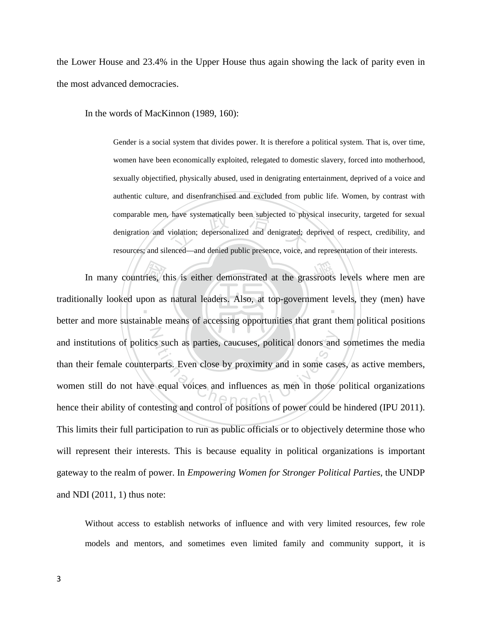the Lower House and 23.4% in the Upper House thus again showing the lack of parity even in the most advanced democracies.

In the words of MacKinnon (1989, 160):

have systematically been subjected to phy<br>violation; depersonalized and denigrated; d<br>enced—and denied public presence voice at Gender is a social system that divides power. It is therefore a political system. That is, over time, women have been economically exploited, relegated to domestic slavery, forced into motherhood, sexually objectified, physically abused, used in denigrating entertainment, deprived of a voice and authentic culture, and disenfranchised and excluded from public life. Women, by contrast with comparable men, have systematically been subjected to physical insecurity, targeted for sexual denigration and violation; depersonalized and denigrated; deprived of respect, credibility, and resources; and silenced—and denied public presence, voice, and representation of their interests.

In many countries, this is either demonstrated at the grassroots levels where men are nally looked upon as natural leaders. Also, at top-government levels, they (men) have not more sustainable means of accessing opportunit ‧ The such as parties, caucuses, political donors and<br>trparts. Even close by proximity and in some case<br>of equal voices and influences as men in those traditionally looked upon as natural leaders. Also, at top-government levels, they (men) have better and more sustainable means of accessing opportunities that grant them political positions and institutions of politics such as parties, caucuses, political donors and sometimes the media than their female counterparts. Even close by proximity and in some cases, as active members, women still do not have equal voices and influences as men in those political organizations hence their ability of contesting and control of positions of power could be hindered (IPU 2011). This limits their full participation to run as public officials or to objectively determine those who will represent their interests. This is because equality in political organizations is important gateway to the realm of power. In *Empowering Women for Stronger Political Parties*, the UNDP and NDI (2011, 1) thus note:

Without access to establish networks of influence and with very limited resources, few role models and mentors, and sometimes even limited family and community support, it is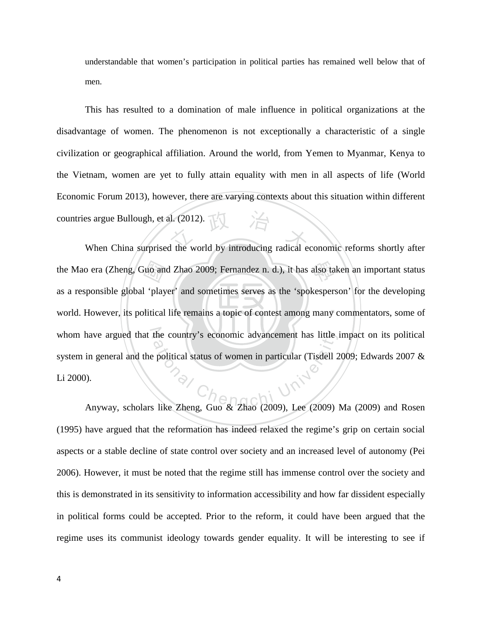understandable that women's participation in political parties has remained well below that of men.

External and Sullough, et al. (2012).<br>
When China surprised the world by introducing radical economic reforms shortly after This has resulted to a domination of male influence in political organizations at the disadvantage of women. The phenomenon is not exceptionally a characteristic of a single civilization or geographical affiliation. Around the world, from Yemen to Myanmar, Kenya to the Vietnam, women are yet to fully attain equality with men in all aspects of life (World Economic Forum 2013), however, there are varying contexts about this situation within different countries argue Bullough, et al. (2012).

world. However, its political life remains a topic of contest among many commentators, some of the Mao era (Zheng, Guo and Zhao 2009; Fernandez n. d.), it has also taken an important status<br>as a responsible global 'player' and sometimes serves as the 'spokesperson' for the developing<br>world. However, its political li whom have argued that the country's economic advancement has little impact on its political the country's economic advancement has little is<br>political status of women in particular (Tisdell 2 as a responsible global 'player' and sometimes serves as the 'spokesperson' for the developing system in general and the political status of women in particular (Tisdell 2009; Edwards 2007 & Li 2000).

Anyway, scholars like Zheng, Guo & Zhao (2009), Lee (2009) Ma (2009) and Rosen (1995) have argued that the reformation has indeed relaxed the regime's grip on certain social aspects or a stable decline of state control over society and an increased level of autonomy (Pei 2006). However, it must be noted that the regime still has immense control over the society and this is demonstrated in its sensitivity to information accessibility and how far dissident especially in political forms could be accepted. Prior to the reform, it could have been argued that the regime uses its communist ideology towards gender equality. It will be interesting to see if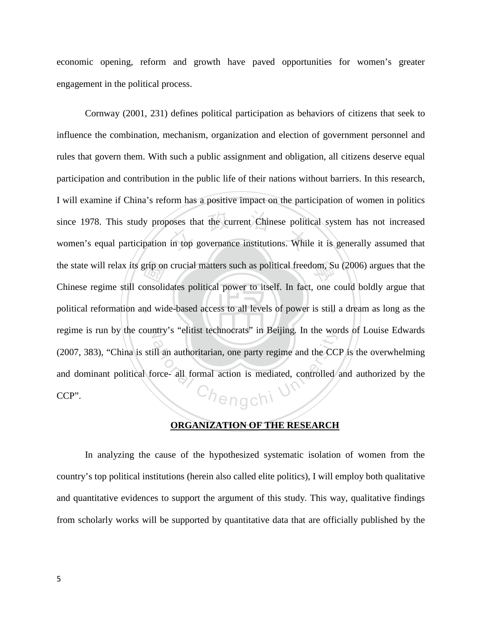economic opening, reform and growth have paved opportunities for women's greater engagement in the political process.

‧ 國 voses that the current Chinese polition<br>in top governance institutions. While the state will relax its grip on crucial matters such as political freedom, Su (2006) argues that the political reformation and wide-based access to all levels of power is still a dream as long as the regime is run by the country's "elitist technocrats" in Beijing. In the words of Louise Edwards The sense definition of the sense of the North University of the Controlled sense and the CCI<br>orce- all formal action is mediated, controlled Cornway (2001, 231) defines political participation as behaviors of citizens that seek to influence the combination, mechanism, organization and election of government personnel and rules that govern them. With such a public assignment and obligation, all citizens deserve equal participation and contribution in the public life of their nations without barriers. In this research, I will examine if China's reform has a positive impact on the participation of women in politics since 1978. This study proposes that the current Chinese political system has not increased women's equal participation in top governance institutions. While it is generally assumed that Chinese regime still consolidates political power to itself. In fact, one could boldly argue that (2007, 383), "China is still an authoritarian, one party regime and the CCP is the overwhelming and dominant political force- all formal action is mediated, controlled and authorized by the CCP".

#### **ORGANIZATION OF THE RESEARCH**

In analyzing the cause of the hypothesized systematic isolation of women from the country's top political institutions (herein also called elite politics), I will employ both qualitative and quantitative evidences to support the argument of this study. This way, qualitative findings from scholarly works will be supported by quantitative data that are officially published by the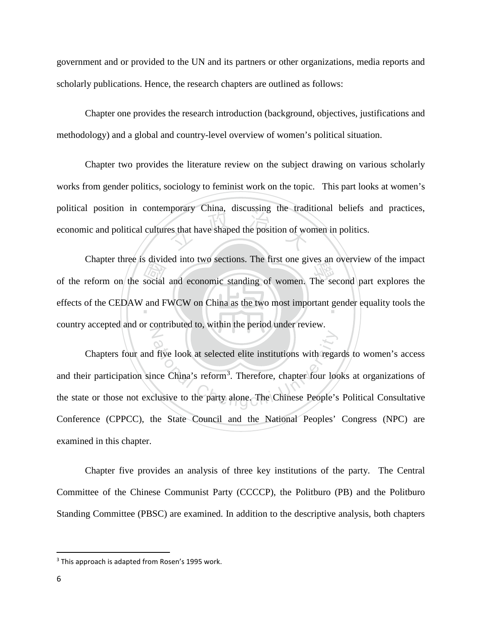government and or provided to the UN and its partners or other organizations, media reports and scholarly publications. Hence, the research chapters are outlined as follows:

Chapter one provides the research introduction (background, objectives, justifications and methodology) and a global and country-level overview of women's political situation.

es that have shaped the position of wo Chapter two provides the literature review on the subject drawing on various scholarly works from gender politics, sociology to feminist work on the topic. This part looks at women's political position in contemporary China, discussing the traditional beliefs and practices, economic and political cultures that have shaped the position of women in politics.

Example the reform on the social and economic standing of women. The second part explores the effects of the CEDAW and FWCW on China as the two most important gender equality tools the effects of the CEDAW and FWCW on China as the two most important gender equality tools the  $\overline{Z}$ Chapter three is divided into two sections. The first one gives an overview of the impact country accepted and or contributed to, within the period under review.

Five look at selected elite institutions with regard<br>ace China's reform<sup>3</sup>. Therefore, chapter four lock<br>clusive to the party alone. The Chinese People's Chapters four and five look at selected elite institutions with regards to women's access and their participation since China's reform<sup>[3](#page-12-0)</sup>. Therefore, chapter four looks at organizations of the state or those not exclusive to the party alone. The Chinese People's Political Consultative Conference (CPPCC), the State Council and the National Peoples' Congress (NPC) are examined in this chapter.

Chapter five provides an analysis of three key institutions of the party. The Central Committee of the Chinese Communist Party (CCCCP), the Politburo (PB) and the Politburo Standing Committee (PBSC) are examined. In addition to the descriptive analysis, both chapters

l

<span id="page-12-0"></span> $3$  This approach is adapted from Rosen's 1995 work.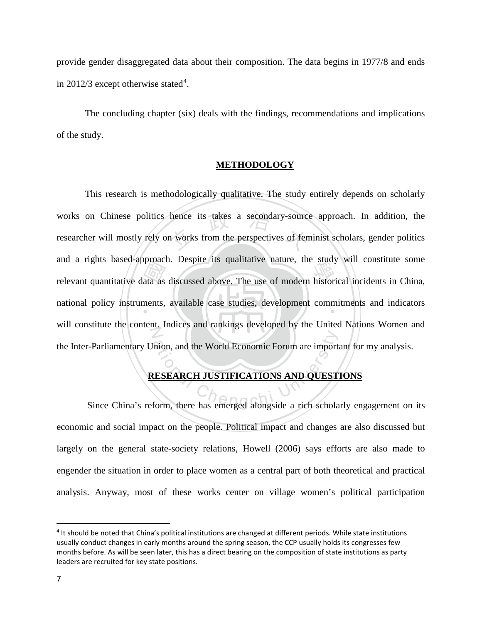provide gender disaggregated data about their composition. The data begins in 1977/8 and ends in 2012/3 except otherwise stated<sup>[4](#page-13-0)</sup>.

The concluding chapter (six) deals with the findings, recommendations and implications of the study.

#### **METHODOLOGY**

relevant quantitative data as discussed above. The use of modern historical incidents in China,<br>national policy instruments, available case studies, development commitments and indicators hence its takes a secondary-source<br>n works from the perspectives of fen national policy instruments, available case studies, development commitments and indicators N mion, and the World Economic Forum are imported<br> **ESEARCH JUSTIFICATIONS AND QUEST**<br>
Form, there has emerged alongside a rich schola This research is methodologically qualitative. The study entirely depends on scholarly works on Chinese politics hence its takes a secondary-source approach. In addition, the researcher will mostly rely on works from the perspectives of feminist scholars, gender politics and a rights based-approach. Despite its qualitative nature, the study will constitute some will constitute the content. Indices and rankings developed by the United Nations Women and the Inter-Parliamentary Union, and the World Economic Forum are important for my analysis.

#### **RESEARCH JUSTIFICATIONS AND QUESTIONS**

Since China's reform, there has emerged alongside a rich scholarly engagement on its economic and social impact on the people. Political impact and changes are also discussed but largely on the general state-society relations, Howell (2006) says efforts are also made to engender the situation in order to place women as a central part of both theoretical and practical analysis. Anyway, most of these works center on village women's political participation

<span id="page-13-0"></span><sup>4</sup> It should be noted that China's political institutions are changed at different periods. While state institutions usually conduct changes in early months around the spring season, the CCP usually holds its congresses few months before. As will be seen later, this has a direct bearing on the composition of state institutions as party leaders are recruited for key state positions.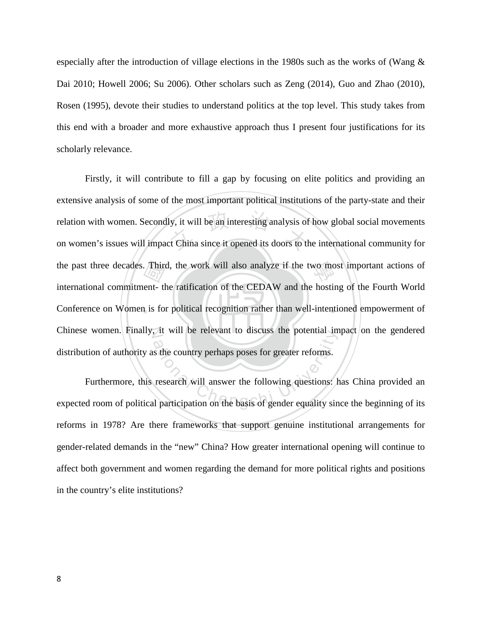especially after the introduction of village elections in the 1980s such as the works of (Wang  $\&$ Dai 2010; Howell 2006; Su 2006). Other scholars such as Zeng (2014), Guo and Zhao (2010), Rosen (1995), devote their studies to understand politics at the top level. This study takes from this end with a broader and more exhaustive approach thus I present four justifications for its scholarly relevance.

‧ $\frac{\sqrt{\text{F} \ln \text{F}}}{\text{F} \ln \text{F}}$ <br>ant-th<br>is for ly, it will be an interesting analysis of<br>ct China since it opened its doors to the the past three decades. Third, the work will also analyze if the two most important actions of Conference on Women is for political recognition rather than well-intentioned empowerment of Chinese women. Finally, it will be relevant to discuss the potential impact on the gendered Firstly, it will contribute to fill a gap by focusing on elite politics and providing an extensive analysis of some of the most important political institutions of the party-state and their relation with women. Secondly, it will be an interesting analysis of how global social movements on women's issues will impact China since it opened its doors to the international community for international commitment- the ratification of the CEDAW and the hosting of the Fourth World distribution of authority as the country perhaps poses for greater reforms.

The state of the country perhaps poses for greater reforms.<br>
The country perhaps poses for greater reforms.<br>
The cheap of general will answer the following questions: he participation on the basis of gender equality sin Furthermore, this research will answer the following questions: has China provided an expected room of political participation on the basis of gender equality since the beginning of its reforms in 1978? Are there frameworks that support genuine institutional arrangements for gender-related demands in the "new" China? How greater international opening will continue to affect both government and women regarding the demand for more political rights and positions in the country's elite institutions?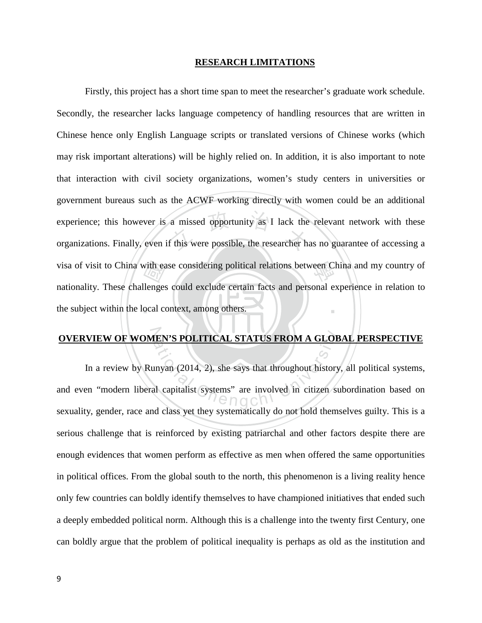#### **RESEARCH LIMITATIONS**

‧with ea<br>llenges<br>ocal co a missed opportunity as I lack the<br>f this were possible, the researcher has visa of visit to China with ease considering political relations between China and my country of ‧ Firstly, this project has a short time span to meet the researcher's graduate work schedule. Secondly, the researcher lacks language competency of handling resources that are written in Chinese hence only English Language scripts or translated versions of Chinese works (which may risk important alterations) will be highly relied on. In addition, it is also important to note that interaction with civil society organizations, women's study centers in universities or government bureaus such as the ACWF working directly with women could be an additional experience; this however is a missed opportunity as I lack the relevant network with these organizations. Finally, even if this were possible, the researcher has no guarantee of accessing a nationality. These challenges could exclude certain facts and personal experience in relation to the subject within the local context, among others.

**OVERVIEW OF WOMEN'S POLITICAL STATUS FROM A GLOBAL PERSPECTIVE**<br>
In a review by Runyan (2014, 2), she says that throughout history, all political systems<br>
and even "modern liberal capitalist systems" are involved in citiz In a review by Runyan (2014, 2), she says that throughout history, all political systems, and even "modern liberal capitalist systems" are involved in citizen subordination based on sexuality, gender, race and class yet they systematically do not hold themselves guilty. This is a serious challenge that is reinforced by existing patriarchal and other factors despite there are enough evidences that women perform as effective as men when offered the same opportunities in political offices. From the global south to the north, this phenomenon is a living reality hence only few countries can boldly identify themselves to have championed initiatives that ended such a deeply embedded political norm. Although this is a challenge into the twenty first Century, one can boldly argue that the problem of political inequality is perhaps as old as the institution and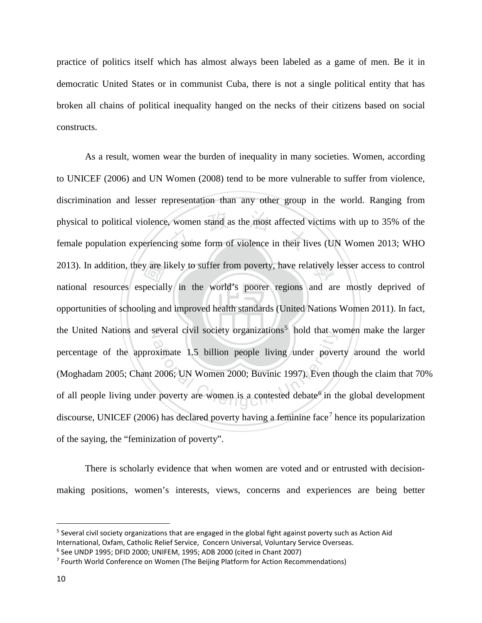practice of politics itself which has almost always been labeled as a game of men. Be it in democratic United States or in communist Cuba, there is not a single political entity that has broken all chains of political inequality hanged on the necks of their citizens based on social constructs.

‧y are 1<br>peciall<br>ing an women stand as the most affected v<br>ng some form of violence in their liv 2013). In addition, they are likely to suffer from poverty, have relatively lesser access to control opportunities of schooling and improved health standards (United Nations Women 2011). In fact, the United Nations and several civil society organizations<sup>[5](#page-16-0)</sup> hold that women make the larger beveral Civil society organizations hold that we<br>bximate 1.5 billion people living under pover<br>2006; UN Women 2000; Buvinic 1997). Even there As a result, women wear the burden of inequality in many societies. Women, according to UNICEF (2006) and UN Women (2008) tend to be more vulnerable to suffer from violence, discrimination and lesser representation than any other group in the world. Ranging from physical to political violence, women stand as the most affected victims with up to 35% of the female population experiencing some form of violence in their lives (UN Women 2013; WHO national resources especially in the world's poorer regions and are mostly deprived of percentage of the approximate 1.5 billion people living under poverty around the world (Moghadam 2005; Chant 2006; UN Women 2000; Buvinic 1997). Even though the claim that 70% of all people living under poverty are women is a contested debate<sup>[6](#page-16-1)</sup> in the global development discourse, UNICEF (2006) has declared poverty having a feminine face<sup>[7](#page-16-2)</sup> hence its popularization of the saying, the "feminization of poverty".

There is scholarly evidence that when women are voted and or entrusted with decisionmaking positions, women's interests, views, concerns and experiences are being better

<span id="page-16-0"></span><sup>&</sup>lt;sup>5</sup> Several civil society organizations that are engaged in the global fight against poverty such as Action Aid International, Oxfam, Catholic Relief Service, Concern Universal, Voluntary Service Overseas.

<span id="page-16-1"></span><sup>6</sup> See UNDP 1995; DFID 2000; UNIFEM, 1995; ADB 2000 (cited in Chant 2007)

<span id="page-16-2"></span><sup>7</sup> Fourth World Conference on Women (The Beijing Platform for Action Recommendations)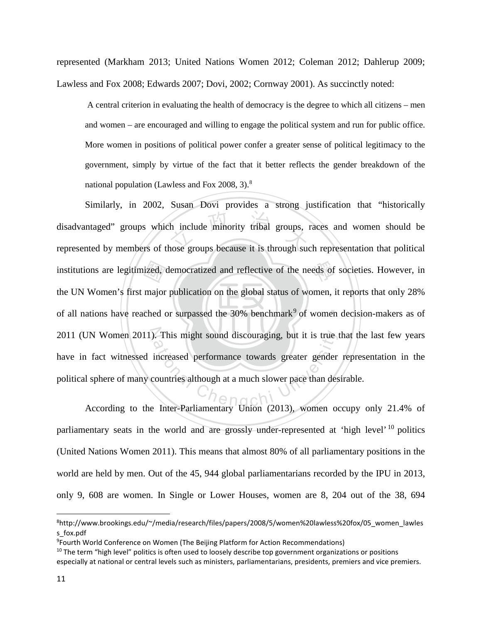represented (Markham 2013; United Nations Women 2012; Coleman 2012; Dahlerup 2009; Lawless and Fox 2008; Edwards 2007; Dovi, 2002; Cornway 2001). As succinctly noted:

A central criterion in evaluating the health of democracy is the degree to which all citizens – men and women – are encouraged and willing to engage the political system and run for public office. More women in positions of political power confer a greater sense of political legitimacy to the government, simply by virtue of the fact that it better reflects the gender breakdown of the national population (Lawless and Fox 2008, 3).[8](#page-17-0)

of all nations have reached or surpassed the 30% benchmark<sup>[9](#page-17-1)</sup> of women decision-makers as of ized,<br>major<br>ched o th include minority tribal groups, eds of 2011 (UN Women 2011). This might sound discouraging, but it is true that the last few years Filiar might sound discouraging, but it is true to<br>increased performance towards greater gender<br>countries although at a much slower pace than des<br>Inter-Parliamentary Hnion (2013) women of Similarly, in 2002, Susan Dovi provides a strong justification that "historically disadvantaged" groups which include minority tribal groups, races and women should be represented by members of those groups because it is through such representation that political institutions are legitimized, democratized and reflective of the needs of societies. However, in the UN Women's first major publication on the global status of women, it reports that only 28% have in fact witnessed increased performance towards greater gender representation in the political sphere of many countries although at a much slower pace than desirable.

According to the Inter-Parliamentary Union (2013), women occupy only 21.4% of parliamentary seats in the world and are grossly under-represented at 'high level' <sup>[10](#page-17-2)</sup> politics (United Nations Women 2011). This means that almost 80% of all parliamentary positions in the world are held by men. Out of the 45, 944 global parliamentarians recorded by the IPU in 2013, only 9, 608 are women. In Single or Lower Houses, women are 8, 204 out of the 38, 694

<span id="page-17-0"></span><sup>8</sup> http://www.brookings.edu/~/media/research/files/papers/2008/5/women%20lawless%20fox/05\_women\_lawles s\_fox.pdf

<span id="page-17-1"></span><sup>9</sup> Fourth World Conference on Women (The Beijing Platform for Action Recommendations)

<span id="page-17-2"></span> $10$  The term "high level" politics is often used to loosely describe top government organizations or positions especially at national or central levels such as ministers, parliamentarians, presidents, premiers and vice premiers.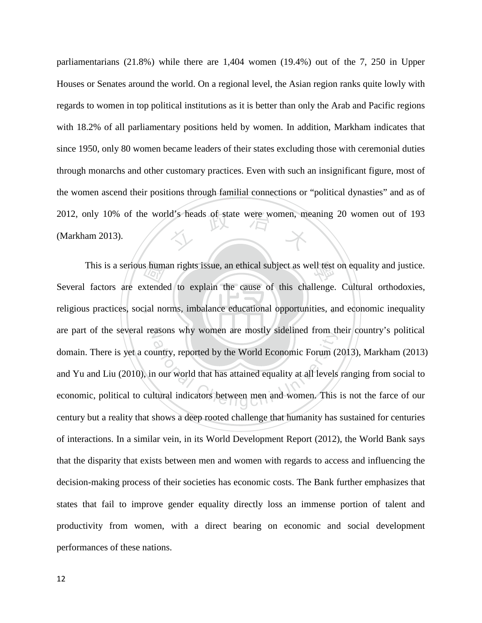2012, only 10% of the world's heads of state were women, meaning 20 women out of 193 (Markham 2013). parliamentarians (21.8%) while there are 1,404 women (19.4%) out of the 7, 250 in Upper Houses or Senates around the world. On a regional level, the Asian region ranks quite lowly with regards to women in top political institutions as it is better than only the Arab and Pacific regions with 18.2% of all parliamentary positions held by women. In addition, Markham indicates that since 1950, only 80 women became leaders of their states excluding those with ceremonial duties through monarchs and other customary practices. Even with such an insignificant figure, most of the women ascend their positions through familial connections or "political dynasties" and as of (Markham 2013).

religious practices, social norms, imbalance educational opportunities, and economic inequality s hum:<br>xtende<br>zial no This is a serious human rights issue, an ethical subject as well test on equality and justice. are part of the several reasons why women are mostly sidelined from their country's political ations why women are mostry stdenned from the<br>untry, reported by the World Economic Forum (2<br>1 our world that has attained equality at all levels<br>ltural indicators between men and women. This Several factors are extended to explain the cause of this challenge. Cultural orthodoxies, domain. There is yet a country, reported by the World Economic Forum (2013), Markham (2013) and Yu and Liu (2010), in our world that has attained equality at all levels ranging from social to economic, political to cultural indicators between men and women. This is not the farce of our century but a reality that shows a deep rooted challenge that humanity has sustained for centuries of interactions. In a similar vein, in its World Development Report (2012), the World Bank says that the disparity that exists between men and women with regards to access and influencing the decision-making process of their societies has economic costs. The Bank further emphasizes that states that fail to improve gender equality directly loss an immense portion of talent and productivity from women, with a direct bearing on economic and social development performances of these nations.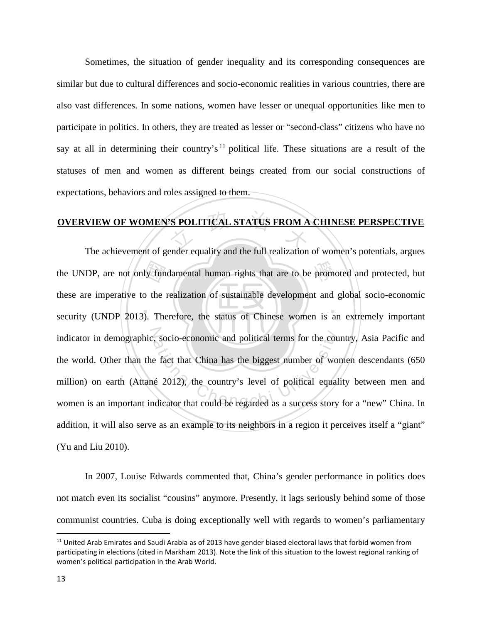Sometimes, the situation of gender inequality and its corresponding consequences are similar but due to cultural differences and socio-economic realities in various countries, there are also vast differences. In some nations, women have lesser or unequal opportunities like men to participate in politics. In others, they are treated as lesser or "second-class" citizens who have no say at all in determining their country's<sup>[11](#page-19-0)</sup> political life. These situations are a result of the statuses of men and women as different beings created from our social constructions of expectations, behaviors and roles assigned to them.

## S POLITICAL STATUS FROM A **OVERVIEW OF WOMEN'S POLITICAL STATUS FROM A CHINESE PERSPECTIVE**

‧‧ the UNDP, are not only fundamental human rights that are to be promoted and protected, but<br>these are imperative to the realization of sustainable development and global socio-economic<br>security (UNDP 2013). Therefore, the s indicator in demographic, socio-economic and political terms for the country, Asia Pacific and ations and political terms for the course fact that China has the biggest number of worst fact that China has the biggest number of worst political equal equal dicator that could be regarded as a success story The achievement of gender equality and the full realization of women's potentials, argues these are imperative to the realization of sustainable development and global socio-economic security (UNDP 2013). Therefore, the status of Chinese women is an extremely important the world. Other than the fact that China has the biggest number of women descendants (650 million) on earth (Attané 2012), the country's level of political equality between men and women is an important indicator that could be regarded as a success story for a "new" China. In addition, it will also serve as an example to its neighbors in a region it perceives itself a "giant" (Yu and Liu 2010).

In 2007, Louise Edwards commented that, China's gender performance in politics does not match even its socialist "cousins" anymore. Presently, it lags seriously behind some of those communist countries. Cuba is doing exceptionally well with regards to women's parliamentary

l

<span id="page-19-0"></span><sup>&</sup>lt;sup>11</sup> United Arab Emirates and Saudi Arabia as of 2013 have gender biased electoral laws that forbid women from participating in elections (cited in Markham 2013). Note the link of this situation to the lowest regional ranking of women's political participation in the Arab World.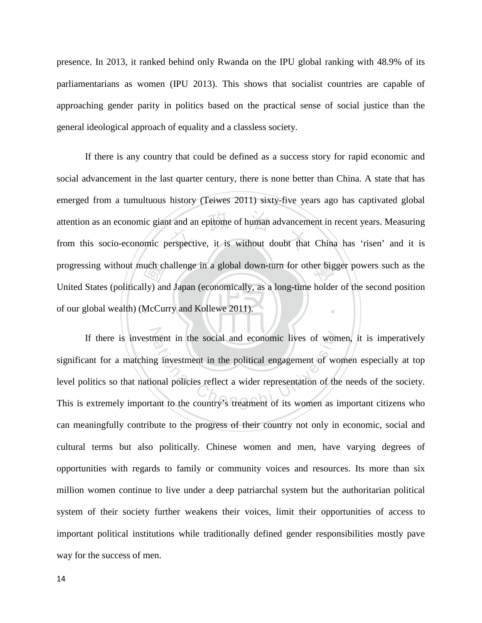presence. In 2013, it ranked behind only Rwanda on the IPU global ranking with 48.9% of its parliamentarians as women (IPU 2013). This shows that socialist countries are capable of approaching gender parity in politics based on the practical sense of social justice than the general ideological approach of equality and a classless society.

of our global wealth) (McCurry and Kollewe 2011). 國 t and an epitome of human advancem<br>erspective, it is without doubt that progressing without much challenge in a global down-turn for other bigger powers such as the ‧ If there is any country that could be defined as a success story for rapid economic and social advancement in the last quarter century, there is none better than China. A state that has emerged from a tumultuous history (Teiwes 2011) sixty-five years ago has captivated global attention as an economic giant and an epitome of human advancement in recent years. Measuring from this socio-economic perspective, it is without doubt that China has 'risen' and it is United States (politically) and Japan (economically, as a long-time holder of the second position

If there is investment in the social and economic lives of women, it is imperatively ment in the social and economic lives of wom<br>g investment in the political engagement of wo<br>onal policies reflect a wider representation of the<br>ant to the country's treatment of its women as i significant for a matching investment in the political engagement of women especially at top level politics so that national policies reflect a wider representation of the needs of the society. This is extremely important to the country's treatment of its women as important citizens who can meaningfully contribute to the progress of their country not only in economic, social and cultural terms but also politically. Chinese women and men, have varying degrees of opportunities with regards to family or community voices and resources. Its more than six million women continue to live under a deep patriarchal system but the authoritarian political system of their society further weakens their voices, limit their opportunities of access to important political institutions while traditionally defined gender responsibilities mostly pave way for the success of men.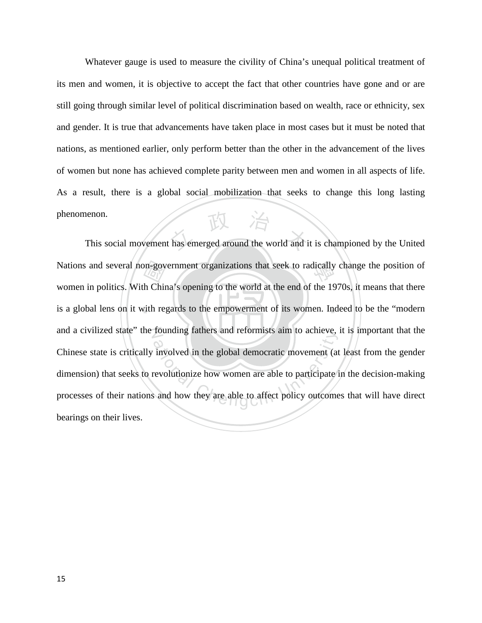Whatever gauge is used to measure the civility of China's unequal political treatment of its men and women, it is objective to accept the fact that other countries have gone and or are still going through similar level of political discrimination based on wealth, race or ethnicity, sex and gender. It is true that advancements have taken place in most cases but it must be noted that nations, as mentioned earlier, only perform better than the other in the advancement of the lives of women but none has achieved complete parity between men and women in all aspects of life. As a result, there is a global social mobilization that seeks to change this long lasting phenomenon.

is a global lens on it with regards to the empowerment of its women. Indeed to be the "modern Nations and several non-government organizations that seek to radically change the position of<br>women in politics. With China's opening to the world at the end of the 1970s, it means that there<br>is a global lens on it with r This social movement has emerged around the world and it is championed by the United and a civilized state" the founding fathers and reformists aim to achieve, it is important that the Founding rathers and reformists all to achieve,<br>involved in the global democratic movement (at<br>revolutionize how women are able to participate is<br>and how they are able to affect policy outcome women in politics. With China's opening to the world at the end of the 1970s, it means that there Chinese state is critically involved in the global democratic movement (at least from the gender dimension) that seeks to revolutionize how women are able to participate in the decision-making processes of their nations and how they are able to affect policy outcomes that will have direct bearings on their lives.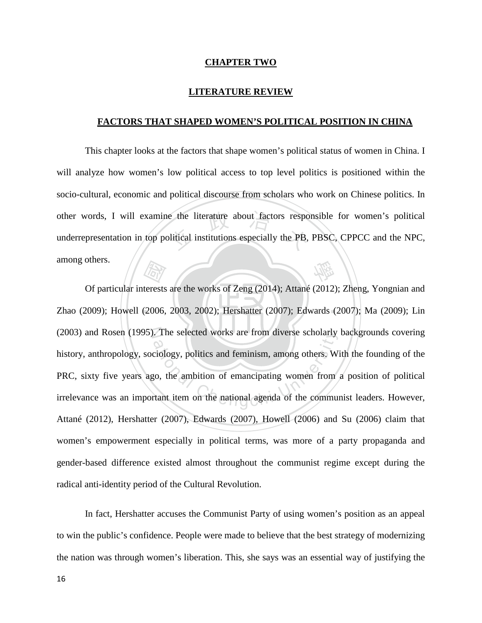#### **CHAPTER TWO**

#### **LITERATURE REVIEW**

#### **FACTORS THAT SHAPED WOMEN'S POLITICAL POSITION IN CHINA**

other words, I will examine the literature about factors responsible for women's political underrepresentation in top political institutions especially the PB, PBSC, CPPCC and the NPC, 學 This chapter looks at the factors that shape women's political status of women in China. I will analyze how women's low political access to top level politics is positioned within the socio-cultural, economic and political discourse from scholars who work on Chinese politics. In underrepresentation in top political institutions especially the PB, PBSC, CPPCC and the NPC, among others.

‧‧ Zhao (2009); Howell (2006, 2003, 2002); Hershatter (2007); Edwards (2007); Ma (2009); Lin  $\frac{1}{\sqrt{2}}$ <br>terests<br>(2006, (2003) and Rosen (1995). The selected works are from diverse scholarly backgrounds covering The selected works are from diverse scholarly.<br>Ciology, politics and feminism, among others. With the ambition of emancipating women from<br>tant item on the national agenda of the community Of particular interests are the works of Zeng (2014); Attané (2012); Zheng, Yongnian and history, anthropology, sociology, politics and feminism, among others. With the founding of the PRC, sixty five years ago, the ambition of emancipating women from a position of political irrelevance was an important item on the national agenda of the communist leaders. However, Attané (2012), Hershatter (2007), Edwards (2007), Howell (2006) and Su (2006) claim that women's empowerment especially in political terms, was more of a party propaganda and gender-based difference existed almost throughout the communist regime except during the radical anti-identity period of the Cultural Revolution.

In fact, Hershatter accuses the Communist Party of using women's position as an appeal to win the public's confidence. People were made to believe that the best strategy of modernizing the nation was through women's liberation. This, she says was an essential way of justifying the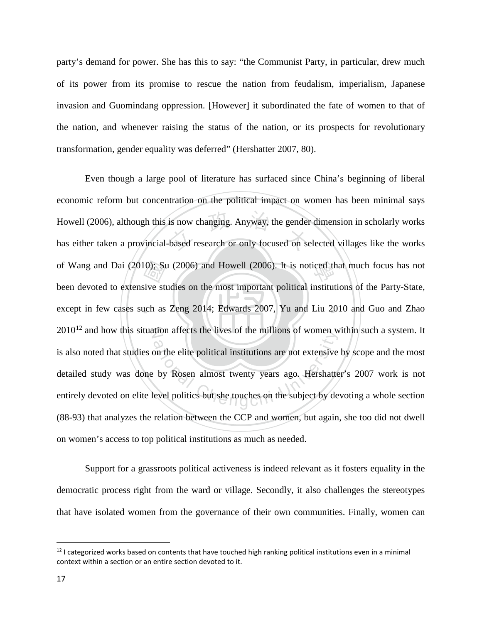party's demand for power. She has this to say: "the Communist Party, in particular, drew much of its power from its promise to rescue the nation from feudalism, imperialism, Japanese invasion and Guomindang oppression. [However] it subordinated the fate of women to that of the nation, and whenever raising the status of the nation, or its prospects for revolutionary transformation, gender equality was deferred" (Hershatter 2007, 80).

except in few cases such as Zeng 2014; Edwards 2007, Yu and Liu 2010 and Guo and Zhao  $\frac{10}{10}$ ; Su<br>sive struck as is now changing. Anyway, the gender<br>based research or only focused on seof Wang and Dai (2010); Su (2006) and Howell (2006). It is noticed that much focus has not  $2010^{12}$  $2010^{12}$  $2010^{12}$  and how this situation affects the lives of the millions of women within such a system. It ation arects the fives of the filmions of women words are not extensive<br>by Rosen almost twenty years ago. Hershatte<br>evel politics but she touches on the subject by de Even though a large pool of literature has surfaced since China's beginning of liberal economic reform but concentration on the political impact on women has been minimal says Howell (2006), although this is now changing. Anyway, the gender dimension in scholarly works has either taken a provincial-based research or only focused on selected villages like the works been devoted to extensive studies on the most important political institutions of the Party-State, is also noted that studies on the elite political institutions are not extensive by scope and the most detailed study was done by Rosen almost twenty years ago. Hershatter's 2007 work is not entirely devoted on elite level politics but she touches on the subject by devoting a whole section (88-93) that analyzes the relation between the CCP and women, but again, she too did not dwell on women's access to top political institutions as much as needed.

Support for a grassroots political activeness is indeed relevant as it fosters equality in the democratic process right from the ward or village. Secondly, it also challenges the stereotypes that have isolated women from the governance of their own communities. Finally, women can

<span id="page-23-0"></span> $12$  I categorized works based on contents that have touched high ranking political institutions even in a minimal context within a section or an entire section devoted to it.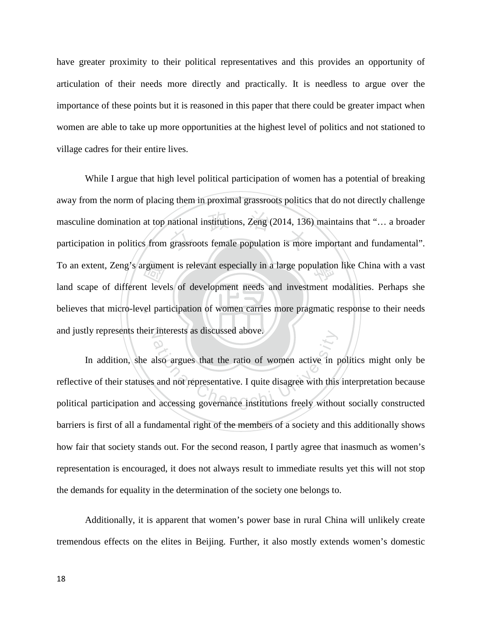have greater proximity to their political representatives and this provides an opportunity of articulation of their needs more directly and practically. It is needless to argue over the importance of these points but it is reasoned in this paper that there could be greater impact when women are able to take up more opportunities at the highest level of politics and not stationed to village cadres for their entire lives.

believes that micro-level participation of women carries more pragmatic response to their needs To an extent, Zeng's argument is relevant especially in a large population like China with a vast<br>land scape of different levels of development needs and investment modalities. Perhaps she<br>believes that micro-level partici masculine domination at top national institutions, Zeng (2014, 136) maintains that "... a broader<br>participation in politics from grassroots female population is more important and fundamental". and justly represents their interests as discussed above. While I argue that high level political participation of women has a potential of breaking away from the norm of placing them in proximal grassroots politics that do not directly challenge masculine domination at top national institutions, Zeng (2014, 136) maintains that "… a broader land scape of different levels of development needs and investment modalities. Perhaps she

merests as discussed above.<br>also argues that the ratio of women active in p<br>and not representative. I quite disagree with this<br>d accessing governance institutions freely without In addition, she also argues that the ratio of women active in politics might only be reflective of their statuses and not representative. I quite disagree with this interpretation because political participation and accessing governance institutions freely without socially constructed barriers is first of all a fundamental right of the members of a society and this additionally shows how fair that society stands out. For the second reason, I partly agree that inasmuch as women's representation is encouraged, it does not always result to immediate results yet this will not stop the demands for equality in the determination of the society one belongs to.

Additionally, it is apparent that women's power base in rural China will unlikely create tremendous effects on the elites in Beijing. Further, it also mostly extends women's domestic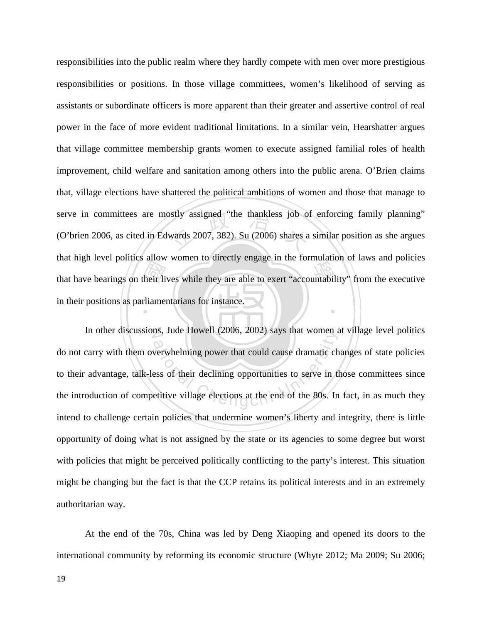that have bearings on their lives while they are able to exert "accountability" from the executive in their positions as parliamentarians for instance. bothy assigned "the thankless job of<br>wards 2007, 382). Su (2006) shares a ‧ responsibilities into the public realm where they hardly compete with men over more prestigious responsibilities or positions. In those village committees, women's likelihood of serving as assistants or subordinate officers is more apparent than their greater and assertive control of real power in the face of more evident traditional limitations. In a similar vein, Hearshatter argues that village committee membership grants women to execute assigned familial roles of health improvement, child welfare and sanitation among others into the public arena. O'Brien claims that, village elections have shattered the political ambitions of women and those that manage to serve in committees are mostly assigned "the thankless job of enforcing family planning" (O'brien 2006, as cited in Edwards 2007, 382). Su (2006) shares a similar position as she argues that high level politics allow women to directly engage in the formulation of laws and policies in their positions as parliamentarians for instance.

In other discussions, Jude Howell (2006, 2002) says that women at village level politics hat, Jude Howen (2006, 2002) says that women a<br>werwhelming power that could cause dramatic chess of their declining opportunities to serve in the<br>etitive village elections at the end of the 80s. In do not carry with them overwhelming power that could cause dramatic changes of state policies to their advantage, talk-less of their declining opportunities to serve in those committees since the introduction of competitive village elections at the end of the 80s. In fact, in as much they intend to challenge certain policies that undermine women's liberty and integrity, there is little opportunity of doing what is not assigned by the state or its agencies to some degree but worst with policies that might be perceived politically conflicting to the party's interest. This situation might be changing but the fact is that the CCP retains its political interests and in an extremely authoritarian way.

At the end of the 70s, China was led by Deng Xiaoping and opened its doors to the international community by reforming its economic structure (Whyte 2012; Ma 2009; Su 2006;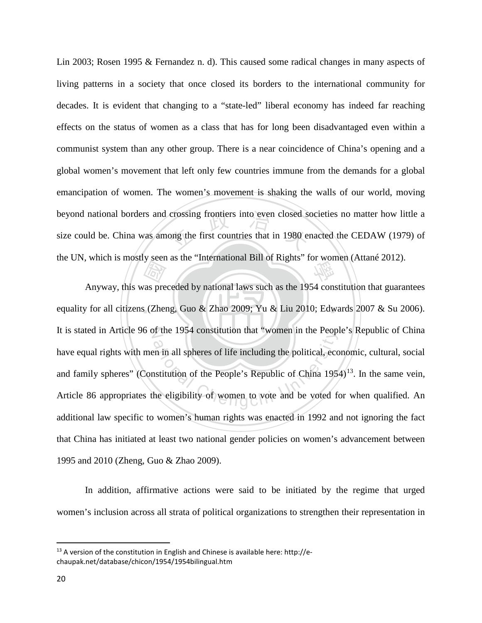crossing frontiers into even closed solely<br>ong the first countries that in 1980 example the UN, which is mostly seen as the "International Bill of Rights" for women (Attané 2012). Lin 2003; Rosen 1995 & Fernandez n. d). This caused some radical changes in many aspects of living patterns in a society that once closed its borders to the international community for decades. It is evident that changing to a "state-led" liberal economy has indeed far reaching effects on the status of women as a class that has for long been disadvantaged even within a communist system than any other group. There is a near coincidence of China's opening and a global women's movement that left only few countries immune from the demands for a global emancipation of women. The women's movement is shaking the walls of our world, moving beyond national borders and crossing frontiers into even closed societies no matter how little a size could be. China was among the first countries that in 1980 enacted the CEDAW (1979) of

‧as pre equality for all citizens (Zheng, Guo & Zhao 2009; Yu & Liu 2010; Edwards 2007 & Su 2006). It is stated in Article 96 of the 1954 constitution that "women in the People's Republic of China ation in all spheres of life including the political, economic in all spheres of life including the political, economic<br>astitution of the People's Republic of China 1954<br>the eligibility of women to vote and be voted for Anyway, this was preceded by national laws such as the 1954 constitution that guarantees have equal rights with men in all spheres of life including the political, economic, cultural, social and family spheres" (Constitution of the People's Republic of China  $1954$ )<sup>13</sup>. In the same vein, Article 86 appropriates the eligibility of women to vote and be voted for when qualified. An additional law specific to women's human rights was enacted in 1992 and not ignoring the fact that China has initiated at least two national gender policies on women's advancement between 1995 and 2010 (Zheng, Guo & Zhao 2009).

In addition, affirmative actions were said to be initiated by the regime that urged women's inclusion across all strata of political organizations to strengthen their representation in

<span id="page-26-0"></span> $13$  A version of the constitution in English and Chinese is available here: http://echaupak.net/database/chicon/1954/1954bilingual.htm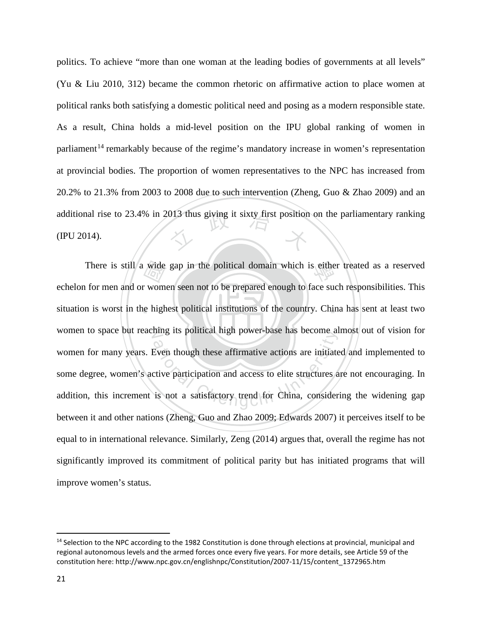additional rise to 23.4% in 2013 thus giving it sixty first position on the parliamentary ranking (IPU 2014). politics. To achieve "more than one woman at the leading bodies of governments at all levels" (Yu & Liu 2010, 312) became the common rhetoric on affirmative action to place women at political ranks both satisfying a domestic political need and posing as a modern responsible state. As a result, China holds a mid-level position on the IPU global ranking of women in parliament<sup>[14](#page-27-0)</sup> remarkably because of the regime's mandatory increase in women's representation at provincial bodies. The proportion of women representatives to the NPC has increased from 20.2% to 21.3% from 2003 to 2008 due to such intervention (Zheng, Guo & Zhao 2009) and an (IPU 2014).

situation is worst in the highest political institutions of the country. China has sent at least two There is still a wide gap in the political domain which is either treated as a reserved<br>of the mean and or women seen not to be prepared enough to face such responsibilities. This<br>in is worst in the highest political insti women to space but reaching its political high power-base has become almost out of vision for From though these affirmative actions are initiated<br>Even though these affirmative actions are initiated<br>tive participation and access to elite structures a<br>is not a satisfactory trend for China, consider echelon for men and or women seen not to be prepared enough to face such responsibilities. This women for many years. Even though these affirmative actions are initiated and implemented to some degree, women's active participation and access to elite structures are not encouraging. In addition, this increment is not a satisfactory trend for China, considering the widening gap between it and other nations (Zheng, Guo and Zhao 2009; Edwards 2007) it perceives itself to be equal to in international relevance. Similarly, Zeng (2014) argues that, overall the regime has not significantly improved its commitment of political parity but has initiated programs that will improve women's status.

l

<span id="page-27-0"></span><sup>&</sup>lt;sup>14</sup> Selection to the NPC according to the 1982 Constitution is done through elections at provincial, municipal and regional autonomous levels and the armed forces once every five years. For more details, see Article 59 of the constitution here: http://www.npc.gov.cn/englishnpc/Constitution/2007-11/15/content\_1372965.htm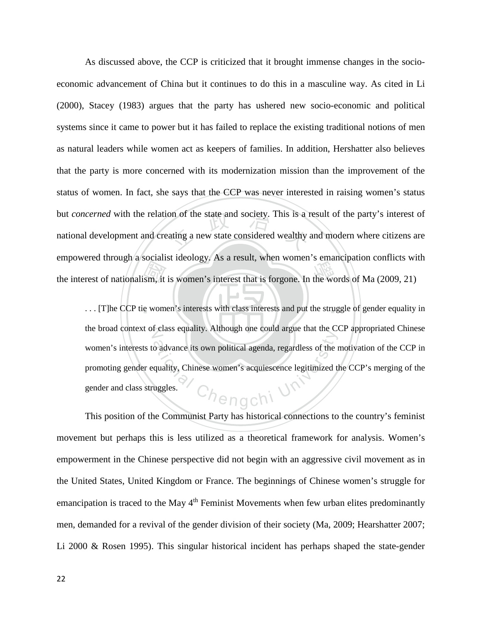the interest of nationalism, it is women's interest that is forgone. In the words of Ma (2009, 21)<br>... [T]he CCP tie women's interests with class interests and put the struggle of gender equality on of the state and society. This is a reduced wealthy a new state considered wealthy As discussed above, the CCP is criticized that it brought immense changes in the socioeconomic advancement of China but it continues to do this in a masculine way. As cited in Li (2000), Stacey (1983) argues that the party has ushered new socio-economic and political systems since it came to power but it has failed to replace the existing traditional notions of men as natural leaders while women act as keepers of families. In addition, Hershatter also believes that the party is more concerned with its modernization mission than the improvement of the status of women. In fact, she says that the CCP was never interested in raising women's status but *concerned* with the relation of the state and society. This is a result of the party's interest of national development and creating a new state considered wealthy and modern where citizens are empowered through a socialist ideology. As a result, when women's emancipation conflicts with

... [T]he CCP tie women's interests with class interests and put the struggle of gender equality in the broad context of class equality. Although one could argue that the CCP appropriated Chinese  $\alpha$  advance its own political agenda, regardless of the r<br>quality, Chinese women's acquiescence legitimized the<br>uggles. women's interests to advance its own political agenda, regardless of the motivation of the CCP in promoting gender equality, Chinese women's acquiescence legitimized the CCP's merging of the gender and class struggles.

This position of the Communist Party has historical connections to the country's feminist movement but perhaps this is less utilized as a theoretical framework for analysis. Women's empowerment in the Chinese perspective did not begin with an aggressive civil movement as in the United States, United Kingdom or France. The beginnings of Chinese women's struggle for emancipation is traced to the May  $4<sup>th</sup>$  Feminist Movements when few urban elites predominantly men, demanded for a revival of the gender division of their society (Ma, 2009; Hearshatter 2007; Li 2000 & Rosen 1995). This singular historical incident has perhaps shaped the state-gender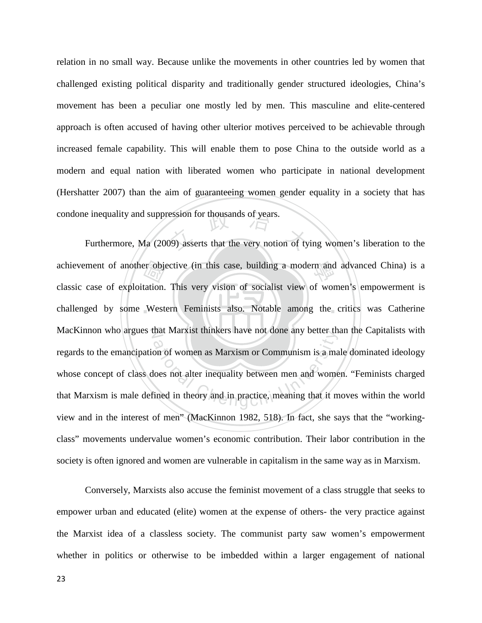relation in no small way. Because unlike the movements in other countries led by women that challenged existing political disparity and traditionally gender structured ideologies, China's movement has been a peculiar one mostly led by men. This masculine and elite-centered approach is often accused of having other ulterior motives perceived to be achievable through increased female capability. This will enable them to pose China to the outside world as a modern and equal nation with liberated women who participate in national development (Hershatter 2007) than the aim of guaranteeing women gender equality in a society that has condone inequality and suppression for thousands of years.

er obje<br>tation.<br>West e inequality and suppression for thousands of years.<br>Furthermore, Ma (2009) asserts that the very notion of tying women's liberation to the achievement of another objective (in this case, building a modern and advanced China) is a challenged by some Western Feminists also. Notable among the critics was Catherine N MacKinnon who argues that Marxist thinkers have not done any better than the Capitalists with that Marxist thinkers have not done any better the<br>on of women as Marxism or Communism is a ma<br>loes not alter inequality between men and wome<br>ined in theory and in practice, meaning that it m classic case of exploitation. This very vision of socialist view of women's empowerment is regards to the emancipation of women as Marxism or Communism is a male dominated ideology whose concept of class does not alter inequality between men and women. "Feminists charged that Marxism is male defined in theory and in practice, meaning that it moves within the world view and in the interest of men" (MacKinnon 1982, 518). In fact, she says that the "workingclass" movements undervalue women's economic contribution. Their labor contribution in the society is often ignored and women are vulnerable in capitalism in the same way as in Marxism.

Conversely, Marxists also accuse the feminist movement of a class struggle that seeks to empower urban and educated (elite) women at the expense of others- the very practice against the Marxist idea of a classless society. The communist party saw women's empowerment whether in politics or otherwise to be imbedded within a larger engagement of national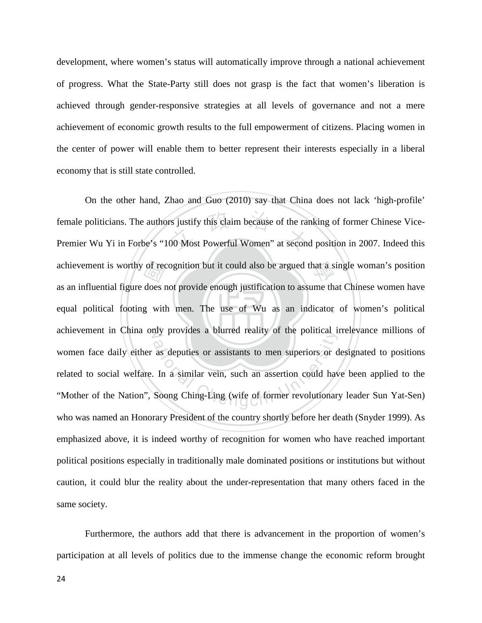development, where women's status will automatically improve through a national achievement of progress. What the State-Party still does not grasp is the fact that women's liberation is achieved through gender-responsive strategies at all levels of governance and not a mere achievement of economic growth results to the full empowerment of citizens. Placing women in the center of power will enable them to better represent their interests especially in a liberal economy that is still state controlled.

‧of records of records and density of the details of the details of the details of the details of the details of the details of the details of the details of the details of the details of the details of the details of the d rs justify this claim because of the rar<br>00 Most Powerful Women" at second achievement is worthy of recognition but it could also be argued that a single woman's position equal political footing with men. The use of Wu as an indicator of women's political achievement in China only provides a blurred reality of the political irrelevance millions of The political and solutional contract the political chemical chemical chemical chemical chemical chemical chemical chemical chemical chemical chemical chemical chemical chemical chemical chemical chemical chemical chemical On the other hand, Zhao and Guo (2010) say that China does not lack 'high-profile' female politicians. The authors justify this claim because of the ranking of former Chinese Vice-Premier Wu Yi in Forbe's "100 Most Powerful Women" at second position in 2007. Indeed this as an influential figure does not provide enough justification to assume that Chinese women have women face daily either as deputies or assistants to men superiors or designated to positions related to social welfare. In a similar vein, such an assertion could have been applied to the "Mother of the Nation", Soong Ching-Ling (wife of former revolutionary leader Sun Yat-Sen) who was named an Honorary President of the country shortly before her death (Snyder 1999). As emphasized above, it is indeed worthy of recognition for women who have reached important political positions especially in traditionally male dominated positions or institutions but without caution, it could blur the reality about the under-representation that many others faced in the same society.

Furthermore, the authors add that there is advancement in the proportion of women's participation at all levels of politics due to the immense change the economic reform brought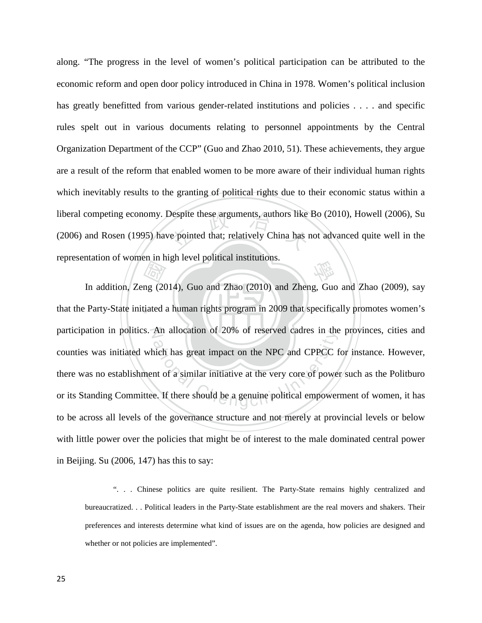Despite these arguments, authors like<br>ve pointed that; relatively China has r 學 along. "The progress in the level of women's political participation can be attributed to the economic reform and open door policy introduced in China in 1978. Women's political inclusion has greatly benefitted from various gender-related institutions and policies . . . . and specific rules spelt out in various documents relating to personnel appointments by the Central Organization Department of the CCP" (Guo and Zhao 2010, 51). These achievements, they argue are a result of the reform that enabled women to be more aware of their individual human rights which inevitably results to the granting of political rights due to their economic status within a liberal competing economy. Despite these arguments, authors like Bo (2010), Howell (2006), Su (2006) and Rosen (1995) have pointed that; relatively China has not advanced quite well in the representation of women in high level political institutions.

‧Extending<br>
mg (20 that the Party-State initiated a human rights program in 2009 that specifically promotes women's participation in politics. An allocation of 20% of reserved cadres in the provinces, cities and An anocation of 20% of reserved cadres in the<br>hich has great impact on the NPC and CPPCC f<br>nt of a similar initiative at the very core of power<br>e. If there should be a genuine political empower In addition, Zeng (2014), Guo and Zhao (2010) and Zheng, Guo and Zhao (2009), say counties was initiated which has great impact on the NPC and CPPCC for instance. However, there was no establishment of a similar initiative at the very core of power such as the Politburo or its Standing Committee. If there should be a genuine political empowerment of women, it has to be across all levels of the governance structure and not merely at provincial levels or below with little power over the policies that might be of interest to the male dominated central power in Beijing. Su (2006, 147) has this to say:

". . . Chinese politics are quite resilient. The Party-State remains highly centralized and bureaucratized. . . Political leaders in the Party-State establishment are the real movers and shakers. Their preferences and interests determine what kind of issues are on the agenda, how policies are designed and whether or not policies are implemented".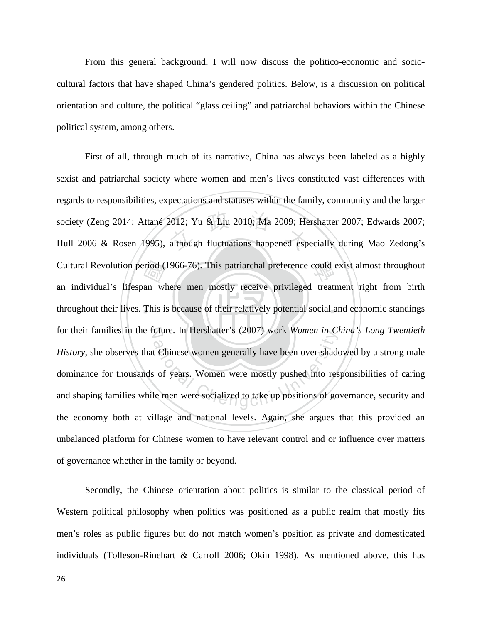From this general background, I will now discuss the politico-economic and sociocultural factors that have shaped China's gendered politics. Below, is a discussion on political orientation and culture, the political "glass ceiling" and patriarchal behaviors within the Chinese political system, among others.

throughout their lives. This is because of their relatively potential social and economic standings Cultural Revolution period (1966-76). This patriarchal preference could exist almost throughout<br>an individual's lifespan where men mostly receive privileged treatment right from birth<br>throughout their lives. This is becaus 2012; Yu & Liu 2010; Ma 2009; He<br>although fluctuations happened espe for their families in the future. In Hershatter's (2007) work *Women in China's Long Twentieth* The University C2007) work women in Chengchi University Chinese women generally have been over-shades of years. Women were mostly pushed into response the men were socialized to take up positions of go First of all, through much of its narrative, China has always been labeled as a highly sexist and patriarchal society where women and men's lives constituted vast differences with regards to responsibilities, expectations and statuses within the family, community and the larger society (Zeng 2014; Attané 2012; Yu & Liu 2010; Ma 2009; Hershatter 2007; Edwards 2007; Hull 2006 & Rosen 1995), although fluctuations happened especially during Mao Zedong's an individual's lifespan where men mostly receive privileged treatment right from birth *History*, she observes that Chinese women generally have been over-shadowed by a strong male dominance for thousands of years. Women were mostly pushed into responsibilities of caring and shaping families while men were socialized to take up positions of governance, security and the economy both at village and national levels. Again, she argues that this provided an unbalanced platform for Chinese women to have relevant control and or influence over matters of governance whether in the family or beyond.

Secondly, the Chinese orientation about politics is similar to the classical period of Western political philosophy when politics was positioned as a public realm that mostly fits men's roles as public figures but do not match women's position as private and domesticated individuals (Tolleson-Rinehart & Carroll 2006; Okin 1998). As mentioned above, this has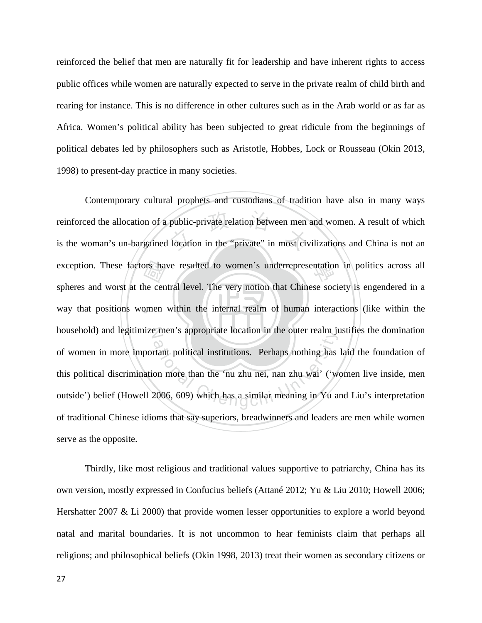reinforced the belief that men are naturally fit for leadership and have inherent rights to access public offices while women are naturally expected to serve in the private realm of child birth and rearing for instance. This is no difference in other cultures such as in the Arab world or as far as Africa. Women's political ability has been subjected to great ridicule from the beginnings of political debates led by philosophers such as Aristotle, Hobbes, Lock or Rousseau (Okin 2013, 1998) to present-day practice in many societies.

‧ors ha<br>he cen<br>omen public-private relation between men<br>location in the "private" in most civ exception. These factors have resulted to women's underrepresentation in politics across all way that positions women within the internal realm of human interactions (like within the household) and legitimize men's appropriate location in the outer realm justifies the domination Fire is appropriate location in the other realm just<br>trant political institutions. Perhaps nothing has<br>on more than the 'nu zhu nei, nan zhu wai' ('wo<br>2006, 609) which has a similar meaning in Yu an Contemporary cultural prophets and custodians of tradition have also in many ways reinforced the allocation of a public-private relation between men and women. A result of which is the woman's un-bargained location in the "private" in most civilizations and China is not an spheres and worst at the central level. The very notion that Chinese society is engendered in a of women in more important political institutions. Perhaps nothing has laid the foundation of this political discrimination more than the 'nu zhu nei, nan zhu wai' ('women live inside, men outside') belief (Howell 2006, 609) which has a similar meaning in Yu and Liu's interpretation of traditional Chinese idioms that say superiors, breadwinners and leaders are men while women serve as the opposite.

Thirdly, like most religious and traditional values supportive to patriarchy, China has its own version, mostly expressed in Confucius beliefs (Attané 2012; Yu & Liu 2010; Howell 2006; Hershatter 2007 & Li 2000) that provide women lesser opportunities to explore a world beyond natal and marital boundaries. It is not uncommon to hear feminists claim that perhaps all religions; and philosophical beliefs (Okin 1998, 2013) treat their women as secondary citizens or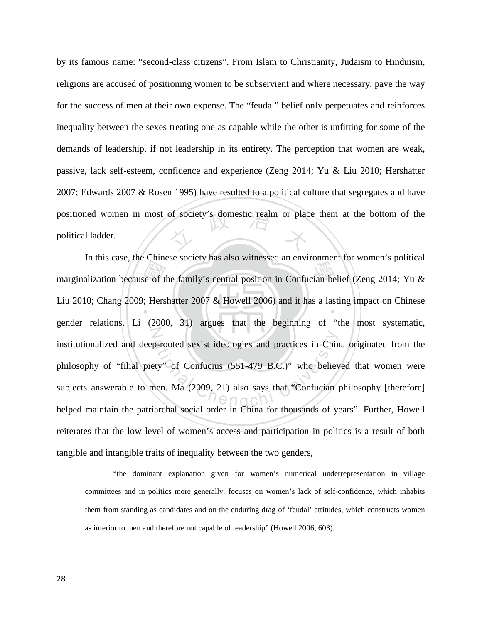positioned women in most of society's domestic realm or place them at the bottom of the political ladder. by its famous name: "second-class citizens". From Islam to Christianity, Judaism to Hinduism, religions are accused of positioning women to be subservient and where necessary, pave the way for the success of men at their own expense. The "feudal" belief only perpetuates and reinforces inequality between the sexes treating one as capable while the other is unfitting for some of the demands of leadership, if not leadership in its entirety. The perception that women are weak, passive, lack self-esteem, confidence and experience (Zeng 2014; Yu & Liu 2010; Hershatter 2007; Edwards 2007 & Rosen 1995) have resulted to a political culture that segregates and have political ladder.

marginalization because of the family's central position in Confucian belief (Zeng 2014; Yu &<br>Liu 2010; Chang 2009; Hershatter 2007 & Howell 2006) and it has a lasting impact on Chinese Liu 2010; Chang 2009; Hershatter 2007 & Howell 2006) and it has a lasting impact on Chinese N p-rooted sexist ideologies and practices in Chine<br>ty" of Confucius (551-479 B.C.)" who believ<br>nen. Ma (2009, 21) also says that "Confucian perchal social order in Chine for thousands of ve In this case, the Chinese society has also witnessed an environment for women's political gender relations. Li (2000, 31) argues that the beginning of "the most systematic, institutionalized and deep-rooted sexist ideologies and practices in China originated from the philosophy of "filial piety" of Confucius (551-479 B.C.)" who believed that women were subjects answerable to men. Ma (2009, 21) also says that "Confucian philosophy [therefore] helped maintain the patriarchal social order in China for thousands of years". Further, Howell reiterates that the low level of women's access and participation in politics is a result of both tangible and intangible traits of inequality between the two genders,

"the dominant explanation given for women's numerical underrepresentation in village committees and in politics more generally, focuses on women's lack of self-confidence, which inhabits them from standing as candidates and on the enduring drag of 'feudal' attitudes, which constructs women as inferior to men and therefore not capable of leadership" (Howell 2006, 603).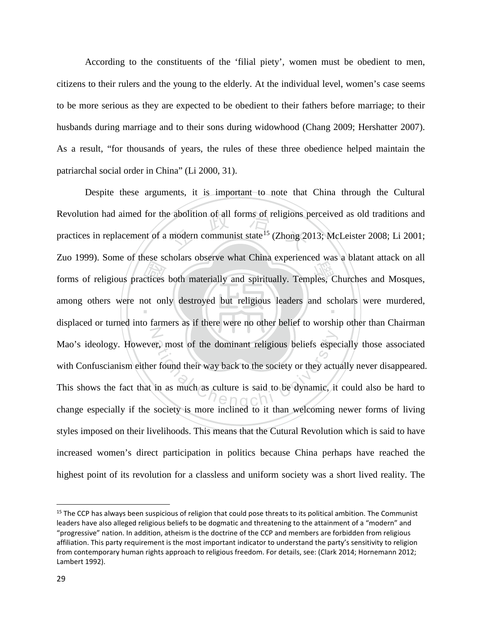According to the constituents of the 'filial piety', women must be obedient to men, citizens to their rulers and the young to the elderly. At the individual level, women's case seems to be more serious as they are expected to be obedient to their fathers before marriage; to their husbands during marriage and to their sons during widowhood (Chang 2009; Hershatter 2007). As a result, "for thousands of years, the rules of these three obedience helped maintain the patriarchal social order in China" (Li 2000, 31).

forms of religious practices both materially and spiritually. Temples, Churches and Mosques,<br>among others were not only destroyed but religious leaders and scholars were murdered,<br>displaced or turned into formars on if the Exercise abolition of all forms of religions produced all forms of religions produced as  $\frac{15}{2}$  (Zhong 20) among others were not only destroyed but religious leaders and scholars were murdered, The spectrum of the dominant religious beliefs espectrum and their way back to the society or they actually in as much as culture is said to be dynamic, it society is more inclined to it than welcoming at Despite these arguments, it is important to note that China through the Cultural Revolution had aimed for the abolition of all forms of religions perceived as old traditions and practices in replacement of a modern communist state<sup>[15](#page-35-0)</sup> (Zhong 2013; McLeister 2008; Li 2001; Zuo 1999). Some of these scholars observe what China experienced was a blatant attack on all displaced or turned into farmers as if there were no other belief to worship other than Chairman Mao's ideology. However, most of the dominant religious beliefs especially those associated with Confuscianism either found their way back to the society or they actually never disappeared. This shows the fact that in as much as culture is said to be dynamic, it could also be hard to change especially if the society is more inclined to it than welcoming newer forms of living styles imposed on their livelihoods. This means that the Cutural Revolution which is said to have increased women's direct participation in politics because China perhaps have reached the highest point of its revolution for a classless and uniform society was a short lived reality. The

<span id="page-35-0"></span><sup>&</sup>lt;sup>15</sup> The CCP has always been suspicious of religion that could pose threats to its political ambition. The Communist leaders have also alleged religious beliefs to be dogmatic and threatening to the attainment of a "modern" and "progressive" nation. In addition, atheism is the doctrine of the CCP and members are forbidden from religious affiliation. This party requirement is the most important indicator to understand the party's sensitivity to religion from contemporary human rights approach to religious freedom. For details, see: (Clark 2014; Hornemann 2012; Lambert 1992).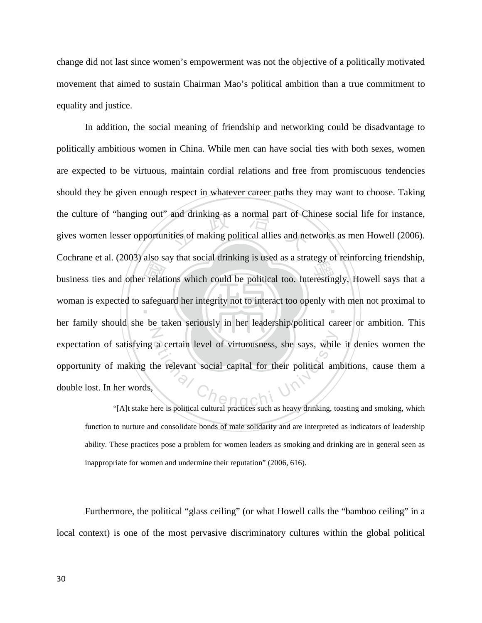change did not last since women's empowerment was not the objective of a politically motivated movement that aimed to sustain Chairman Mao's political ambition than a true commitment to equality and justice.

business ties and other relations which could be political too. Interestingly, Howell says that a<br>woman is expected to safeguard her integrity not to interact too openly with men not proximal to<br>her family should she has t and drinking as a normal part of Cl<br>ities of making political allies and ne woman is expected to safeguard her integrity not to interact too openly with men not proximal to Exercise a certain level of virtuousness, she says, while<br>the relevant social capital for their political am<br>exercise a political cultural practices such as heavy dripking to In addition, the social meaning of friendship and networking could be disadvantage to politically ambitious women in China. While men can have social ties with both sexes, women are expected to be virtuous, maintain cordial relations and free from promiscuous tendencies should they be given enough respect in whatever career paths they may want to choose. Taking the culture of "hanging out" and drinking as a normal part of Chinese social life for instance, gives women lesser opportunities of making political allies and networks as men Howell (2006). Cochrane et al. (2003) also say that social drinking is used as a strategy of reinforcing friendship, her family should she be taken seriously in her leadership/political career or ambition. This expectation of satisfying a certain level of virtuousness, she says, while it denies women the opportunity of making the relevant social capital for their political ambitions, cause them a double lost. In her words,

"[A]t stake here is political cultural practices such as heavy drinking, toasting and smoking, which function to nurture and consolidate bonds of male solidarity and are interpreted as indicators of leadership ability. These practices pose a problem for women leaders as smoking and drinking are in general seen as inappropriate for women and undermine their reputation" (2006, 616).

Furthermore, the political "glass ceiling" (or what Howell calls the "bamboo ceiling" in a local context) is one of the most pervasive discriminatory cultures within the global political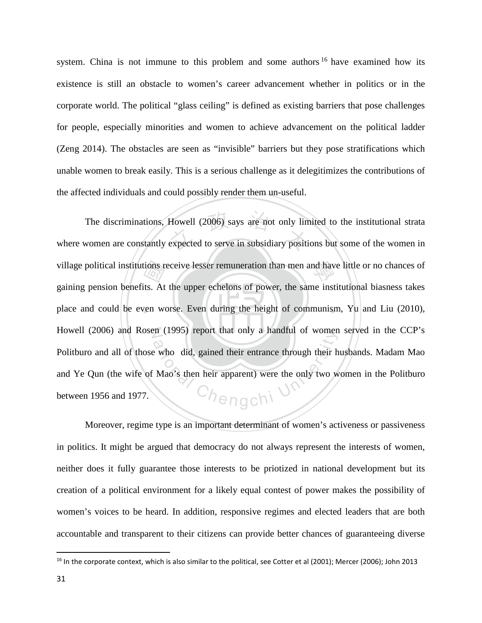system. China is not immune to this problem and some authors <sup>[16](#page-37-0)</sup> have examined how its existence is still an obstacle to women's career advancement whether in politics or in the corporate world. The political "glass ceiling" is defined as existing barriers that pose challenges for people, especially minorities and women to achieve advancement on the political ladder (Zeng 2014). The obstacles are seen as "invisible" barriers but they pose stratifications which unable women to break easily. This is a serious challenge as it delegitimizes the contributions of the affected individuals and could possibly render them un-useful.

‧tions reported<br>its. At<br>ven wo Howell (2006) says are not only line<br>expected to serve in subsidiary positi village political institutions receive lesser remuneration than men and have little or no chances of place and could be even worse. Even during the height of communism, Yu and Liu (2010), N Howell (2006) and Rosen (1995) report that only a handful of women served in the CCP's Europa and their entrance through their here who did, gained their entrance through their here who did, gained their entrance through their here  $\frac{1}{2}$ The discriminations, Howell (2006) says are not only limited to the institutional strata where women are constantly expected to serve in subsidiary positions but some of the women in gaining pension benefits. At the upper echelons of power, the same institutional biasness takes Politburo and all of those who did, gained their entrance through their husbands. Madam Mao and Ye Qun (the wife of Mao's then heir apparent) were the only two women in the Politburo between 1956 and 1977.

Moreover, regime type is an important determinant of women's activeness or passiveness in politics. It might be argued that democracy do not always represent the interests of women, neither does it fully guarantee those interests to be priotized in national development but its creation of a political environment for a likely equal contest of power makes the possibility of women's voices to be heard. In addition, responsive regimes and elected leaders that are both accountable and transparent to their citizens can provide better chances of guaranteeing diverse

l

<span id="page-37-0"></span> $16$  In the corporate context, which is also similar to the political, see Cotter et al (2001); Mercer (2006); John 2013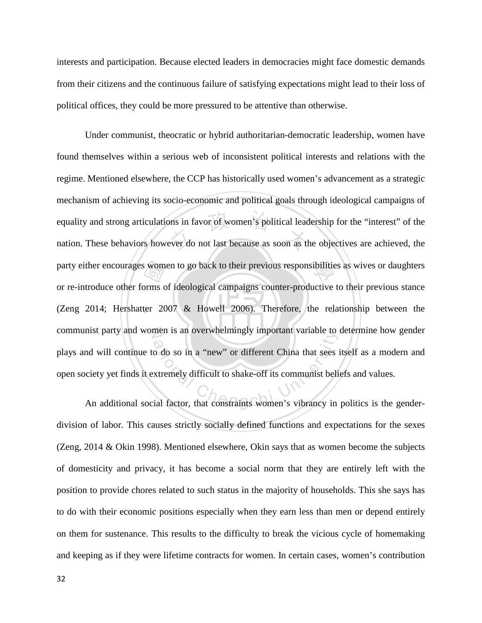interests and participation. Because elected leaders in democracies might face domestic demands from their citizens and the continuous failure of satisfying expectations might lead to their loss of political offices, they could be more pressured to be attentive than otherwise.

‧ $\frac{1}{\sqrt{2}}$ <br>orms c<br>ter 20 ons in favor of women's political lead<br>ever do not last because as soon as the party either encourages women to go back to their previous responsibilities as wives or daughters (Zeng 2014; Hershatter 2007 & Howell 2006). Therefore, the relationship between the communist party and women is an overwhelmingly important variable to determine how gender men is an overwhentingly important variable to<br>o do so in a "new" or different China that sees is<br>xtremely difficult to shake-off its communist beli<br>ial factor, that constraints women's vibrancy in Under communist, theocratic or hybrid authoritarian-democratic leadership, women have found themselves within a serious web of inconsistent political interests and relations with the regime. Mentioned elsewhere, the CCP has historically used women's advancement as a strategic mechanism of achieving its socio-economic and political goals through ideological campaigns of equality and strong articulations in favor of women's political leadership for the "interest" of the nation. These behaviors however do not last because as soon as the objectives are achieved, the or re-introduce other forms of ideological campaigns counter-productive to their previous stance plays and will continue to do so in a "new" or different China that sees itself as a modern and open society yet finds it extremely difficult to shake-off its communist beliefs and values.

An additional social factor, that constraints women's vibrancy in politics is the genderdivision of labor. This causes strictly socially defined functions and expectations for the sexes (Zeng, 2014 & Okin 1998). Mentioned elsewhere, Okin says that as women become the subjects of domesticity and privacy, it has become a social norm that they are entirely left with the position to provide chores related to such status in the majority of households. This she says has to do with their economic positions especially when they earn less than men or depend entirely on them for sustenance. This results to the difficulty to break the vicious cycle of homemaking and keeping as if they were lifetime contracts for women. In certain cases, women's contribution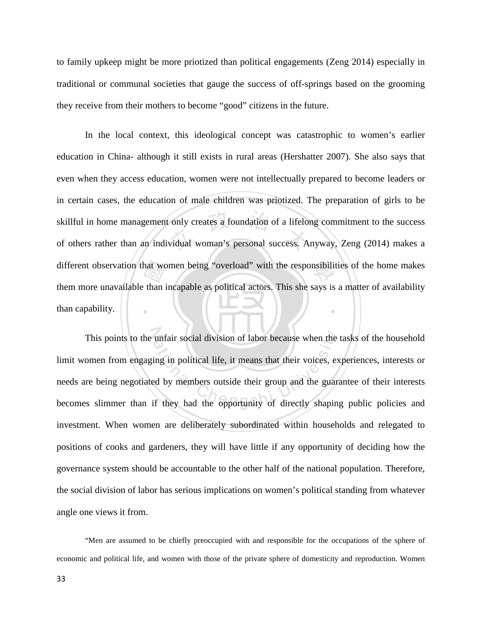to family upkeep might be more priotized than political engagements (Zeng 2014) especially in traditional or communal societies that gauge the success of off-springs based on the grooming they receive from their mothers to become "good" citizens in the future.

hat wo<br>than i skillful in home management only creates a foundation of a lifelong commitment to the success<br>of others rather than an individual woman's personal success. Anyway, Zeng (2014) makes a different observation that women being "overload" with the responsibilities of the home makes ‧ In the local context, this ideological concept was catastrophic to women's earlier education in China- although it still exists in rural areas (Hershatter 2007). She also says that even when they access education, women were not intellectually prepared to become leaders or in certain cases, the education of male children was priotized. The preparation of girls to be skillful in home management only creates a foundation of a lifelong commitment to the success them more unavailable than incapable as political actors. This she says is a matter of availability than capability.

This points to the unfair social division of labor because when the tasks of the household<br>omen from engaging in political life, it means that their voices, experiences, interests or<br>re being negotiated by members outside limit women from engaging in political life, it means that their voices, experiences, interests or needs are being negotiated by members outside their group and the guarantee of their interests becomes slimmer than if they had the opportunity of directly shaping public policies and investment. When women are deliberately subordinated within households and relegated to positions of cooks and gardeners, they will have little if any opportunity of deciding how the governance system should be accountable to the other half of the national population. Therefore, the social division of labor has serious implications on women's political standing from whatever angle one views it from.

"Men are assumed to be chiefly preoccupied with and responsible for the occupations of the sphere of economic and political life, and women with those of the private sphere of domesticity and reproduction. Women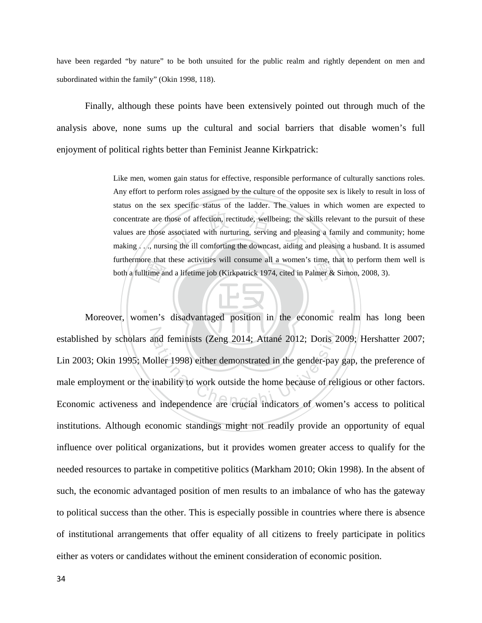have been regarded "by nature" to be both unsuited for the public realm and rightly dependent on men and subordinated within the family" (Okin 1998, 118).

Finally, although these points have been extensively pointed out through much of the analysis above, none sums up the cultural and social barriers that disable women's full enjoyment of political rights better than Feminist Jeanne Kirkpatrick:

> Itime and<br>Itime and<br>men's concentrate are those of affection, rectitude, wellbeing; the skills relevant to the pursuit of these values are those associated with nurturing, serving and pleasing a family and community; home making..., nursing the ill hurthermore that these activities will consume an a women's time, that to perform the both a fulltime and a lifetime job (Kirkpatrick 1974, cited in Palmer & Simon, 2008, 3). Like men, women gain status for effective, responsible performance of culturally sanctions roles. Any effort to perform roles assigned by the culture of the opposite sex is likely to result in loss of status on the sex specific status of the ladder. The values in which women are expected to values are those associated with nurturing, serving and pleasing a family and community; home making . . ., nursing the ill comforting the downcast, aiding and pleasing a husband. It is assumed furthermore that these activities will consume all a women's time, that to perform them well is

‧ established by scholars and feminists (Zeng 2014; Attané 2012; Doris 2009; Hershatter 2007; established by scholars and feminists (Zeng 2014; Attané 2012; Doris 2009; Hershatter 2007; Lin 2003; Okin 1995; Moller 1998) either demonstrated in the gender-pay gap, the preference of male employment or the inability to Moreover, women's disadvantaged position in the economic realm has long been Lin 2003; Okin 1995; Moller 1998) either demonstrated in the gender-pay gap, the preference of male employment or the inability to work outside the home because of religious or other factors. institutions. Although economic standings might not readily provide an opportunity of equal influence over political organizations, but it provides women greater access to qualify for the needed resources to partake in competitive politics (Markham 2010; Okin 1998). In the absent of such, the economic advantaged position of men results to an imbalance of who has the gateway to political success than the other. This is especially possible in countries where there is absence of institutional arrangements that offer equality of all citizens to freely participate in politics either as voters or candidates without the eminent consideration of economic position.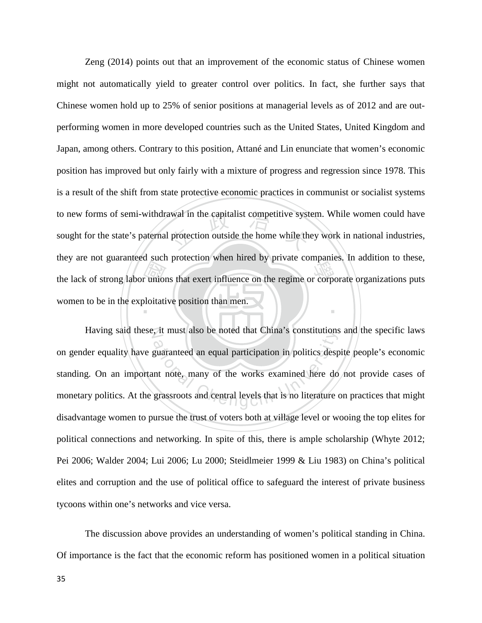the lack of strong labor unions that exert influence on the regime or corporate organizations puts<br>women to be in the exploitative position than men. awal in the capitalist competitive syst<br>protection outside the home while the ‧ Zeng (2014) points out that an improvement of the economic status of Chinese women might not automatically yield to greater control over politics. In fact, she further says that Chinese women hold up to 25% of senior positions at managerial levels as of 2012 and are outperforming women in more developed countries such as the United States, United Kingdom and Japan, among others. Contrary to this position, Attané and Lin enunciate that women's economic position has improved but only fairly with a mixture of progress and regression since 1978. This is a result of the shift from state protective economic practices in communist or socialist systems to new forms of semi-withdrawal in the capitalist competitive system. While women could have sought for the state's paternal protection outside the home while they work in national industries, they are not guaranteed such protection when hired by private companies. In addition to these, women to be in the exploitative position than men.

N Having said these, it must also be noted that China's constitutions and the specific laws The state of the works examined here do<br>guaranteed an equal participation in politics desp<br>nt note, many of the works examined here do<br>grassroots and central levels that is no literature on gender equality have guaranteed an equal participation in politics despite people's economic standing. On an important note, many of the works examined here do not provide cases of monetary politics. At the grassroots and central levels that is no literature on practices that might disadvantage women to pursue the trust of voters both at village level or wooing the top elites for political connections and networking. In spite of this, there is ample scholarship (Whyte 2012; Pei 2006; Walder 2004; Lui 2006; Lu 2000; Steidlmeier 1999 & Liu 1983) on China's political elites and corruption and the use of political office to safeguard the interest of private business tycoons within one's networks and vice versa.

The discussion above provides an understanding of women's political standing in China. Of importance is the fact that the economic reform has positioned women in a political situation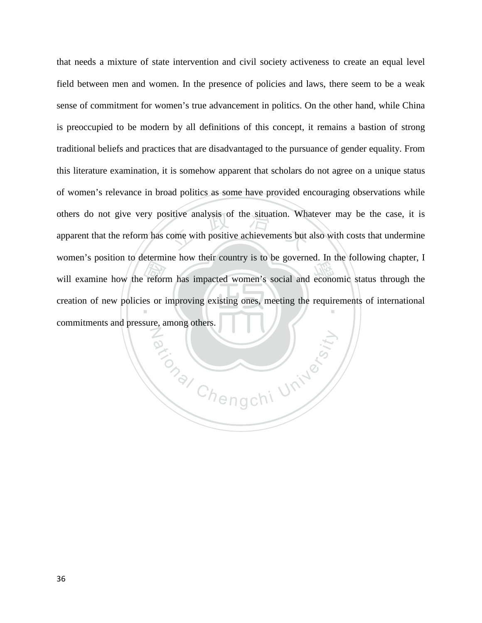will examine how the reform has impacted women's social and economic status through the creation of new policies or improving existing ones, meeting the requirements of international commitments and pressure among others. sitive analysis of the situation. What<br>come with positive achievements but creation of new policies or improving existing ones, meeting the requirements of international that needs a mixture of state intervention and civil society activeness to create an equal level field between men and women. In the presence of policies and laws, there seem to be a weak sense of commitment for women's true advancement in politics. On the other hand, while China is preoccupied to be modern by all definitions of this concept, it remains a bastion of strong traditional beliefs and practices that are disadvantaged to the pursuance of gender equality. From this literature examination, it is somehow apparent that scholars do not agree on a unique status of women's relevance in broad politics as some have provided encouraging observations while others do not give very positive analysis of the situation. Whatever may be the case, it is apparent that the reform has come with positive achievements but also with costs that undermine women's position to determine how their country is to be governed. In the following chapter, I commitments and pressure, among others.

ational University

N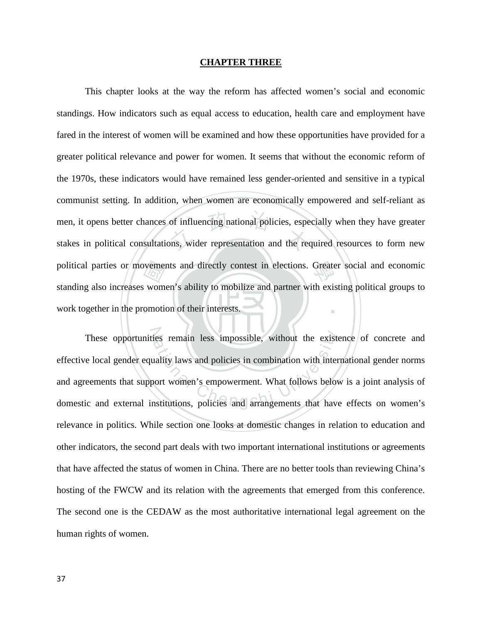#### **CHAPTER THREE**

work together in the promotion of their interests. ovemer<br>|<br>| wom<br>|<br>| gmoti of influencing national policies, espe<br>ons, wider representation and the red political parties or movements and directly contest in elections. Greater social and economic ‧ This chapter looks at the way the reform has affected women's social and economic standings. How indicators such as equal access to education, health care and employment have fared in the interest of women will be examined and how these opportunities have provided for a greater political relevance and power for women. It seems that without the economic reform of the 1970s, these indicators would have remained less gender-oriented and sensitive in a typical communist setting. In addition, when women are economically empowered and self-reliant as men, it opens better chances of influencing national policies, especially when they have greater stakes in political consultations, wider representation and the required resources to form new standing also increases women's ability to mobilize and partner with existing political groups to

These opportunities remain less impossible, without the existence of concrete and remain less impossible, without the existentiality laws and policies in combination with interval<br>and university laws and policies in combination with interval<br>out women's empowerment. What follows below<br>astitutions, polic effective local gender equality laws and policies in combination with international gender norms and agreements that support women's empowerment. What follows below is a joint analysis of domestic and external institutions, policies and arrangements that have effects on women's relevance in politics. While section one looks at domestic changes in relation to education and other indicators, the second part deals with two important international institutions or agreements that have affected the status of women in China. There are no better tools than reviewing China's hosting of the FWCW and its relation with the agreements that emerged from this conference. The second one is the CEDAW as the most authoritative international legal agreement on the human rights of women.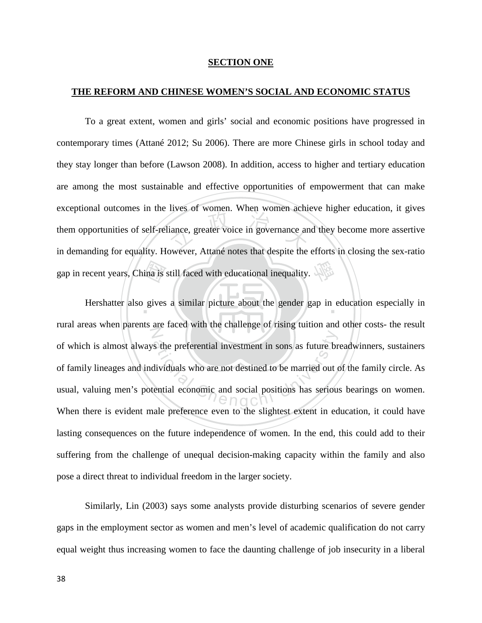#### **SECTION ONE**

#### **THE REFORM AND CHINESE WOMEN'S SOCIAL AND ECONOMIC STATUS**

tions of women: when women demonstrated<br>iance, greater voice in governance and<br>owner. Attaná notes that despite the To a great extent, women and girls' social and economic positions have progressed in contemporary times (Attané 2012; Su 2006). There are more Chinese girls in school today and they stay longer than before (Lawson 2008). In addition, access to higher and tertiary education are among the most sustainable and effective opportunities of empowerment that can make exceptional outcomes in the lives of women. When women achieve higher education, it gives them opportunities of self-reliance, greater voice in governance and they become more assertive in demanding for equality. However, Attané notes that despite the efforts in closing the sex-ratio

gap in recent years, China is still faced with educational inequality. Hershatter also gives a similar picture about the gender gap in education especially in  $Z$ s the preferential investment in sons as future br<br>dividuals who are not destined to be married out c<br>ential economic and social positions has serious rural areas when parents are faced with the challenge of rising tuition and other costs- the result of which is almost always the preferential investment in sons as future breadwinners, sustainers of family lineages and individuals who are not destined to be married out of the family circle. As usual, valuing men's potential economic and social positions has serious bearings on women. When there is evident male preference even to the slightest extent in education, it could have lasting consequences on the future independence of women. In the end, this could add to their suffering from the challenge of unequal decision-making capacity within the family and also pose a direct threat to individual freedom in the larger society.

Similarly, Lin (2003) says some analysts provide disturbing scenarios of severe gender gaps in the employment sector as women and men's level of academic qualification do not carry equal weight thus increasing women to face the daunting challenge of job insecurity in a liberal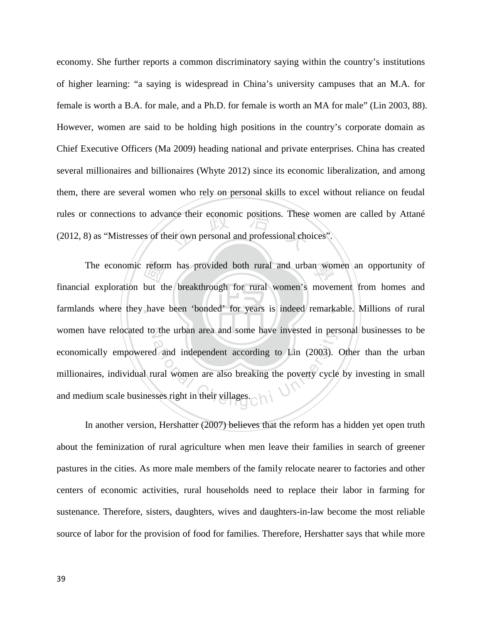nce their economic positions. These<br>eir own personal and professional cho economy. She further reports a common discriminatory saying within the country's institutions of higher learning: "a saying is widespread in China's university campuses that an M.A. for female is worth a B.A. for male, and a Ph.D. for female is worth an MA for male" (Lin 2003, 88). However, women are said to be holding high positions in the country's corporate domain as Chief Executive Officers (Ma 2009) heading national and private enterprises. China has created several millionaires and billionaires (Whyte 2012) since its economic liberalization, and among them, there are several women who rely on personal skills to excel without reliance on feudal rules or connections to advance their economic positions. These women are called by Attané (2012, 8) as "Mistresses of their own personal and professional choices".

farmlands where they have been 'bonded' for years is indeed remarkable. Millions of rural The economic reform has provided both rural and urban women an opportunity of all exploration but the breakthrough for rural women's movement from homes and ds where they have been 'bonded' for years is indeed remarkable. women have relocated to the urban area and some have invested in personal businesses to be <sup>a</sup>t<sup>i</sup>ona<sup>l</sup> <sup>C</sup>hengch<sup>i</sup> <sup>U</sup>nivers<sup>i</sup>t<sup>y</sup> financial exploration but the breakthrough for rural women's movement from homes and economically empowered and independent according to Lin (2003). Other than the urban millionaires, individual rural women are also breaking the poverty cycle by investing in small and medium scale businesses right in their villages.

In another version, Hershatter (2007) believes that the reform has a hidden yet open truth about the feminization of rural agriculture when men leave their families in search of greener pastures in the cities. As more male members of the family relocate nearer to factories and other centers of economic activities, rural households need to replace their labor in farming for sustenance. Therefore, sisters, daughters, wives and daughters-in-law become the most reliable source of labor for the provision of food for families. Therefore, Hershatter says that while more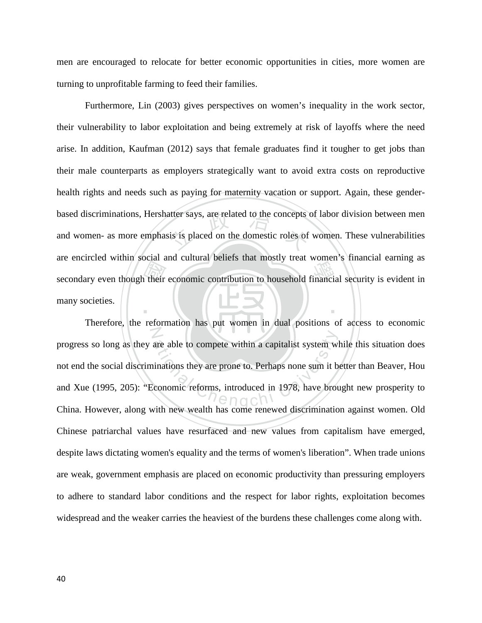men are encouraged to relocate for better economic opportunities in cities, more women are turning to unprofitable farming to feed their families.

secondary even though their economic contribution to household financial security is evident in<br>many societies. atter says, are related to the concepts<br>sis is placed on the domestic roles of ‧ Furthermore, Lin (2003) gives perspectives on women's inequality in the work sector, their vulnerability to labor exploitation and being extremely at risk of layoffs where the need arise. In addition, Kaufman (2012) says that female graduates find it tougher to get jobs than their male counterparts as employers strategically want to avoid extra costs on reproductive health rights and needs such as paying for maternity vacation or support. Again, these genderbased discriminations, Hershatter says, are related to the concepts of labor division between men and women- as more emphasis is placed on the domestic roles of women. These vulnerabilities are encircled within social and cultural beliefs that mostly treat women's financial earning as many societies.

are able to compete within a capitalist system while<br>
minations they are prone to. Perhaps none sum it be<br>
Economic reforms, introduced in 1978, have bround<br>
with new wealth has come renewed discrimination Therefore, the reformation has put women in dual positions of access to economic progress so long as they are able to compete within a capitalist system while this situation does not end the social discriminations they are prone to. Perhaps none sum it better than Beaver, Hou and Xue (1995, 205): "Economic reforms, introduced in 1978, have brought new prosperity to China. However, along with new wealth has come renewed discrimination against women. Old Chinese patriarchal values have resurfaced and new values from capitalism have emerged, despite laws dictating women's equality and the terms of women's liberation". When trade unions are weak, government emphasis are placed on economic productivity than pressuring employers to adhere to standard labor conditions and the respect for labor rights, exploitation becomes widespread and the weaker carries the heaviest of the burdens these challenges come along with.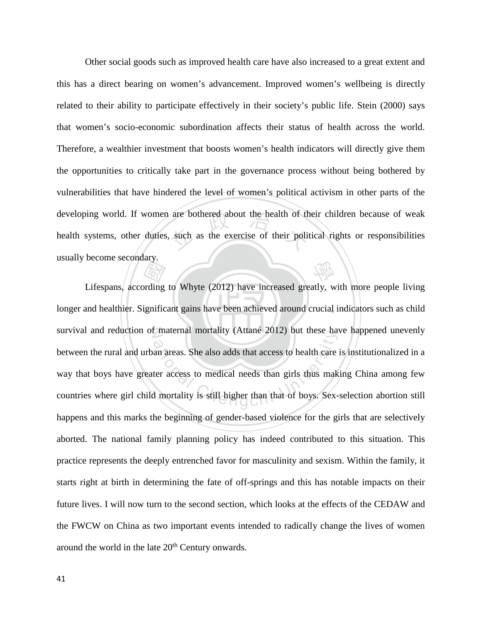are bothered about the health of the<br>such as the exercise of their politically 學 Other social goods such as improved health care have also increased to a great extent and this has a direct bearing on women's advancement. Improved women's wellbeing is directly related to their ability to participate effectively in their society's public life. Stein (2000) says that women's socio-economic subordination affects their status of health across the world. Therefore, a wealthier investment that boosts women's health indicators will directly give them the opportunities to critically take part in the governance process without being bothered by vulnerabilities that have hindered the level of women's political activism in other parts of the developing world. If women are bothered about the health of their children because of weak health systems, other duties, such as the exercise of their political rights or responsibilities usually become secondary.

longer and healthier. Significant gains have been achieved around crucial indicators such as child **That's**<br> **Container Strategier Container**<br> **Explorition** survival and reduction of maternal mortality (Attané 2012) but these have happened unevenly maternal mortality (Attane 2012) but these has<br>an areas. She also adds that access to health care<br>ter access to medical needs than girls thus mak<br>d mortality is still higher than that of boys. Sex-Lifespans, according to Whyte (2012) have increased greatly, with more people living between the rural and urban areas. She also adds that access to health care is institutionalized in a way that boys have greater access to medical needs than girls thus making China among few countries where girl child mortality is still higher than that of boys. Sex-selection abortion still happens and this marks the beginning of gender-based violence for the girls that are selectively aborted. The national family planning policy has indeed contributed to this situation. This practice represents the deeply entrenched favor for masculinity and sexism. Within the family, it starts right at birth in determining the fate of off-springs and this has notable impacts on their future lives. I will now turn to the second section, which looks at the effects of the CEDAW and the FWCW on China as two important events intended to radically change the lives of women around the world in the late 20<sup>th</sup> Century onwards.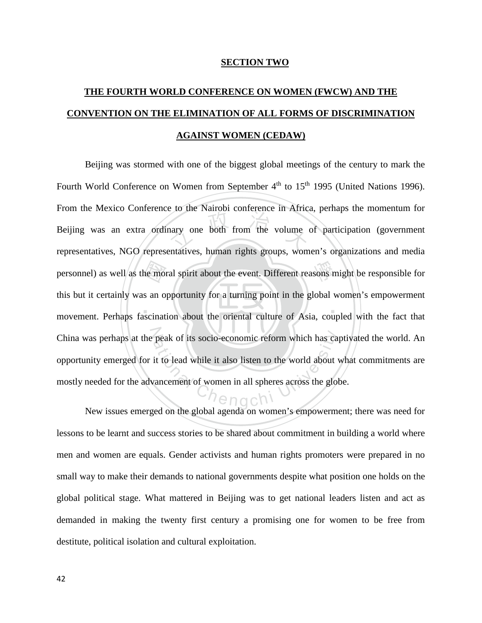#### **SECTION TWO**

# **THE FOURTH WORLD CONFERENCE ON WOMEN (FWCW) AND THE CONVENTION ON THE ELIMINATION OF ALL FORMS OF DISCRIMINATION AGAINST WOMEN (CEDAW)**

 $\mathbf{A}$  ,  $\mathbf{A}$  ,  $\mathbf{A}$  ,  $\mathbf{A}$  ,  $\mathbf{A}$ he moi<br>s an o<br>scinat hard temperature in the column<br>and the volume of the volume personnel) as well as the moral spirit about the event. Different reasons might be responsible for China was perhaps at the peak of its socio-economic reform which has captivated the world. An opportunity emerged for it to lead while it also listen to the world about what commitments are mostly needed for the advancemen Beijing was stormed with one of the biggest global meetings of the century to mark the Fourth World Conference on Women from September 4<sup>th</sup> to 15<sup>th</sup> 1995 (United Nations 1996). From the Mexico Conference to the Nairobi conference in Africa, perhaps the momentum for Beijing was an extra ordinary one both from the volume of participation (government representatives, NGO representatives, human rights groups, women's organizations and media this but it certainly was an opportunity for a turning point in the global women's empowerment movement. Perhaps fascination about the oriental culture of Asia, coupled with the fact that opportunity emerged for it to lead while it also listen to the world about what commitments are mostly needed for the advancement of women in all spheres across the globe.

New issues emerged on the global agenda on women's empowerment; there was need for lessons to be learnt and success stories to be shared about commitment in building a world where men and women are equals. Gender activists and human rights promoters were prepared in no small way to make their demands to national governments despite what position one holds on the global political stage. What mattered in Beijing was to get national leaders listen and act as demanded in making the twenty first century a promising one for women to be free from destitute, political isolation and cultural exploitation.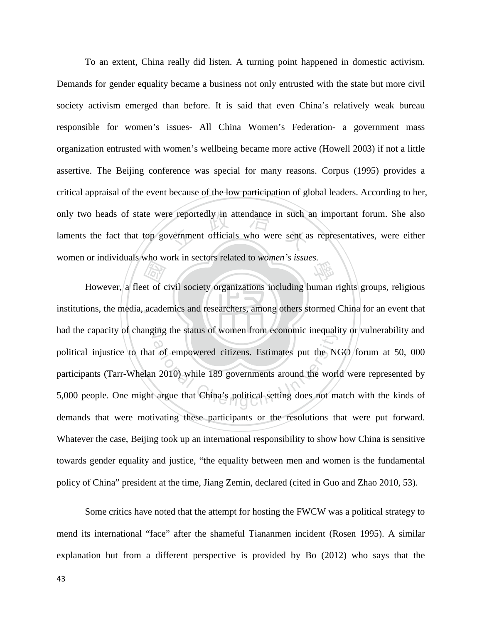e reportedly in attendance in such a<br>vernment officials who were sent a 學 To an extent, China really did listen. A turning point happened in domestic activism. Demands for gender equality became a business not only entrusted with the state but more civil society activism emerged than before. It is said that even China's relatively weak bureau responsible for women's issues- All China Women's Federation- a government mass organization entrusted with women's wellbeing became more active (Howell 2003) if not a little assertive. The Beijing conference was special for many reasons. Corpus (1995) provides a critical appraisal of the event because of the low participation of global leaders. According to her, only two heads of state were reportedly in attendance in such an important forum. She also laments the fact that top government officials who were sent as representatives, were either women or individuals who work in sectors related to *women's issues.* 

institutions, the media, academics and researchers, among others stormed China for an event that Extended to a cade had the capacity of changing the status of women from economic inequality or vulnerability and the status of women from economic mequanties<br>that of empowered citizens. Estimates put the NC<br>ation 2010) while 189 governments around the worlds<br>argue that China's political setting does not ma However, a fleet of civil society organizations including human rights groups, religious political injustice to that of empowered citizens. Estimates put the NGO forum at 50, 000 participants (Tarr-Whelan 2010) while 189 governments around the world were represented by 5,000 people. One might argue that China's political setting does not match with the kinds of demands that were motivating these participants or the resolutions that were put forward. Whatever the case, Beijing took up an international responsibility to show how China is sensitive towards gender equality and justice, "the equality between men and women is the fundamental policy of China" president at the time, Jiang Zemin, declared (cited in Guo and Zhao 2010, 53).

Some critics have noted that the attempt for hosting the FWCW was a political strategy to mend its international "face" after the shameful Tiananmen incident (Rosen 1995). A similar explanation but from a different perspective is provided by Bo (2012) who says that the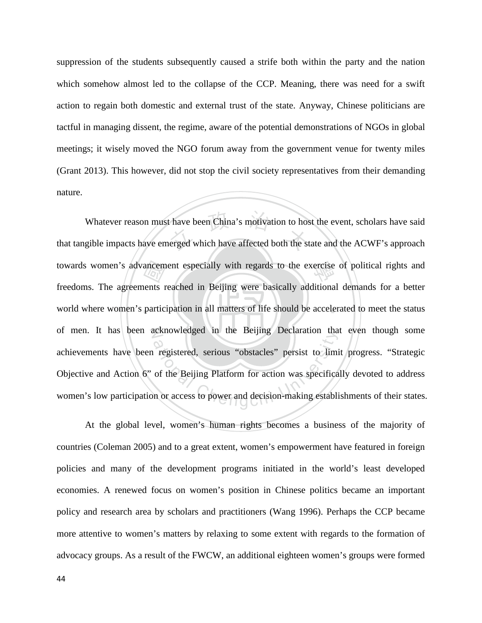suppression of the students subsequently caused a strife both within the party and the nation which somehow almost led to the collapse of the CCP. Meaning, there was need for a swift action to regain both domestic and external trust of the state. Anyway, Chinese politicians are tactful in managing dissent, the regime, aware of the potential demonstrations of NGOs in global meetings; it wisely moved the NGO forum away from the government venue for twenty miles (Grant 2013). This however, did not stop the civil society representatives from their demanding nature.

world where women's participation in all matters of life should be accelerated to meet the status towards women's advancement especially with regards to the exercise of political rights and freedoms. The agreements reached in Beijing were basically additional demands for a better world where women's participation in al Whatever reason must have been China's motivation to host the event, scholars have said<br>that tangible impacts have emerged which have affected both the state and the ACWF's approach of men. It has been acknowledged in the Beijing Declaration that even though some registered, serious "obstacles" persist to limited<br>registered, serious "obstacles" persist to limited<br>of the Beijing Platform for action was specificant<br>or access to power and decision-making establis Whatever reason must have been China's motivation to host the event, scholars have said freedoms. The agreements reached in Beijing were basically additional demands for a better achievements have been registered, serious "obstacles" persist to limit progress. "Strategic Objective and Action 6" of the Beijing Platform for action was specifically devoted to address women's low participation or access to power and decision-making establishments of their states.

At the global level, women's human rights becomes a business of the majority of countries (Coleman 2005) and to a great extent, women's empowerment have featured in foreign policies and many of the development programs initiated in the world's least developed economies. A renewed focus on women's position in Chinese politics became an important policy and research area by scholars and practitioners (Wang 1996). Perhaps the CCP became more attentive to women's matters by relaxing to some extent with regards to the formation of advocacy groups. As a result of the FWCW, an additional eighteen women's groups were formed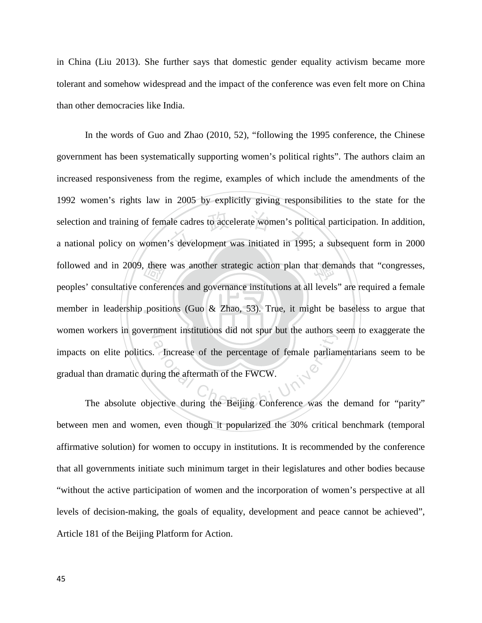in China (Liu 2013). She further says that domestic gender equality activism became more tolerant and somehow widespread and the impact of the conference was even felt more on China than other democracies like India.

there<br>onfere<br>positi ale cadres to accelerate women's political<br>strategy of the distribution of the distribution of the distribution of the distribution of the distribution of the distribution of the distribution of the distribution of the dis followed and in 2009, there was another strategic action plan that demands that "congresses, member in leadership positions (Guo & Zhao, 53). True, it might be baseless to argue that women workers in government institutions did not spur but the authors seem to exaggerate the ation elite politics. Increase of the percentage of female parliamentarians seem to be than dramatic during the aftermath of the FWCW.<br>The absolute objective during the Beijing Conference was the demand for "parity" In the words of Guo and Zhao (2010, 52), "following the 1995 conference, the Chinese government has been systematically supporting women's political rights". The authors claim an increased responsiveness from the regime, examples of which include the amendments of the 1992 women's rights law in 2005 by explicitly giving responsibilities to the state for the selection and training of female cadres to accelerate women's political participation. In addition, a national policy on women's development was initiated in 1995; a subsequent form in 2000 peoples' consultative conferences and governance institutions at all levels" are required a female impacts on elite politics. Increase of the percentage of female parliamentarians seem to be gradual than dramatic during the aftermath of the FWCW.

between men and women, even though it popularized the 30% critical benchmark (temporal affirmative solution) for women to occupy in institutions. It is recommended by the conference that all governments initiate such minimum target in their legislatures and other bodies because "without the active participation of women and the incorporation of women's perspective at all levels of decision-making, the goals of equality, development and peace cannot be achieved", Article 181 of the Beijing Platform for Action.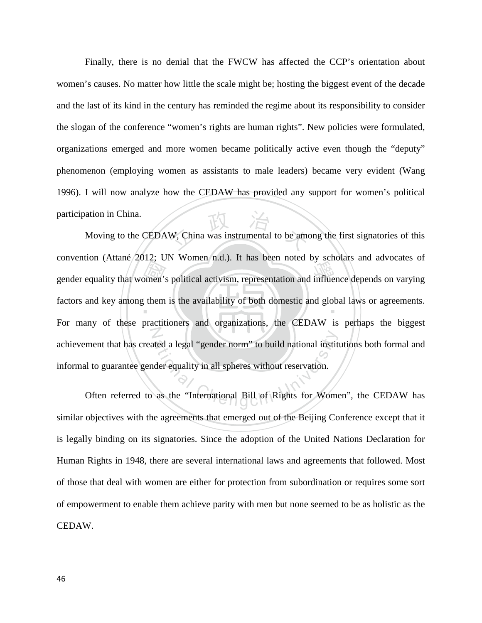Finally, there is no denial that the FWCW has affected the CCP's orientation about women's causes. No matter how little the scale might be; hosting the biggest event of the decade and the last of its kind in the century has reminded the regime about its responsibility to consider the slogan of the conference "women's rights are human rights". New policies were formulated, organizations emerged and more women became politically active even though the "deputy" phenomenon (employing women as assistants to male leaders) became very evident (Wang 1996). I will now analyze how the CEDAW has provided any support for women's political participation in China.

gender equality that women's political activism, representation and influence depends on varying<br>factors and key among them is the availability of both domestic and global laws or agreements. W, China was instrumental to be amo factors and key among them is the availability of both domestic and global laws or agreements. N ated a legal "gender norm" to build national instituted<br>der equality in all spheres without reservation.<br>as the "International Bill of Rights for Wome Moving to the CEDAW, China was instrumental to be among the first signatories of this convention (Attané 2012; UN Women n.d.). It has been noted by scholars and advocates of For many of these practitioners and organizations, the CEDAW is perhaps the biggest achievement that has created a legal "gender norm" to build national institutions both formal and informal to guarantee gender equality in all spheres without reservation.

Often referred to as the "International Bill of Rights for Women", the CEDAW has similar objectives with the agreements that emerged out of the Beijing Conference except that it is legally binding on its signatories. Since the adoption of the United Nations Declaration for Human Rights in 1948, there are several international laws and agreements that followed. Most of those that deal with women are either for protection from subordination or requires some sort of empowerment to enable them achieve parity with men but none seemed to be as holistic as the CEDAW.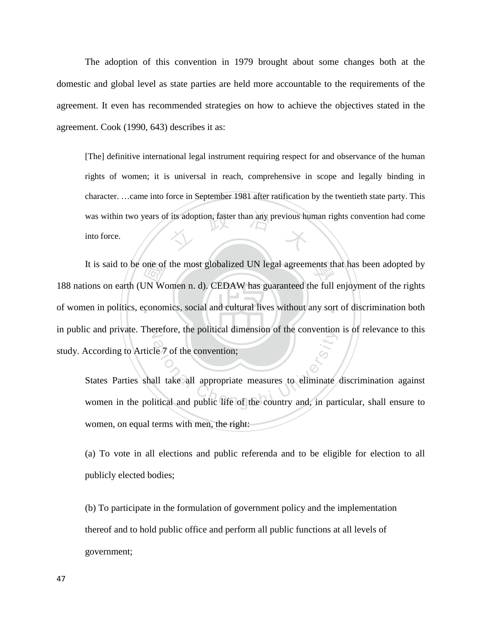The adoption of this convention in 1979 brought about some changes both at the domestic and global level as state parties are held more accountable to the requirements of the agreement. It even has recommended strategies on how to achieve the objectives stated in the agreement. Cook (1990, 643) describes it as:

was within two years of its adoption, faster than any previous human rights convention had come<br>into force. [The] definitive international legal instrument requiring respect for and observance of the human rights of women; it is universal in reach, comprehensive in scope and legally binding in character. …came into force in September 1981 after ratification by the twentieth state party. This into force.

of women in politics, economics, social and cultural lives without any sort of discrimination both one of<br>JN Wo<br>conon It is said to be one of the most globalized UN legal agreements that has been adopted by in public and private. Therefore, the political dimension of the convention is of relevance to this 188 nations on earth (UN Women n. d). CEDAW has guaranteed the full enjoyment of the rights study. According to Article 7 of the convention;

According to Article 7 of the convention;<br>States Parties shall take all appropriate measures to eliminate discrimination against<br>women in the political and public life of the country and, in particular, shall ensure to States Parties shall take all appropriate measures to eliminate discrimination against women, on equal terms with men, the right:

(a) To vote in all elections and public referenda and to be eligible for election to all publicly elected bodies;

(b) To participate in the formulation of government policy and the implementation thereof and to hold public office and perform all public functions at all levels of government;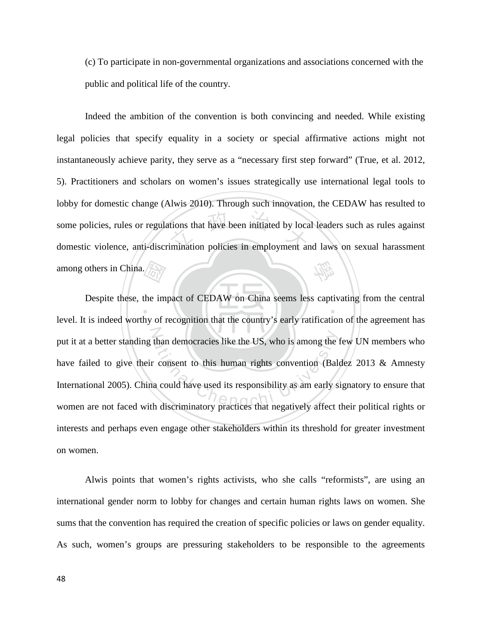(c) To participate in non-governmental organizations and associations concerned with the public and political life of the country.

tions that have been initiated by location<br>imination policies in employment and 學 Indeed the ambition of the convention is both convincing and needed. While existing legal policies that specify equality in a society or special affirmative actions might not instantaneously achieve parity, they serve as a "necessary first step forward" (True, et al. 2012, 5). Practitioners and scholars on women's issues strategically use international legal tools to lobby for domestic change (Alwis 2010). Through such innovation, the CEDAW has resulted to some policies, rules or regulations that have been initiated by local leaders such as rules against domestic violence, anti-discrimination policies in employment and laws on sexual harassment among others in China.

 $\frac{\sqrt{2\pi}}{\sqrt{2}}$ <br>the im ‧ than democracies like the US, who is among the process of the US, who is among the process in convention (Balmar could have used its responsibility as am early studies that discriminatory practices that negatively affect t Despite these, the impact of CEDAW on China seems less captivating from the central level. It is indeed worthy of recognition that the country's early ratification of the agreement has put it at a better standing than democracies like the US, who is among the few UN members who have failed to give their consent to this human rights convention (Baldez 2013 & Amnesty International 2005). China could have used its responsibility as am early signatory to ensure that women are not faced with discriminatory practices that negatively affect their political rights or interests and perhaps even engage other stakeholders within its threshold for greater investment on women.

Alwis points that women's rights activists, who she calls "reformists", are using an international gender norm to lobby for changes and certain human rights laws on women. She sums that the convention has required the creation of specific policies or laws on gender equality. As such, women's groups are pressuring stakeholders to be responsible to the agreements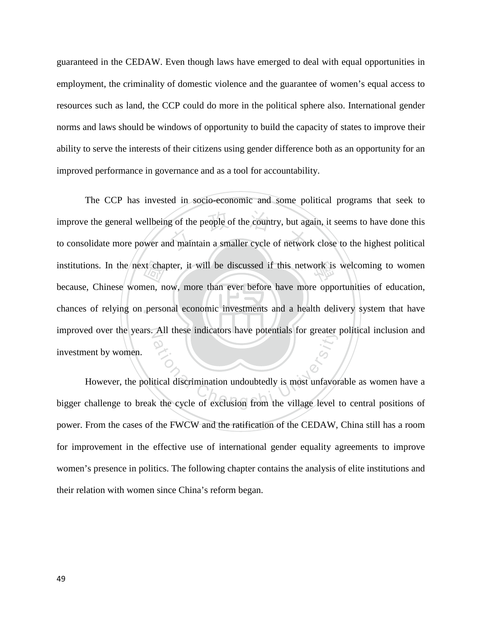guaranteed in the CEDAW. Even though laws have emerged to deal with equal opportunities in employment, the criminality of domestic violence and the guarantee of women's equal access to resources such as land, the CCP could do more in the political sphere also. International gender norms and laws should be windows of opportunity to build the capacity of states to improve their ability to serve the interests of their citizens using gender difference both as an opportunity for an improved performance in governance and as a tool for accountability.

chances of relying on personal economic investments and a health delivery system that have institutions. In the next chapter, it will be discussed if this network is welcoming to women<br>because, Chinese women, now, more than ever before have more opportunities of education,<br>chances of relying on personal economic g of the people of the country, but ag<br>ad maintain a smaller cycle of networ improved over the years. All these indicators have potentials for greater political inclusion and The CCP has invested in socio-economic and some political programs that seek to improve the general wellbeing of the people of the country, but again, it seems to have done this to consolidate more power and maintain a smaller cycle of network close to the highest political because, Chinese women, now, more than ever before have more opportunities of education, investment by women.

All these indicators have potentials for greater<br>atical discrimination undoubtedly is most unfavor<br>of the cycle of exclusion from the village level However, the political discrimination undoubtedly is most unfavorable as women have a bigger challenge to break the cycle of exclusion from the village level to central positions of power. From the cases of the FWCW and the ratification of the CEDAW, China still has a room for improvement in the effective use of international gender equality agreements to improve women's presence in politics. The following chapter contains the analysis of elite institutions and their relation with women since China's reform began.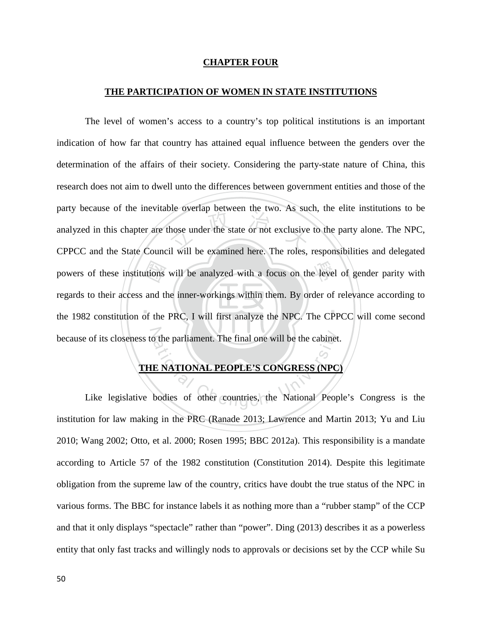#### **CHAPTER FOUR**

#### **THE PARTICIPATION OF WOMEN IN STATE INSTITUTIONS**

utions<br>and the<br>of the hose under the state or not exclusive<br>il will be examined here. The roles powers of these institutions will be analyzed with a focus on the level of gender parity with ‧ because of its closeness to the parliament. The final one will be the cabinet. The level of women's access to a country's top political institutions is an important indication of how far that country has attained equal influence between the genders over the determination of the affairs of their society. Considering the party-state nature of China, this research does not aim to dwell unto the differences between government entities and those of the party because of the inevitable overlap between the two. As such, the elite institutions to be analyzed in this chapter are those under the state or not exclusive to the party alone. The NPC, CPPCC and the State Council will be examined here. The roles, responsibilities and delegated regards to their access and the inner-workings within them. By order of relevance according to the 1982 constitution of the PRC, I will first analyze the NPC. The CPPCC will come second

# **THE NATIONAL PEOPLE'S CONGRESS (NPC)**

The parliament. The final one will be the cabinet<br>
E NATIONAL PEOPLE'S CONGRESS (NPC<br>
bodies of other countries, the National Peop Like legislative bodies of other countries, the National People's Congress is the institution for law making in the PRC (Ranade 2013; Lawrence and Martin 2013; Yu and Liu 2010; Wang 2002; Otto, et al. 2000; Rosen 1995; BBC 2012a). This responsibility is a mandate according to Article 57 of the 1982 constitution (Constitution 2014). Despite this legitimate obligation from the supreme law of the country, critics have doubt the true status of the NPC in various forms. The BBC for instance labels it as nothing more than a "rubber stamp" of the CCP and that it only displays "spectacle" rather than "power". Ding (2013) describes it as a powerless entity that only fast tracks and willingly nods to approvals or decisions set by the CCP while Su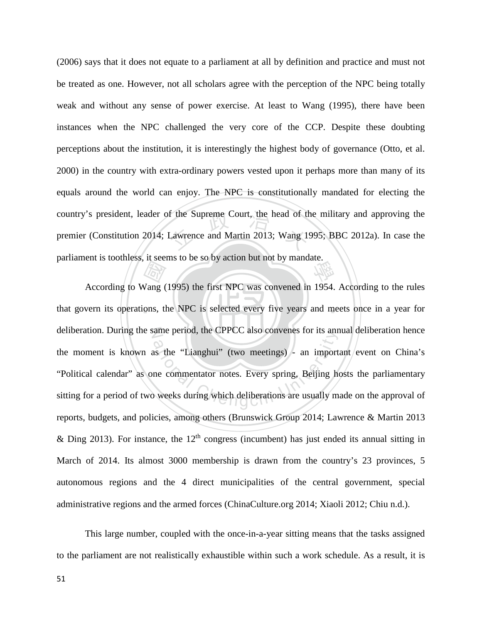f the Supreme Court, the head of the<br>Lawrence and Martin 2013; Wang 19 學 (2006) says that it does not equate to a parliament at all by definition and practice and must not be treated as one. However, not all scholars agree with the perception of the NPC being totally weak and without any sense of power exercise. At least to Wang (1995), there have been instances when the NPC challenged the very core of the CCP. Despite these doubting perceptions about the institution, it is interestingly the highest body of governance (Otto, et al. 2000) in the country with extra-ordinary powers vested upon it perhaps more than many of its equals around the world can enjoy. The NPC is constitutionally mandated for electing the country's president, leader of the Supreme Court, the head of the military and approving the premier (Constitution 2014; Lawrence and Martin 2013; Wang 1995; BBC 2012a). In case the parliament is toothless, it seems to be so by action but not by mandate.

that govern its operations, the NPC is selected every five years and meets once in a year for *May*<br>Vang ( deliberation. During the same period, the CPPCC also convenes for its annual deliberation hence ame period, the CPPCC also convenes for its and<br>as the "Lianghui" (two meetings) - an import<br>ne commentator notes. Every spring, Beijing ho<br>weeks during which deliberations are usually m According to Wang (1995) the first NPC was convened in 1954. According to the rules the moment is known as the "Lianghui" (two meetings) - an important event on China's "Political calendar" as one commentator notes. Every spring, Beijing hosts the parliamentary sitting for a period of two weeks during which deliberations are usually made on the approval of reports, budgets, and policies, among others (Brunswick Group 2014; Lawrence & Martin 2013 & Ding 2013). For instance, the  $12<sup>th</sup>$  congress (incumbent) has just ended its annual sitting in March of 2014. Its almost 3000 membership is drawn from the country's 23 provinces, 5 autonomous regions and the 4 direct municipalities of the central government, special administrative regions and the armed forces (ChinaCulture.org 2014; Xiaoli 2012; Chiu n.d.).

This large number, coupled with the once-in-a-year sitting means that the tasks assigned to the parliament are not realistically exhaustible within such a work schedule. As a result, it is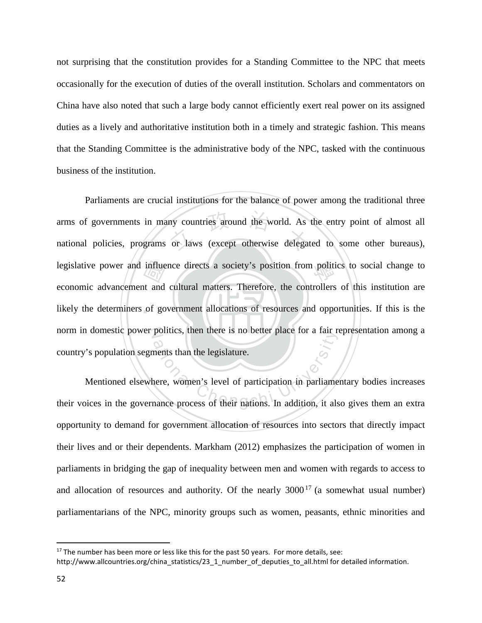not surprising that the constitution provides for a Standing Committee to the NPC that meets occasionally for the execution of duties of the overall institution. Scholars and commentators on China have also noted that such a large body cannot efficiently exert real power on its assigned duties as a lively and authoritative institution both in a timely and strategic fashion. This means that the Standing Committee is the administrative body of the NPC, tasked with the continuous business of the institution.

‧influe<br>t and<br>of go ny countries around the world. As<br>or laws (except otherwise delegate legislative power and influence directs a society's position from politics to social change to likely the determiners of government allocations of resources and opportunities. If this is the norm in domestic power politics, then there is no better place for a fair representation among a Parliaments are crucial institutions for the balance of power among the traditional three arms of governments in many countries around the world. As the entry point of almost all national policies, programs or laws (except otherwise delegated to some other bureaus), economic advancement and cultural matters. Therefore, the controllers of this institution are country's population segments than the legislature.

pointes, then there is no better place for a fail re-<br>ments than the legislature.<br>here, women's level of participation in parliame<br>nance process of their nations. In addition, it also Mentioned elsewhere, women's level of participation in parliamentary bodies increases their voices in the governance process of their nations. In addition, it also gives them an extra opportunity to demand for government allocation of resources into sectors that directly impact their lives and or their dependents. Markham (2012) emphasizes the participation of women in parliaments in bridging the gap of inequality between men and women with regards to access to and allocation of resources and authority. Of the nearly  $3000^{17}$  $3000^{17}$  $3000^{17}$  (a somewhat usual number) parliamentarians of the NPC, minority groups such as women, peasants, ethnic minorities and

 $\overline{\phantom{a}}$ 

<span id="page-58-0"></span> $17$  The number has been more or less like this for the past 50 years. For more details, see:

http://www.allcountries.org/china\_statistics/23\_1\_number\_of\_deputies\_to\_all.html for detailed information.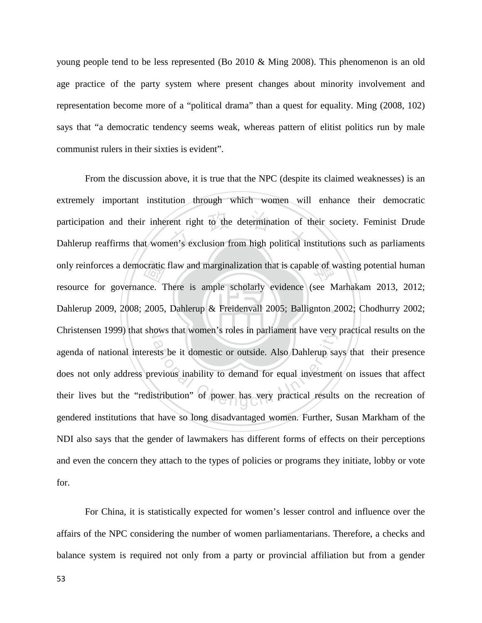young people tend to be less represented (Bo 2010 & Ming 2008). This phenomenon is an old age practice of the party system where present changes about minority involvement and representation become more of a "political drama" than a quest for equality. Ming (2008, 102) says that "a democratic tendency seems weak, whereas pattern of elitist politics run by male communist rulers in their sixties is evident".

Dahlerup 2009, 2008; 2005, Dahlerup & Freidenvall 2005; Ballignton 2002; Chodhurry 2002; only reinforces a democratic flaw and marginalization that is capable of wasting potential human<br>resource for governance. There is ample scholarly evidence (see Marhakam 2013, 2012;<br>Dahlerup 2009, 2008; 2005, Dahlerup & Fr participation and their inherent right to the determination of their society. Feminist Drude<br>Dahlerup reaffirms that women's exclusion from high political institutions such as parliaments Christensen 1999) that shows that women's roles in parliament have very practical results on the Figure 3 and women's roles in partiament have very<br>sts be it domestic or outside. Also Dahlerup say<br>evious inability to demand for equal investment<br>stribution" of power has very practical results From the discussion above, it is true that the NPC (despite its claimed weaknesses) is an extremely important institution through which women will enhance their democratic participation and their inherent right to the determination of their society. Feminist Drude resource for governance. There is ample scholarly evidence (see Marhakam 2013, 2012; agenda of national interests be it domestic or outside. Also Dahlerup says that their presence does not only address previous inability to demand for equal investment on issues that affect their lives but the "redistribution" of power has very practical results on the recreation of gendered institutions that have so long disadvantaged women. Further, Susan Markham of the NDI also says that the gender of lawmakers has different forms of effects on their perceptions and even the concern they attach to the types of policies or programs they initiate, lobby or vote for.

For China, it is statistically expected for women's lesser control and influence over the affairs of the NPC considering the number of women parliamentarians. Therefore, a checks and balance system is required not only from a party or provincial affiliation but from a gender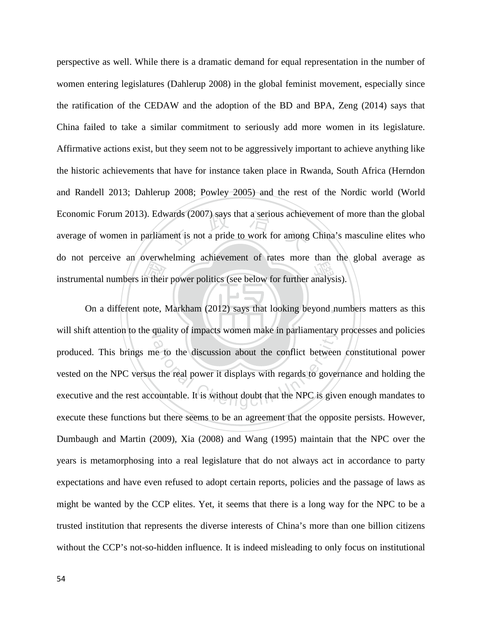instrumental numbers in their power politics (see below for further analysis).<br>On a different note, Markham (2012) says that looking beyond num vards (2007) says that a serious achiev<br>tent is not a pride to work for among perspective as well. While there is a dramatic demand for equal representation in the number of women entering legislatures (Dahlerup 2008) in the global feminist movement, especially since the ratification of the CEDAW and the adoption of the BD and BPA, Zeng (2014) says that China failed to take a similar commitment to seriously add more women in its legislature. Affirmative actions exist, but they seem not to be aggressively important to achieve anything like the historic achievements that have for instance taken place in Rwanda, South Africa (Herndon and Randell 2013; Dahlerup 2008; Powley 2005) and the rest of the Nordic world (World Economic Forum 2013). Edwards (2007) says that a serious achievement of more than the global average of women in parliament is not a pride to work for among China's masculine elites who do not perceive an overwhelming achievement of rates more than the global average as

On a different note, Markham (2012) says that looking beyond numbers matters as this will shift attention to the quality of impacts women make in parliamentary processes and policies quanty of impacts women make in paritamentary<br>he to the discussion about the conflict between<br>s the real power it displays with regards to gover<br>countable. It is without doubt that the NPC is give produced. This brings me to the discussion about the conflict between constitutional power vested on the NPC versus the real power it displays with regards to governance and holding the executive and the rest accountable. It is without doubt that the NPC is given enough mandates to execute these functions but there seems to be an agreement that the opposite persists. However, Dumbaugh and Martin (2009), Xia (2008) and Wang (1995) maintain that the NPC over the years is metamorphosing into a real legislature that do not always act in accordance to party expectations and have even refused to adopt certain reports, policies and the passage of laws as might be wanted by the CCP elites. Yet, it seems that there is a long way for the NPC to be a trusted institution that represents the diverse interests of China's more than one billion citizens without the CCP's not-so-hidden influence. It is indeed misleading to only focus on institutional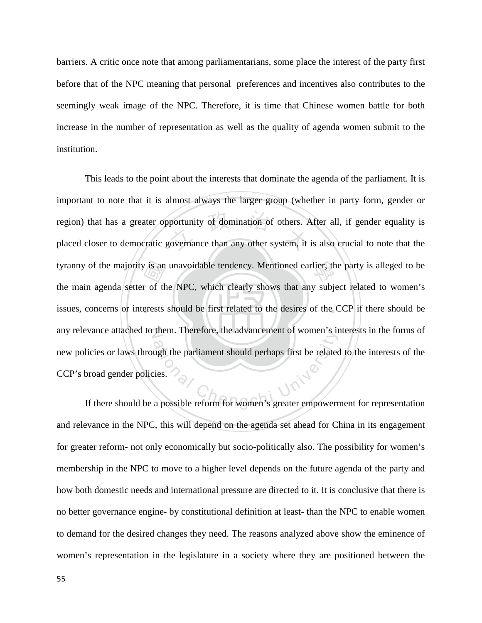barriers. A critic once note that among parliamentarians, some place the interest of the party first before that of the NPC meaning that personal preferences and incentives also contributes to the seemingly weak image of the NPC. Therefore, it is time that Chinese women battle for both increase in the number of representation as well as the quality of agenda women submit to the institution.

issues, concerns or interests should be first related to the desires of the CCP if there should be tyranny of the majority is an unavoidable tendency. Mentioned earlier, the party is alleged to be the main agenda setter of the NPC, which clearly shows that any subject related to women's issues, concerns or interests sho portunity of domination of others. A<br>governance than any other system, it any relevance attached to them. Therefore, the advancement of women's interests in the forms of It there should be a possible reform for women's greater empowerment for representation This leads to the point about the interests that dominate the agenda of the parliament. It is important to note that it is almost always the larger group (whether in party form, gender or region) that has a greater opportunity of domination of others. After all, if gender equality is placed closer to democratic governance than any other system, it is also crucial to note that the the main agenda setter of the NPC, which clearly shows that any subject related to women's new policies or laws through the parliament should perhaps first be related to the interests of the CCP's broad gender policies.

and relevance in the NPC, this will depend on the agenda set ahead for China in its engagement for greater reform- not only economically but socio-politically also. The possibility for women's membership in the NPC to move to a higher level depends on the future agenda of the party and how both domestic needs and international pressure are directed to it. It is conclusive that there is no better governance engine- by constitutional definition at least- than the NPC to enable women to demand for the desired changes they need. The reasons analyzed above show the eminence of women's representation in the legislature in a society where they are positioned between the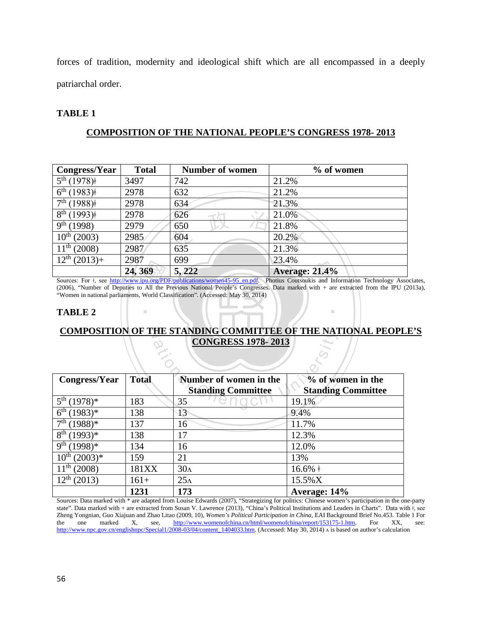forces of tradition, modernity and ideological shift which are all encompassed in a deeply patriarchal order.

# **TABLE 1**

# **COMPOSITION OF THE NATIONAL PEOPLE'S CONGRESS 1978- 2013**

| <b>Congress/Year</b>                   | <b>Total</b> | <b>Number of women</b> | $%$ of women          |
|----------------------------------------|--------------|------------------------|-----------------------|
| $\frac{1}{5^{th}}(1978)^{\frac{1}{2}}$ | 3497         | 742                    | 21.2%                 |
| $6^{th}$ (1983) <sup>‡</sup>           | 2978         | 632                    | 21.2%                 |
| $7th$ (1988) <sup>‡</sup>              | 2978         | 634                    | 21.3%                 |
| 8 <sup>th</sup><br>(1993)              | 2978         | 626                    | 21.0%                 |
| 9 <sup>th</sup><br>(1998)              | 2979         | 650                    | 21.8%                 |
| $10^{th}$ (2003)                       | 2985         | 604                    | 20.2%                 |
| $11^{th}$ (2008)                       | 2987         | 635                    | 21.3%                 |
| $12^{th} (2013) +$                     | 2987         | 699                    | 23.4%                 |
|                                        | 24, 369      | 5, 222                 | <b>Average: 21.4%</b> |

 $\frac{12^{n}(2013)+2987}{24,369}$  5, 222 Average: 21.4%<br>
Sources: For <sup>‡</sup>, see [http://www.ipu.org/PDF/publications/women45-95\\_en.pdf.](http://www.ipu.org/PDF/publications/women45-95_en.pdf) Photius Coutsoukis and Information Technology Associates,<br>
(2006), "Number of Deputies to All (2006), "Number of Deputies to All the Previous National People's Congresses. Data marked with + are extracted from the IPU (2013a), "Women in national parliaments, World Classification". (Accessed: May 30, 2014)

‧

#### **TABLE 2**

‧

# <u>COMPOSITION OF THE STANDING COMMITTEE OF THE NATIONAL PEOPLE'S</u> **CONGRESS 1978- 2013**

| COMPOSITION OF THE STANDING COMMITTEE OF THE NATIONAL PEOPL<br><b>CONGRESS 1978-2013</b> |              |                                                     |                                                |
|------------------------------------------------------------------------------------------|--------------|-----------------------------------------------------|------------------------------------------------|
| Congress/Year                                                                            | <b>Total</b> | Number of women in the<br><b>Standing Committee</b> | % of women in the<br><b>Standing Committee</b> |
| 5 <sup>th</sup><br>$(1978)*$                                                             | 183          | 35                                                  | 19.1%                                          |
| 6 <sup>th</sup><br>$(1983)*$                                                             | 138          | 13                                                  | 9.4%                                           |
| 7 <sup>th</sup><br>$(1988)*$                                                             | 137          | 16                                                  | 11.7%                                          |
| 8 <sup>th</sup><br>$(1993)*$                                                             | 138          | 17                                                  | 12.3%                                          |
| 9 <sup>th</sup><br>$(1998)*$                                                             | 134          | 16                                                  | 12.0%                                          |
| $10^{th}$ (2003) <sup>*</sup>                                                            | 159          | 21                                                  | 13%                                            |
| $11^{th}$ (2008)                                                                         | 181XX        | 30 <sub>A</sub>                                     | $16.6\%$ +                                     |
| $12^{th}$ (2013)                                                                         | $161+$       | 25 <sub>A</sub>                                     | 15.5%X                                         |
|                                                                                          | 1231         | 173                                                 | Average: 14%                                   |

Sources: Data marked with \* are adapted from Louise Edwards (2007), "Strategizing for politics: Chinese women's participation in the one-party state". Data marked with + are extracted from Susan V. Lawrence (2013), "China's Political Institutions and Leaders in Charts". Data with  $\frac{1}{7}$ , see Zheng Yongnian, Guo Xiajuan and Zhao Litao (2009, 10), *Women's Political Participation in China,* EAI Background Brief No.453. Table 1 For the one marked X, see, [http://www.womenofchina.cn/html/womenofchina/report/153175-1.htm.](http://www.womenofchina.cn/html/womenofchina/report/153175-1.htm) For XX, see: [http://www.npc.gov.cn/englishnpc/Special1/2008-03/04/content\\_1404033.htm.](http://www.npc.gov.cn/englishnpc/Special1/2008-03/04/content_1404033.htm) (Accessed: May 30, 2014)  $\land$  is based on author's calculation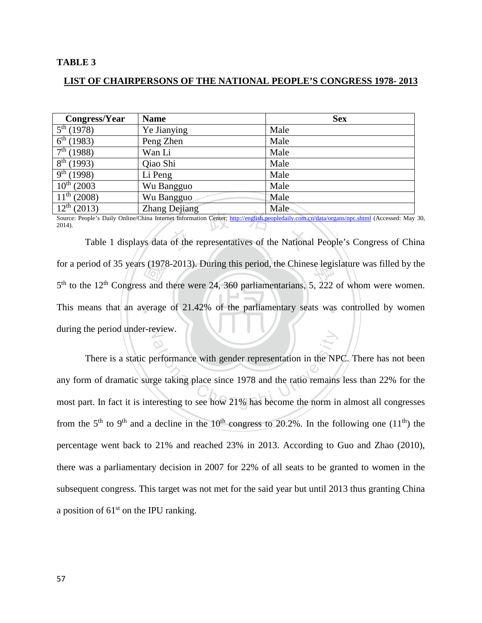#### **TABLE 3**

#### **LIST OF CHAIRPERSONS OF THE NATIONAL PEOPLE'S CONGRESS 1978- 2013**

| Congress/Year              | <b>Name</b>   | <b>Sex</b> |
|----------------------------|---------------|------------|
| $5^{th}$ (1978)            | Ye Jianying   | Male       |
| $6^{th}$ (1983)            | Peng Zhen     | Male       |
| $7^{\rm th}$ (1988)        | Wan Li        | Male       |
| $\sqrt{8^{th}}$ (1993)     | Qiao Shi      | Male       |
| $\overline{9^{th}}$ (1998) | Li Peng       | Male       |
| $10^{th}$ (2003)           | Wu Bangguo    | Male       |
| $11^{\text{th}}$ (2008)    | Wu Bangguo    | Male       |
| $12^{th}$ (2013)           | Zhang Dejiang | Male       |

Table 1 displays data of the representatives of the National People's Congress of China<br>Table 1 displays data of the representatives of the National People's Congress of China Source: People's Daily Online/China Internet Information Center;<http://english.peopledaily.com.cn/data/organs/npc.shtml> (Accessed: May 30, 2014).

This means that an average of 21.42% of the parliamentary seats was controlled by women s (1978)<br>s and<br>verage for a period of 35 years (1978-2013). During this period, the Chinese legislature was filled by the  $\frac{500}{200}$ during the period under-review.  $5<sup>th</sup>$  to the 12<sup>th</sup> Congress and there were 24, 360 parliamentarians, 5, 222 of whom were women.

erformance with gender representation in the NP<br>ge taking place since 1978 and the ratio remains<br>eresting to see how 21% has become the norm in There is a static performance with gender representation in the NPC. There has not been any form of dramatic surge taking place since 1978 and the ratio remains less than 22% for the most part. In fact it is interesting to see how 21% has become the norm in almost all congresses from the 5<sup>th</sup> to 9<sup>th</sup> and a decline in the 10<sup>th</sup> congress to 20.2%. In the following one (11<sup>th</sup>) the percentage went back to 21% and reached 23% in 2013. According to Guo and Zhao (2010), there was a parliamentary decision in 2007 for 22% of all seats to be granted to women in the subsequent congress. This target was not met for the said year but until 2013 thus granting China a position of  $61<sup>st</sup>$  on the IPU ranking.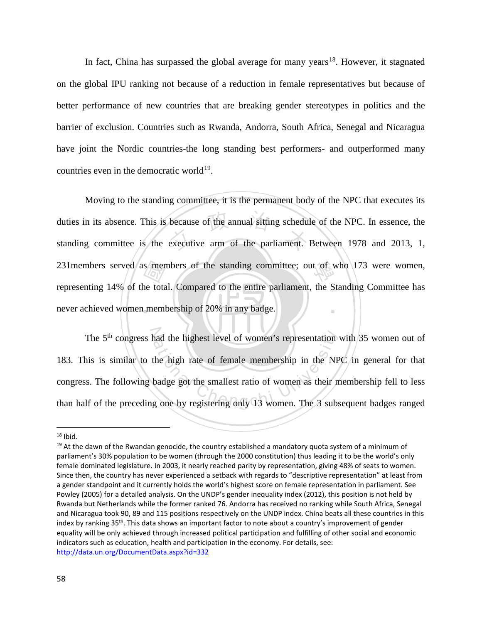In fact, China has surpassed the global average for many years<sup>[18](#page-64-0)</sup>. However, it stagnated on the global IPU ranking not because of a reduction in female representatives but because of better performance of new countries that are breaking gender stereotypes in politics and the barrier of exclusion. Countries such as Rwanda, Andorra, South Africa, Senegal and Nicaragua have joint the Nordic countries-the long standing best performers- and outperformed many countries even in the democratic world $19$ .

never achieved women membership of 20% in any badge. s/mer<br>ne tota<br>meml because of the annual sitting schedu!<br>executive arm of the parliament. 231 members served as members of the standing committee; out of who  $173$  were women, ‧ Moving to the standing committee, it is the permanent body of the NPC that executes its duties in its absence. This is because of the annual sitting schedule of the NPC. In essence, the standing committee is the executive arm of the parliament. Between 1978 and 2013, 1, representing 14% of the total. Compared to the entire parliament, the Standing Committee has

The 5<sup>th</sup> congress had the highest level of women's representation with 35 women out of his is similar to the high rate of female membership in the NPC in general for that s. The following badge got the smallest ratio of w 183. This is similar to the high rate of female membership in the NPC in general for that congress. The following badge got the smallest ratio of women as their membership fell to less than half of the preceding one by registering only 13 women. The 3 subsequent badges ranged

l

<span id="page-64-0"></span> $18$  Ibid.

<span id="page-64-1"></span> $19$  At the dawn of the Rwandan genocide, the country established a mandatory quota system of a minimum of parliament's 30% population to be women (through the 2000 constitution) thus leading it to be the world's only female dominated legislature. In 2003, it nearly reached parity by representation, giving 48% of seats to women. Since then, the country has never experienced a setback with regards to "descriptive representation" at least from a gender standpoint and it currently holds the world's highest score on female representation in parliament. See Powley (2005) for a detailed analysis. On the UNDP's gender inequality index (2012), this position is not held by Rwanda but Netherlands while the former ranked 76. Andorra has received no ranking while South Africa, Senegal and Nicaragua took 90, 89 and 115 positions respectively on the UNDP index. China beats all these countries in this index by ranking 35<sup>th</sup>. This data shows an important factor to note about a country's improvement of gender equality will be only achieved through increased political participation and fulfilling of other social and economic indicators such as education, health and participation in the economy. For details, see: <http://data.un.org/DocumentData.aspx?id=332>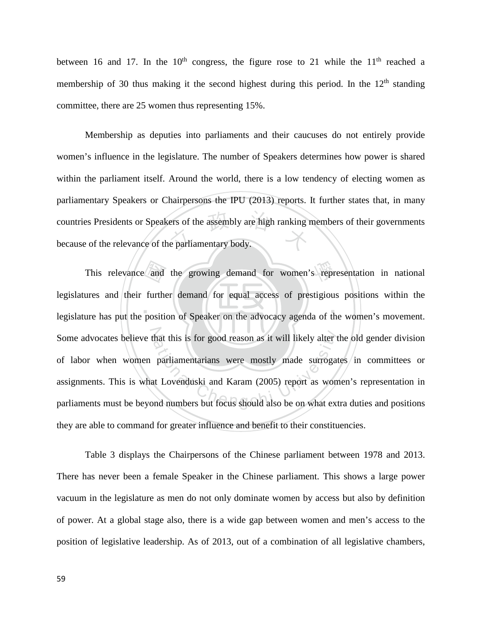between 16 and 17. In the  $10<sup>th</sup>$  congress, the figure rose to 21 while the  $11<sup>th</sup>$  reached a membership of 30 thus making it the second highest during this period. In the  $12<sup>th</sup>$  standing committee, there are 25 women thus representing 15%.

ers of the assembly are high ranking Membership as deputies into parliaments and their caucuses do not entirely provide women's influence in the legislature. The number of Speakers determines how power is shared within the parliament itself. Around the world, there is a low tendency of electing women as parliamentary Speakers or Chairpersons the IPU (2013) reports. It further states that, in many countries Presidents or Speakers of the assembly are high ranking members of their governments because of the relevance of the parliamentary body.

 $\ldots$  .  $\blacksquare$ and<br>furtherposities This relevance and the growing demand for women's representation in national Some advocates believe that this is for good reason as it will likely alter the old gender division hat this is for good reason as it will likely alter t<br>parliamentarians were mostly made surrogat<br>at Lovenduski and Karam (2005) report as wom<br>nd numbers but focus should also be on what ext legislatures and their further demand for equal access of prestigious positions within the legislature has put the position of Speaker on the advocacy agenda of the women's movement. of labor when women parliamentarians were mostly made surrogates in committees or assignments. This is what Lovenduski and Karam (2005) report as women's representation in parliaments must be beyond numbers but focus should also be on what extra duties and positions they are able to command for greater influence and benefit to their constituencies.

Table 3 displays the Chairpersons of the Chinese parliament between 1978 and 2013. There has never been a female Speaker in the Chinese parliament. This shows a large power vacuum in the legislature as men do not only dominate women by access but also by definition of power. At a global stage also, there is a wide gap between women and men's access to the position of legislative leadership. As of 2013, out of a combination of all legislative chambers,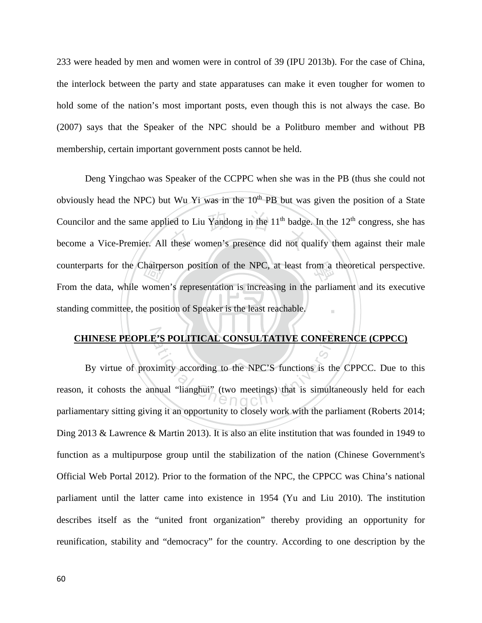233 were headed by men and women were in control of 39 (IPU 2013b). For the case of China, the interlock between the party and state apparatuses can make it even tougher for women to hold some of the nation's most important posts, even though this is not always the case. Bo (2007) says that the Speaker of the NPC should be a Politburo member and without PB membership, certain important government posts cannot be held.

standing committee, the position of Speaker is the least reachable. hairpe<br>women<br>e posit ied to Liu Yandong in the 11<sup>th</sup> badge<br>these women's presence did not qu counterparts for the Chairperson position of the NPC, at least from a theoretical perspective. ‧ Deng Yingchao was Speaker of the CCPPC when she was in the PB (thus she could not obviously head the NPC) but Wu Yi was in the  $10<sup>th</sup>$  PB but was given the position of a State Councilor and the same applied to Liu Yandong in the  $11<sup>th</sup>$  badge. In the  $12<sup>th</sup>$  congress, she has become a Vice-Premier. All these women's presence did not qualify them against their male From the data, while women's representation is increasing in the parliament and its executive

# N **CHINESE PEOPLE'S POLITICAL CONSULTATIVE CONFERENCE (CPPCC)**

**E'S POLITICAL CONSULTATIVE CONFER**<br>
is university according to the NPC'S functions is the<br>
inual "lianghui" (two meetings) that is simultar<br> **CONSULTATIVE CONFER** By virtue of proximity according to the NPC'S functions is the CPPCC. Due to this reason, it cohosts the annual "lianghui" (two meetings) that is simultaneously held for each parliamentary sitting giving it an opportunity to closely work with the parliament (Roberts 2014; Ding 2013 & Lawrence & Martin 2013). It is also an elite institution that was founded in 1949 to function as a multipurpose group until the stabilization of the nation (Chinese Government's Official Web Portal 2012). Prior to the formation of the NPC, the CPPCC was China's national parliament until the latter came into existence in 1954 (Yu and Liu 2010). The institution describes itself as the "united front organization" thereby providing an opportunity for reunification, stability and "democracy" for the country. According to one description by the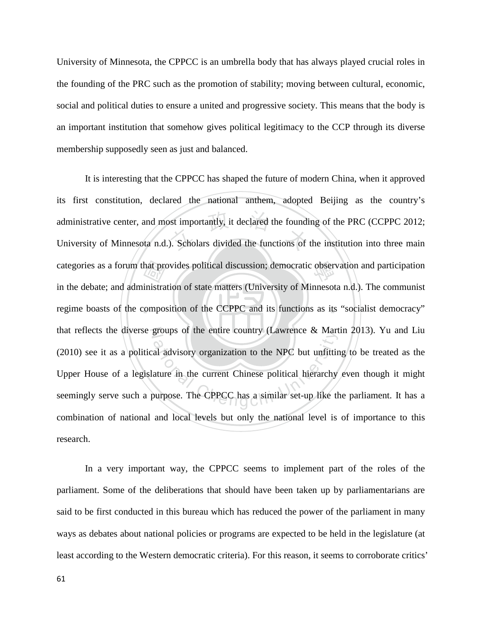University of Minnesota, the CPPCC is an umbrella body that has always played crucial roles in the founding of the PRC such as the promotion of stability; moving between cultural, economic, social and political duties to ensure a united and progressive society. This means that the body is an important institution that somehow gives political legitimacy to the CCP through its diverse membership supposedly seen as just and balanced.

‧hat pro<br>inistra<br>compo: ost importantly, it declared the foundi<br>
). Scholars divided the functions of categories as a forum that provides political discussion; democratic observation and participation regime boasts of the composition of the CCPPC and its functions as its "socialist democracy" that reflects the diverse groups of the entire country (Lawrence & Martin 2013). Yu and Liu groups of the entire country (Lawrence & Mart<br>al advisory organization to the NPC but unfitting<br>ature in the current Chinese political hierarchy<br>burpose. The CPPCC has a similar set-up like the It is interesting that the CPPCC has shaped the future of modern China, when it approved its first constitution, declared the national anthem, adopted Beijing as the country's administrative center, and most importantly, it declared the founding of the PRC (CCPPC 2012; University of Minnesota n.d.). Scholars divided the functions of the institution into three main in the debate; and administration of state matters (University of Minnesota n.d.). The communist (2010) see it as a political advisory organization to the NPC but unfitting to be treated as the Upper House of a legislature in the current Chinese political hierarchy even though it might seemingly serve such a purpose. The CPPCC has a similar set-up like the parliament. It has a combination of national and local levels but only the national level is of importance to this research.

In a very important way, the CPPCC seems to implement part of the roles of the parliament. Some of the deliberations that should have been taken up by parliamentarians are said to be first conducted in this bureau which has reduced the power of the parliament in many ways as debates about national policies or programs are expected to be held in the legislature (at least according to the Western democratic criteria). For this reason, it seems to corroborate critics'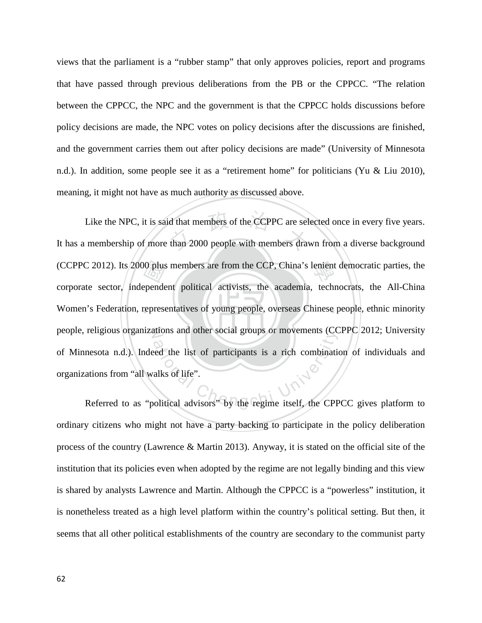views that the parliament is a "rubber stamp" that only approves policies, report and programs that have passed through previous deliberations from the PB or the CPPCC. "The relation between the CPPCC, the NPC and the government is that the CPPCC holds discussions before policy decisions are made, the NPC votes on policy decisions after the discussions are finished, and the government carries them out after policy decisions are made" (University of Minnesota n.d.). In addition, some people see it as a "retirement home" for politicians (Yu & Liu 2010), meaning, it might not have as much authority as discussed above.

‧00 plus<br>epende<br>represe Like the NPC, it is said that members of the CCPPC are selected once in every five years.<br>It has a membership of more than 2000 people with members drawn from a diverse background (CCPPC 2012). Its 2000 plus members are from the CCP, China's lenient democratic parties, the Women's Federation, representatives of young people, overseas Chinese people, ethnic minority people, religious organizations and other social groups or movements (CCPPC 2012; University rengious organizations and other social groups or movements (CCPPC 2012; Oniversity<br>nesota n.d.). Indeed the list of participants is a rich combination of individuals and<br>ations from "all walks of life".<br>Referred to as "po Like the NPC, it is said that members of the CCPPC are selected once in every five years. corporate sector, independent political activists, the academia, technocrats, the All-China of Minnesota n.d.). Indeed the list of participants is a rich combination of individuals and organizations from "all walks of life".

ordinary citizens who might not have a party backing to participate in the policy deliberation process of the country (Lawrence & Martin 2013). Anyway, it is stated on the official site of the institution that its policies even when adopted by the regime are not legally binding and this view is shared by analysts Lawrence and Martin. Although the CPPCC is a "powerless" institution, it is nonetheless treated as a high level platform within the country's political setting. But then, it seems that all other political establishments of the country are secondary to the communist party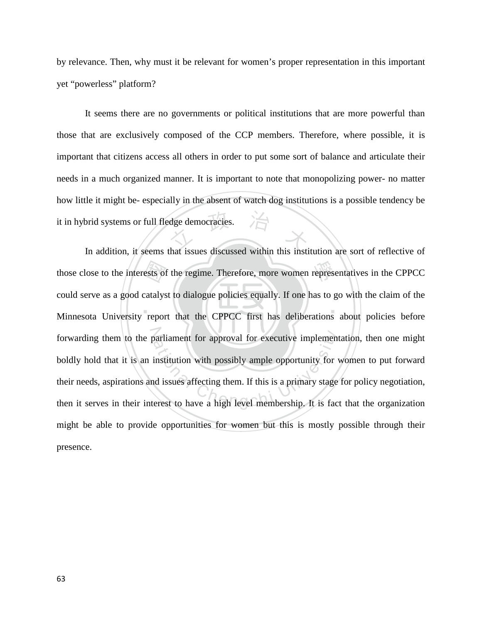by relevance. Then, why must it be relevant for women's proper representation in this important yet "powerless" platform?

dge democracies. It seems there are no governments or political institutions that are more powerful than those that are exclusively composed of the CCP members. Therefore, where possible, it is important that citizens access all others in order to put some sort of balance and articulate their needs in a much organized manner. It is important to note that monopolizing power- no matter how little it might be- especially in the absent of watch dog institutions is a possible tendency be it in hybrid systems or full fledge democracies.

 $\mathbf{A}$  . The contract of  $\mathbf{A}$ ests of<br>catalys<br>repor those close to the interests of the regime. Therefore, more women representatives in the CPPCC forwarding them to the parliament for approval for executive implementation, then one might boldly hold that it is an institution with possibly ample opportunity for women to put forward their needs, aspirations and issues In addition, it seems that issues discussed within this institution are sort of reflective of could serve as a good catalyst to dialogue policies equally. If one has to go with the claim of the Minnesota University report that the CPPCC first has deliberations about policies before boldly hold that it is an institution with possibly ample opportunity for women to put forward their needs, aspirations and issues affecting them. If this is a primary stage for policy negotiation, then it serves in their interest to have a high level membership. It is fact that the organization might be able to provide opportunities for women but this is mostly possible through their presence.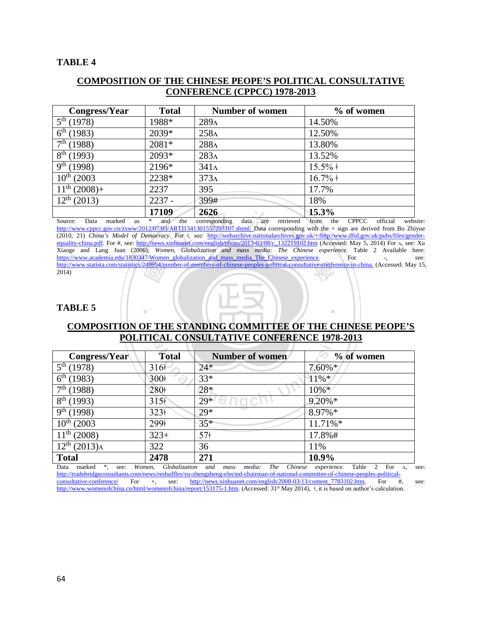## **TABLE 4**

# **COMPOSITION OF THE CHINESE PEOPE'S POLITICAL CONSULTATIVE CONFERENCE (CPPCC) 1978-2013**

| Congress/Year                      | <b>Total</b> | <b>Number of women</b> | $%$ of women |
|------------------------------------|--------------|------------------------|--------------|
| $\overline{5}^{th}$ (1978)         | 1988*        | 289 <sub>Λ</sub>       | 14.50%       |
| $6^{th}(1983)$                     | 2039*        | 258 <sub>Λ</sub>       | 12.50%       |
| $\frac{1}{7}$ <sup>th</sup> (1988) | 2081*        | 288A                   | 13.80%       |
| $\sqrt{8^{th}}$ (1993)             | 2093*        | 283A                   | 13.52%       |
| $\overline{9}^{th}$ (1998)         | 2196*        | $341\Lambda$           | $15.5\%$ +   |
| $10^{th}$ (2003)                   | 2238*        | 373 <sub>A</sub>       | $16.7\%$ ‡   |
| $11^{th}$ (2008)+                  | 2237         | 395                    | 17.7%        |
| $12^{th}$ (2013)                   | $2237 -$     | 399#                   | 18%          |
|                                    | 17109        | 2626                   | 15.3%        |

methy://www.statista.com/statistics/249954/number-of-members-of-chinese-peoples-political-consultative-conference-in-china. (Accessed: May 15, 2014)<br>2014)<br>TABLE 5 **2626**<br> **EXECUTE:** The corresponding data are retrieved<br> **EXECUTE:** The corresponding v<br> **EXECUTE:** The convenglish/photo/2013-03/08/c 132219102.htm<br> **EXECUTE:** Cholorization and mass media: The Chinese Source: Data marked as \* and the corresponding data are retrieved from the CPPCC official website: [http://www.cppcc.gov.cn/zxww/2012/07/03/ARTI1341301557203107.shtml.](http://www.cppcc.gov.cn/zxww/2012/07/03/ARTI1341301557203107.shtml) Data corresponding with the + sign are derived from Bo Zhiyue (2010, 21) *China's Model of Democracy*. For ǂ, see: [http://webarchive.nationalarchives.gov.uk/+/http:/www.dfid.gov.uk/pubs/files/gender](http://webarchive.nationalarchives.gov.uk/+/http:/www.dfid.gov.uk/pubs/files/gender-equality-china.pdf)[equality-china.pdf.](http://webarchive.nationalarchives.gov.uk/+/http:/www.dfid.gov.uk/pubs/files/gender-equality-china.pdf) For #, see: [http://news.xinhuanet.com/english/photo/2013-03/08/c\\_132219102.htm](http://news.xinhuanet.com/english/photo/2013-03/08/c_132219102.htm) (Accessed: May 5, 2014) For A, see: Xu Xiaoge and Lang Juan (2006), *Women, Globalization and mass media: The Chinese experience*. Table 2 Available here:<br>https://www.academia.edu/1830347/Women\_globalization and mass media\_The\_Chinese\_experience. For -, see: [https://www.academia.edu/1830347/Women\\_globalization\\_and\\_mass\\_media\\_The\\_Chinese\\_experience.](https://www.academia.edu/1830347/Women_globalization_and_mass_media_The_Chinese_experience) For -, see:  $2014)$ 

## **TABLE 5**

# **COMPOSITION OF THE STANDING COMMITTEE OF THE CHINESE PEOPE'S**

‧

| COME OSTERIN OF THE STANDING COMMITTEE OF THE CHINESE LEGTE S |                  |                 |              |  |
|---------------------------------------------------------------|------------------|-----------------|--------------|--|
| <b>POLITICAL CONSULTATIVE CONFERENCE 1978-2013</b>            |                  |                 |              |  |
|                                                               |                  |                 |              |  |
| Congress/Year                                                 | <b>Total</b>     | Number of women | $%$ of women |  |
| $5^{th}$ (1978)                                               | $316+$           | $24*$           | $7.60\%*$    |  |
| $6^{th}$ (1983)                                               | 300+             | $33*$           | $11\%*$      |  |
| $7th$ (1988)                                                  | 280+             | 28*             | 10%*         |  |
| $8^{th}$ (1993)                                               | 315 <sup>†</sup> | $29*$           | $9.20\%*$    |  |
| 9 <sup>th</sup><br>(1998)                                     | $323+$           | $29*$           | $8.97\%*$    |  |
| 10 <sup>th</sup><br>(2003)                                    | 299+             | $35*$           | 11.71%*      |  |
| 11 <sup>th</sup><br>(2008)                                    | $323+$           | 57 <sup>†</sup> | 17.8%#       |  |
| $12^{th} (2013)$ <sub>A</sub>                                 | 322              | 36              | 11%          |  |
| <b>Total</b>                                                  | 2478             | 271             | 10.9%        |  |

Data marked \*, see: *Women, Globalization and mass media: The Chinese experience.* Table 2 For ʌ, see: [http://tradebridgeconsultants.com/news/reshuffles/yu-zhengsheng-elected-chairman-of-national-committee-of-chinese-peoples-political](http://tradebridgeconsultants.com/news/reshuffles/yu-zhengsheng-elected-chairman-of-national-committee-of-chinese-peoples-political-consultative-conference/)[consultative-conference/](http://tradebridgeconsultants.com/news/reshuffles/yu-zhengsheng-elected-chairman-of-national-committee-of-chinese-peoples-political-consultative-conference/) For +, see: [http://news.xinhuanet.com/english/2008-03/13/content\\_7783102.htm.](http://news.xinhuanet.com/english/2008-03/13/content_7783102.htm) For #, see: [http://www.womenofchina.cn/html/womenofchina/report/153175-1.htm.](http://www.womenofchina.cn/html/womenofchina/report/153175-1.htm) (Accessed: 31<sup>st</sup> May 2014), ‡, it is based on author's calculation.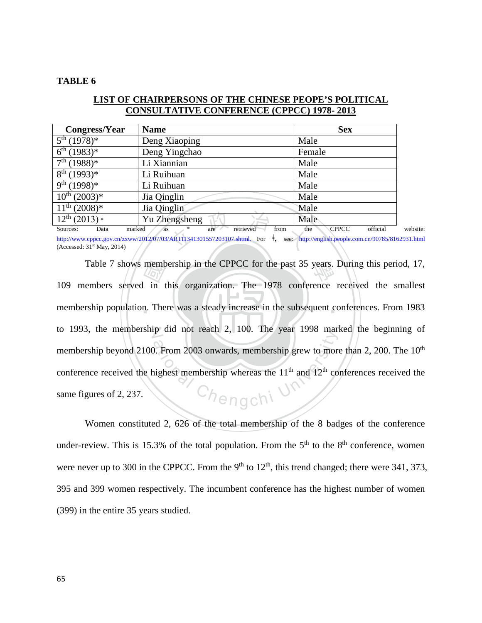#### **TABLE 6**

| <b>Congress/Year</b>          | <b>Name</b>   | <b>Sex</b> |
|-------------------------------|---------------|------------|
| $5^{th}$ (1978)*              | Deng Xiaoping | Male       |
| $6^{th}$ (1983)*              | Deng Yingchao | Female     |
| $7^{\text{th}}$ (1988)*       | Li Xiannian   | Male       |
| $8^{th}$ (1993)*              | Li Ruihuan    | Male       |
| $9^{th}$ (1998)*              | Li Ruihuan    | Male       |
| $10^{th}$ (2003) <sup>*</sup> | Jia Qinglin   | Male       |
| $11^{th}$ (2008) <sup>*</sup> | Jia Qinglin   | Male       |
| $12^{th}$ (2013) $\dagger$    | Yu Zhengsheng | Male       |

# **LIST OF CHAIRPERSONS OF THE CHINESE PEOPE'S POLITICAL CONSULTATIVE CONFERENCE (CPPCC) 1978- 2013**

engsheng<br>
are retrieved from the<br>
ARTI1341301557203107.shtml. For <sup>+</sup>, see: http: Sources: Data marked as \* are retrieved from the CPPCC official website: [http://www.cppcc.gov.cn/zxww/2012/07/03/ARTI1341301557203107.shtml.](http://www.cppcc.gov.cn/zxww/2012/07/03/ARTI1341301557203107.shtml) For ǂ, see: <http://english.people.com.cn/90785/8162931.html> (Accessed: 31st May, 2014)

membership population. There was a steady increase in the subsequent conferences. From 1983  $\frac{1}{\sqrt{2}}$ <br>in t<br>n. The Table 7 shows membership in the CPPCC for the past 35 years. During this period, 17, to 1993, the membership did not reach 2, 100. The year 1998 marked the beginning of Chengchi U 109 members served in this organization. The 1978 conference received the smallest membership beyond 2100. From 2003 onwards, membership grew to more than 2, 200. The 10<sup>th</sup> conference received the highest membership whereas the  $11<sup>th</sup>$  and  $12<sup>th</sup>$  conferences received the same figures of 2, 237.

Women constituted 2, 626 of the total membership of the 8 badges of the conference under-review. This is 15.3% of the total population. From the  $5<sup>th</sup>$  to the  $8<sup>th</sup>$  conference, women were never up to 300 in the CPPCC. From the 9<sup>th</sup> to  $12<sup>th</sup>$ , this trend changed; there were 341, 373, 395 and 399 women respectively. The incumbent conference has the highest number of women (399) in the entire 35 years studied.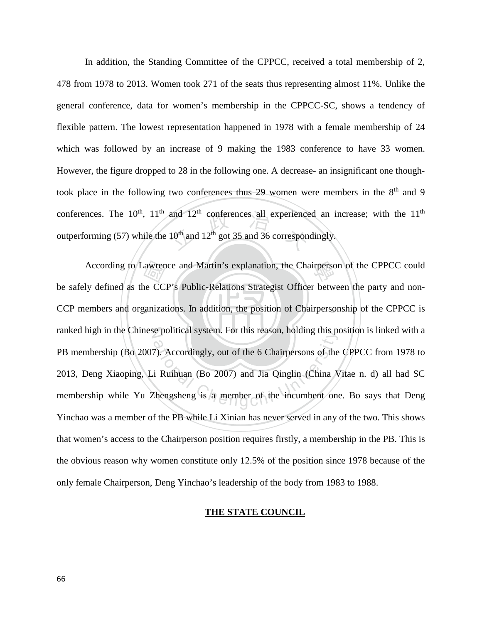and  $12^{\text{th}}$  conferences all experience<br>10<sup>th</sup> and  $12^{\text{th}}$  got 35 and 36 correspon-In addition, the Standing Committee of the CPPCC, received a total membership of 2, 478 from 1978 to 2013. Women took 271 of the seats thus representing almost 11%. Unlike the general conference, data for women's membership in the CPPCC-SC, shows a tendency of flexible pattern. The lowest representation happened in 1978 with a female membership of 24 which was followed by an increase of 9 making the 1983 conference to have 33 women. However, the figure dropped to 28 in the following one. A decrease- an insignificant one thoughtook place in the following two conferences thus 29 women were members in the  $8<sup>th</sup>$  and 9 conferences. The  $10^{th}$ ,  $11^{th}$  and  $12^{th}$  conferences all experienced an increase; with the  $11^{th}$ outperforming (57) while the  $10^{th}$  and  $12^{th}$  got 35 and 36 correspondingly.

CCP members and organizations. In addition, the position of Chairpersonship of the CPPCC is awren<br>ne CC<br>ganizat According to Lawrence and Martin's explanation, the Chairperson of the CPPCC could ranked high in the Chinese political system. For this reason, holding this position is linked with a ation and the 6 Chairpersons of the<br>ation of the 6 Chairpersons of the<br>i Ruihuan (Bo 2007) and Jia Qinglin (China X<br>Enengsheng is a member of the incumbent one be safely defined as the CCP's Public-Relations Strategist Officer between the party and non-PB membership (Bo 2007). Accordingly, out of the 6 Chairpersons of the CPPCC from 1978 to 2013, Deng Xiaoping, Li Ruihuan (Bo 2007) and Jia Qinglin (China Vitae n. d) all had SC membership while Yu Zhengsheng is a member of the incumbent one. Bo says that Deng Yinchao was a member of the PB while Li Xinian has never served in any of the two. This shows that women's access to the Chairperson position requires firstly, a membership in the PB. This is the obvious reason why women constitute only 12.5% of the position since 1978 because of the only female Chairperson, Deng Yinchao's leadership of the body from 1983 to 1988.

## **THE STATE COUNCIL**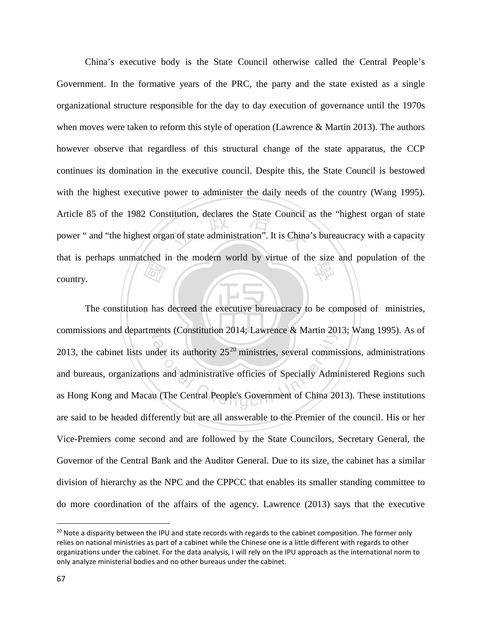and the parties of the set of the set of the set of the set of the set of the set of the set of the set of the set of the set of the set of the set of the set of the set of the set of the set of the set of the set of the s titution, declares the State Council at<br>an of state administration". It is China that is perhaps unmatched in the modern world by virtue of the size and population of the country. China's executive body is the State Council otherwise called the Central People's Government. In the formative years of the PRC, the party and the state existed as a single organizational structure responsible for the day to day execution of governance until the 1970s when moves were taken to reform this style of operation (Lawrence & Martin 2013). The authors however observe that regardless of this structural change of the state apparatus, the CCP continues its domination in the executive council. Despite this, the State Council is bestowed with the highest executive power to administer the daily needs of the country (Wang 1995). Article 85 of the 1982 Constitution, declares the State Council as the "highest organ of state power " and "the highest organ of state administration". It is China's bureaucracy with a capacity country.

‧The constitution has decreed the executive bureuacracy to be composed of ministries, commissions and departments (Constitution 2014; Lawrence & Martin 2013; Wang 1995). As of der its authority 25<sup>20</sup> ministries, several commister its authority 25<sup>20</sup> ministries, several commister its authority 25<sup>20</sup> ministries, several commister is and administrative officies of Specially Administrative (The C [20](#page-73-0)13, the cabinet lists under its authority  $25<sup>20</sup>$  ministries, several commissions, administrations and bureaus, organizations and administrative officies of Specially Administered Regions such as Hong Kong and Macau (The Central People's Government of China 2013). These institutions are said to be headed differently but are all answerable to the Premier of the council. His or her Vice-Premiers come second and are followed by the State Councilors, Secretary General, the Governor of the Central Bank and the Auditor General. Due to its size, the cabinet has a similar division of hierarchy as the NPC and the CPPCC that enables its smaller standing committee to do more coordination of the affairs of the agency. Lawrence (2013) says that the executive

 $\overline{\phantom{a}}$ 

<span id="page-73-0"></span><sup>&</sup>lt;sup>20</sup> Note a disparity between the IPU and state records with regards to the cabinet composition. The former only relies on national ministries as part of a cabinet while the Chinese one is a little different with regards to other organizations under the cabinet. For the data analysis, I will rely on the IPU approach as the international norm to only analyze ministerial bodies and no other bureaus under the cabinet.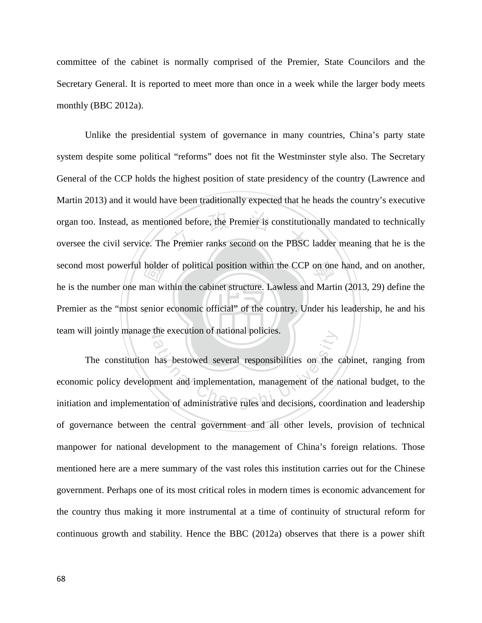committee of the cabinet is normally comprised of the Premier, State Councilors and the Secretary General. It is reported to meet more than once in a week while the larger body meets monthly (BBC 2012a).

‧holder<br>
man wi<br>
senior ned before, the Premier is constitution<br>of Premier ranks second on the PBSC second most powerful holder of political position within the CCP on one hand, and on another, Premier as the "most senior economic official" of the country. Under his leadership, he and his team will jointly manage the execution of national policies. Unlike the presidential system of governance in many countries, China's party state system despite some political "reforms" does not fit the Westminster style also. The Secretary General of the CCP holds the highest position of state presidency of the country (Lawrence and Martin 2013) and it would have been traditionally expected that he heads the country's executive organ too. Instead, as mentioned before, the Premier is constitutionally mandated to technically oversee the civil service. The Premier ranks second on the PBSC ladder meaning that he is the he is the number one man within the cabinet structure. Lawless and Martin (2013, 29) define the

The constitution has bestowed several responsibilities on the cabinet, ranging from<br>economic policy development and implementation, management of the national budget, to the<br>initiation and implementation of administrative The constitution has bestowed several responsibilities on the cabinet, ranging from economic policy development and implementation, management of the national budget, to the of governance between the central government and all other levels, provision of technical manpower for national development to the management of China's foreign relations. Those mentioned here are a mere summary of the vast roles this institution carries out for the Chinese government. Perhaps one of its most critical roles in modern times is economic advancement for the country thus making it more instrumental at a time of continuity of structural reform for continuous growth and stability. Hence the BBC (2012a) observes that there is a power shift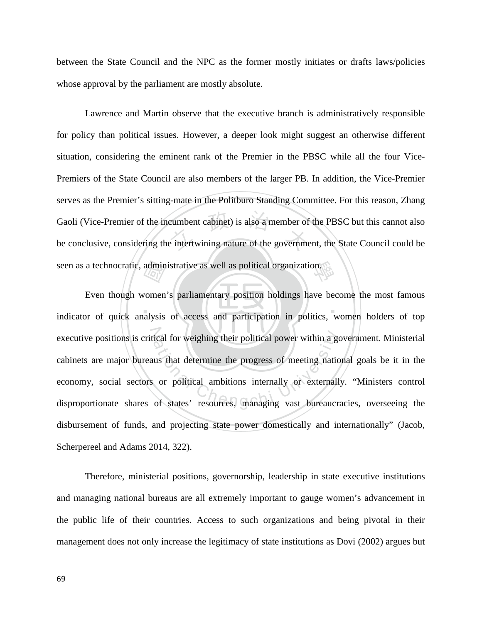between the State Council and the NPC as the former mostly initiates or drafts laws/policies whose approval by the parliament are mostly absolute.

eumbent cabinet) is also a member of<br>e intertwining nature of the governme seen as a technocratic, administrative as well as political organization. Lawrence and Martin observe that the executive branch is administratively responsible for policy than political issues. However, a deeper look might suggest an otherwise different situation, considering the eminent rank of the Premier in the PBSC while all the four Vice-Premiers of the State Council are also members of the larger PB. In addition, the Vice-Premier serves as the Premier's sitting-mate in the Politburo Standing Committee. For this reason, Zhang Gaoli (Vice-Premier of the incumbent cabinet) is also a member of the PBSC but this cannot also be conclusive, considering the intertwining nature of the government, the State Council could be

‧‧ admin<br>
vomen<br>
alysis executive positions is critical for weighing their political power within a government. Ministerial<br>cabinets are major bureaus that determine the progress of meeting national goals be it in the<br>economy, social sectors or p Even though women's parliamentary position holdings have become the most famous indicator of quick analysis of access and participation in politics, women holders of top cabinets are major bureaus that determine the progress of meeting national goals be it in the economy, social sectors or political ambitions internally or externally. "Ministers control disproportionate shares of states' resources, managing vast bureaucracies, overseeing the disbursement of funds, and projecting state power domestically and internationally" (Jacob, Scherpereel and Adams 2014, 322).

Therefore, ministerial positions, governorship, leadership in state executive institutions and managing national bureaus are all extremely important to gauge women's advancement in the public life of their countries. Access to such organizations and being pivotal in their management does not only increase the legitimacy of state institutions as Dovi (2002) argues but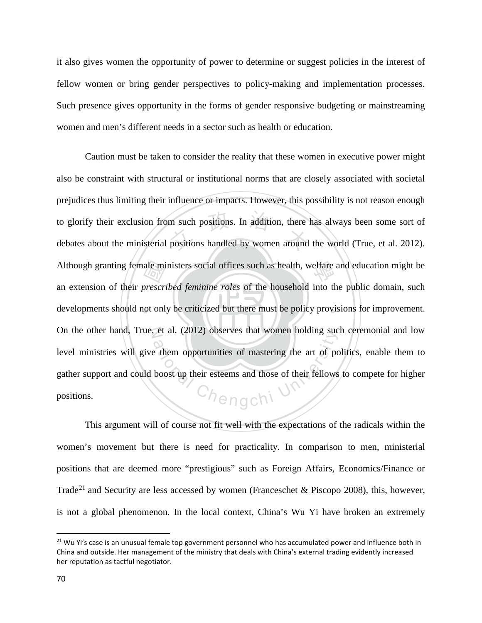it also gives women the opportunity of power to determine or suggest policies in the interest of fellow women or bring gender perspectives to policy-making and implementation processes. Such presence gives opportunity in the forms of gender responsive budgeting or mainstreaming women and men's different needs in a sector such as health or education.

developments should not only be criticized but there must be policy provisions for improvement. ale mi<br>prescri<br>pt onl m such positions. In addition, there<br>positions handled by women around Although granting female ministers social offices such as health, welfare and education might be On the other hand, True, et al. (2012) observes that women holding such ceremonial and low et al. (2012) observes that women holding such<br>them opportunities of mastering the art of pc<br>boost up their esteems and those of their fellows Caution must be taken to consider the reality that these women in executive power might also be constraint with structural or institutional norms that are closely associated with societal prejudices thus limiting their influence or impacts. However, this possibility is not reason enough to glorify their exclusion from such positions. In addition, there has always been some sort of debates about the ministerial positions handled by women around the world (True, et al. 2012). an extension of their *prescribed feminine roles* of the household into the public domain, such level ministries will give them opportunities of mastering the art of politics, enable them to gather support and could boost up their esteems and those of their fellows to compete for higher positions.

This argument will of course not fit well with the expectations of the radicals within the women's movement but there is need for practicality. In comparison to men, ministerial positions that are deemed more "prestigious" such as Foreign Affairs, Economics/Finance or Trade<sup>[21](#page-76-0)</sup> and Security are less accessed by women (Franceschet & Piscopo 2008), this, however, is not a global phenomenon. In the local context, China's Wu Yi have broken an extremely

l

<span id="page-76-0"></span><sup>&</sup>lt;sup>21</sup> Wu Yi's case is an unusual female top government personnel who has accumulated power and influence both in China and outside. Her management of the ministry that deals with China's external trading evidently increased her reputation as tactful negotiator.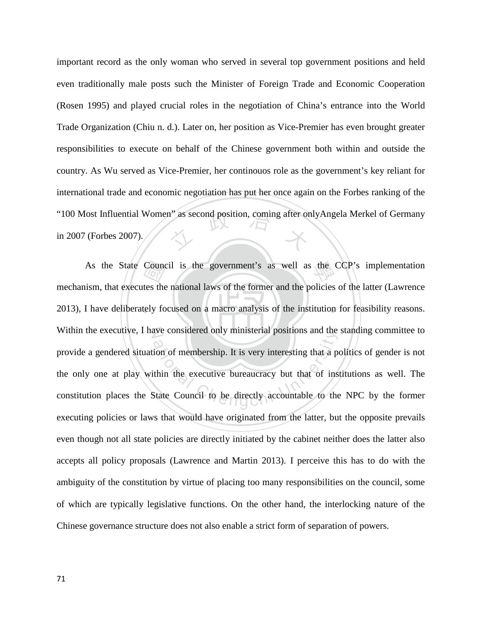"100 Most Influential Women" as second position, coming after onlyAngela Merkel of Germany<br>in 2007 (Forbes 2007). important record as the only woman who served in several top government positions and held even traditionally male posts such the Minister of Foreign Trade and Economic Cooperation (Rosen 1995) and played crucial roles in the negotiation of China's entrance into the World Trade Organization (Chiu n. d.). Later on, her position as Vice-Premier has even brought greater responsibilities to execute on behalf of the Chinese government both within and outside the country. As Wu served as Vice-Premier, her continouos role as the government's key reliant for international trade and economic negotiation has put her once again on the Forbes ranking of the in 2007 (Forbes 2007).

‧Counce<br>tes the<br>tely fo As the State Council is the government's as well as the CCP's implementation 2013), I have deliberately focused on a macro analysis of the institution for feasibility reasons. N Within the executive, I have considered only ministerial positions and the standing committee to ative considered only ministerial positions and the<br>ion of membership. It is very interesting that a po<br>thin the executive bureaucracy but that of ins<br>state Council to be directly accountable to the mechanism, that executes the national laws of the former and the policies of the latter (Lawrence provide a gendered situation of membership. It is very interesting that a politics of gender is not the only one at play within the executive bureaucracy but that of institutions as well. The constitution places the State Council to be directly accountable to the NPC by the former executing policies or laws that would have originated from the latter, but the opposite prevails even though not all state policies are directly initiated by the cabinet neither does the latter also accepts all policy proposals (Lawrence and Martin 2013). I perceive this has to do with the ambiguity of the constitution by virtue of placing too many responsibilities on the council, some of which are typically legislative functions. On the other hand, the interlocking nature of the Chinese governance structure does not also enable a strict form of separation of powers.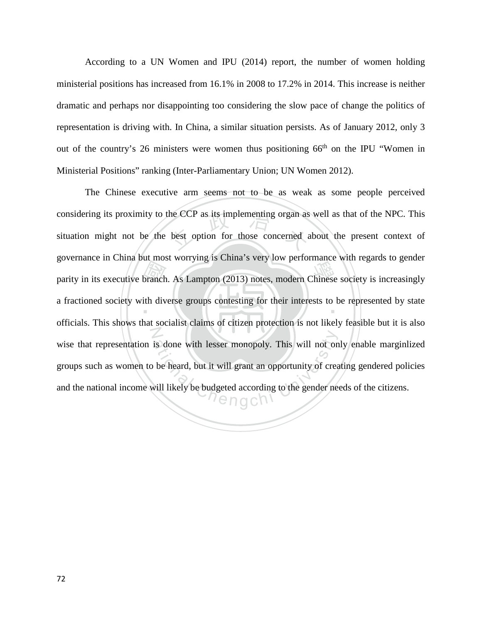According to a UN Women and IPU (2014) report, the number of women holding ministerial positions has increased from 16.1% in 2008 to 17.2% in 2014. This increase is neither dramatic and perhaps nor disappointing too considering the slow pace of change the politics of representation is driving with. In China, a similar situation persists. As of January 2012, only 3 out of the country's 26 ministers were women thus positioning  $66<sup>th</sup>$  on the IPU "Women in Ministerial Positions" ranking (Inter-Parliamentary Union; UN Women 2012).

parity in its executive branch. As Lampton (2013) notes, modern Chinese society is increasingly<br>a fractioned society with diverse groups contesting for their interests to be represented by state<br>officials. This shaws that the CCP as its implementing organ as<br>best option for those concerned  $\varepsilon$ a fractioned society with diverse groups contesting for their interests to be represented by state N is done with lesser monopoly. This will not on<br>be heard, but it will grant an opportunity of crea<br>will likely be budgeted according to the gender need The Chinese executive arm seems not to be as weak as some people perceived considering its proximity to the CCP as its implementing organ as well as that of the NPC. This situation might not be the best option for those concerned about the present context of governance in China but most worrying is China's very low performance with regards to gender officials. This shows that socialist claims of citizen protection is not likely feasible but it is also wise that representation is done with lesser monopoly. This will not only enable marginlized groups such as women to be heard, but it will grant an opportunity of creating gendered policies and the national income will likely be budgeted according to the gender needs of the citizens.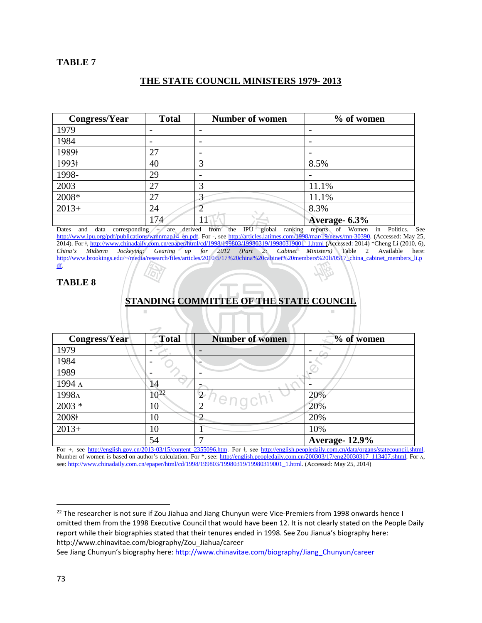## **THE STATE COUNCIL MINISTERS 1979- 2013**

| Congress/Year | <b>Total</b> | <b>Number of women</b>   | % of women    |
|---------------|--------------|--------------------------|---------------|
| 1979          |              |                          |               |
| 1984          |              | $\overline{\phantom{a}}$ |               |
| 1989+         | 27           | $\overline{\phantom{0}}$ |               |
| 1993+         | 40           | 3                        | 8.5%          |
| 1998-         | 29           | $\overline{\phantom{a}}$ |               |
| 2003          | 27           | 3                        | 11.1%         |
| 2008*         | 27           | ⌒                        | 11.1%         |
| $2013+$       | 24           |                          | 8.3%          |
|               | 174          |                          | Average- 6.3% |

 $\begin{array}{|l|l|l|} \hline \text{2} & \text{1} & \text{2} & \text{2} & \text{2} & \text{2} & \text{2} & \text{2} & \text{2} & \text{2} & \text{2} & \text{2} & \text{2} & \text{2} & \text{2} & \text{2} & \text{2} & \text{2} & \text{2} & \text{2} & \text{2} & \text{2} & \text{2} & \text{2} & \text{2} & \text{2} & \text{2} & \text{2} & \text{2} & \text{2} & \text{2} & \text{2} & \text{2} & \text{2} &$ 學 Dates and data corresponding + are derived from the IPU global ranking reports of Women in Politics. See [http://www.ipu.org/pdf/publications/wmnmap14\\_en.pdf.](http://www.ipu.org/pdf/publications/wmnmap14_en.pdf) For -, see [http://articles.latimes.com/1998/mar/19/news/mn-30390.](http://articles.latimes.com/1998/mar/19/news/mn-30390) (Accessed: May 25, 2014). For  $\frac{1}{2}$ , [http://www.chinadaily.com.cn/epaper/html/cd/1998/199803/19980319/19980319001\\_1.html](http://www.chinadaily.com.cn/epaper/html/cd/1998/199803/19980319/19980319001_1.html) (Accessed: 2014) \*Cheng Li (2010, 6),<br>China's Midterm Jockeying: Gearing up for 2012 (Part 2: Cabinet Ministers) Tab *China China Gearing up for 2012 (Part 2:* [http://www.brookings.edu/~/media/research/files/articles/2010/5/17%20china%20cabinet%20members%20li/0517\\_china\\_cabinet\\_members\\_li.p](http://www.brookings.edu/%7E/media/research/files/articles/2010/5/17%20china%20cabinet%20members%20li/0517_china_cabinet_members_li.pdf) [df.](http://www.brookings.edu/%7E/media/research/files/articles/2010/5/17%20china%20cabinet%20members%20li/0517_china_cabinet_members_li.pdf)

## **TABLE 8**

# **DEATH**<br>NDIN<br>" ‧ **STANDING COMMITTEE OF THE STATE COUNCIL**

| <b>Congress/Year</b> | <b>Total</b> | <b>Number of women</b> | % of women           |
|----------------------|--------------|------------------------|----------------------|
| 1979                 |              |                        |                      |
| 1984                 |              |                        |                      |
| 1989                 |              |                        |                      |
| 1994 л               | 14           |                        |                      |
| 1998Λ                | $10^{22}$    | $\mathbf{2}$           | 20%                  |
| $2003 *$             | 10           | ◠                      | 20%                  |
| 2008+                | 10           | $\overline{2}$         | 20%                  |
| $2013+$              | 10           |                        | 10%                  |
|                      | 54           | −                      | <b>Average-12.9%</b> |

For +, see [http://english.gov.cn/2013-03/15/content\\_2355096.htm](http://english.gov.cn/2013-03/15/content_2355096.htm). For  $\frac{1}{2}$ , see [http://english.peopledaily.com.cn/data/organs/statecouncil.shtml.](http://english.peopledaily.com.cn/data/organs/statecouncil.shtml) Number of women is based on author's calculation. For \*, see: [http://english.peopledaily.com.cn/200303/17/eng20030317\\_113407.shtml.](http://english.peopledaily.com.cn/200303/17/eng20030317_113407.shtml) For  $\Lambda$ , see[: http://www.chinadaily.com.cn/epaper/html/cd/1998/199803/19980319/19980319001\\_1.html.](http://www.chinadaily.com.cn/epaper/html/cd/1998/199803/19980319/19980319001_1.html) (Accessed: May 25, 2014)

See Jiang Chunyun's biography here: [http://www.chinavitae.com/biography/Jiang\\_Chunyun/career](http://www.chinavitae.com/biography/Jiang_Chunyun/career)

 $\overline{\phantom{a}}$ 

<span id="page-79-0"></span><sup>&</sup>lt;sup>22</sup> The researcher is not sure if Zou Jiahua and Jiang Chunyun were Vice-Premiers from 1998 onwards hence I omitted them from the 1998 Executive Council that would have been 12. It is not clearly stated on the People Daily report while their biographies stated that their tenures ended in 1998. See Zou Jianua's biography here: http://www.chinavitae.com/biography/Zou\_Jiahua/career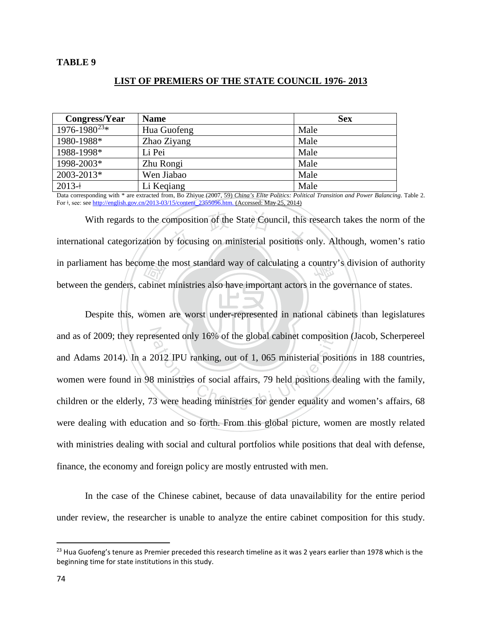## **TABLE 9**

## **LIST OF PREMIERS OF THE STATE COUNCIL 1976- 2013**

| Congress/Year       | <b>Name</b> | <b>Sex</b> |
|---------------------|-------------|------------|
| $1976 - 1980^{23*}$ | Hua Guofeng | Male       |
| 1980-1988*          | Zhao Ziyang | Male       |
| 1988-1998*          | Li Pei      | Male       |
| 1998-2003*          | Zhu Rongi   | Male       |
| 2003-2013*          | Wen Jiabao  | Male       |
| $2013+$             | Li Keqiang  | Male       |

Data corresponding with \* are extracted from, Bo Zhiyue (2007, 59) *China's Elite Politics: Political Transition and Power Balancing*. Table 2. For ǂ, see: see [http://english.gov.cn/2013-03/15/content\\_2355096.htm.](http://english.gov.cn/2013-03/15/content_2355096.htm) (Accessed: May 25, 2014)

me the<br>abinet<br>vomen With regards to the composition of the State Council, this research takes the norm of the international categorization by focusing on ministerial positions only. Although, women's ratio in parliament has become the most standard way of calculating a country's division of authority With regards to the composition of the State Council, this research takes the norm of the between the genders, cabinet ministries also have important actors in the governance of states.

Despite this, women are worst under-represented in national cabinets than legislatures and as of 2009; they represented only 16% of the global cabinet composition (Jacob, Scherpereel ational Chengchi University of the global cabinet composition<br>2012 IPU ranking, out of 1, 065 ministerial positions<br>3 were heading ministries for gender equality an<br>3 were heading ministries for gender equality and and Adams 2014). In a 2012 IPU ranking, out of 1, 065 ministerial positions in 188 countries, women were found in 98 ministries of social affairs, 79 held positions dealing with the family, children or the elderly, 73 were heading ministries for gender equality and women's affairs, 68 were dealing with education and so forth. From this global picture, women are mostly related with ministries dealing with social and cultural portfolios while positions that deal with defense, finance, the economy and foreign policy are mostly entrusted with men.

In the case of the Chinese cabinet, because of data unavailability for the entire period under review, the researcher is unable to analyze the entire cabinet composition for this study.

 $\overline{\phantom{a}}$ 

<span id="page-80-0"></span> $23$  Hua Guofeng's tenure as Premier preceded this research timeline as it was 2 years earlier than 1978 which is the beginning time for state institutions in this study.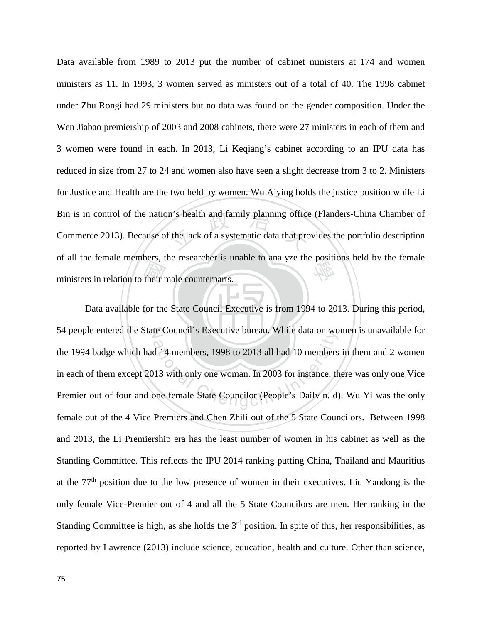their r<br>their r m's health and family planning office<br>
if the lack of a systematic data that pro of all the female members, the researcher is unable to analyze the positions held by the female<br>ministers in relation to their male counterparts. Data available from 1989 to 2013 put the number of cabinet ministers at 174 and women ministers as 11. In 1993, 3 women served as ministers out of a total of 40. The 1998 cabinet under Zhu Rongi had 29 ministers but no data was found on the gender composition. Under the Wen Jiabao premiership of 2003 and 2008 cabinets, there were 27 ministers in each of them and 3 women were found in each. In 2013, Li Keqiang's cabinet according to an IPU data has reduced in size from 27 to 24 and women also have seen a slight decrease from 3 to 2. Ministers for Justice and Health are the two held by women. Wu Aiying holds the justice position while Li Bin is in control of the nation's health and family planning office (Flanders-China Chamber of Commerce 2013). Because of the lack of a systematic data that provides the portfolio description ministers in relation to their male counterparts.

‧Data available for the State Council Executive is from 1994 to 2013. During this period, 54 people entered the State Council's Executive bureau. While data on women is unavailable for d 14 members, 1998 to 2013 all had 10 members<br>at 14 members, 1998 to 2013 all had 10 members<br>113 with only one woman. In 2003 for instance, th<br>one female State Councilor (People's Daily n. d) the 1994 badge which had 14 members, 1998 to 2013 all had 10 members in them and 2 women in each of them except 2013 with only one woman. In 2003 for instance, there was only one Vice Premier out of four and one female State Councilor (People's Daily n. d). Wu Yi was the only female out of the 4 Vice Premiers and Chen Zhili out of the 5 State Councilors. Between 1998 and 2013, the Li Premiership era has the least number of women in his cabinet as well as the Standing Committee. This reflects the IPU 2014 ranking putting China, Thailand and Mauritius at the  $77<sup>th</sup>$  position due to the low presence of women in their executives. Liu Yandong is the only female Vice-Premier out of 4 and all the 5 State Councilors are men. Her ranking in the Standing Committee is high, as she holds the  $3<sup>rd</sup>$  position. In spite of this, her responsibilities, as reported by Lawrence (2013) include science, education, health and culture. Other than science,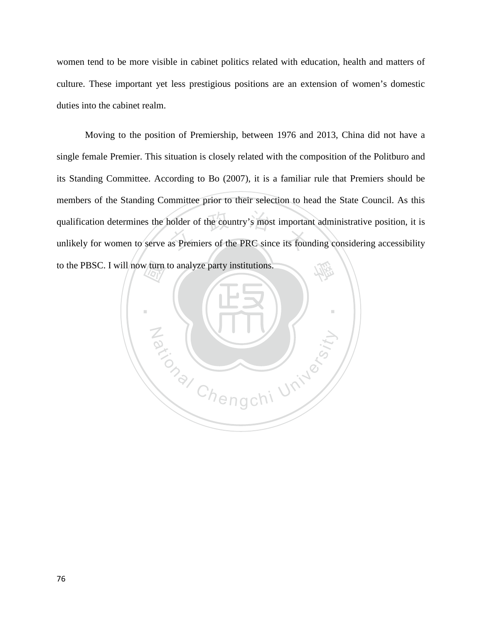women tend to be more visible in cabinet politics related with education, health and matters of culture. These important yet less prestigious positions are an extension of women's domestic duties into the cabinet realm.

nolder of the country's most important<br>as Premiers of the PRC since its four 學 Moving to the position of Premiership, between 1976 and 2013, China did not have a single female Premier. This situation is closely related with the composition of the Politburo and its Standing Committee. According to Bo (2007), it is a familiar rule that Premiers should be members of the Standing Committee prior to their selection to head the State Council. As this qualification determines the holder of the country's most important administrative position, it is unlikely for women to serve as Premiers of the PRC since its founding considering accessibility

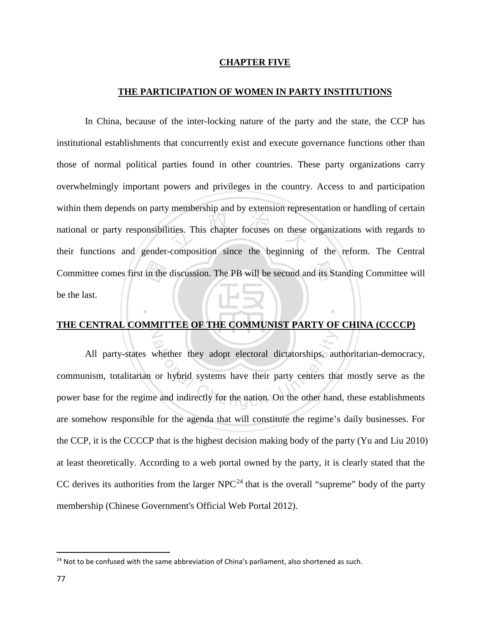## **CHAPTER FIVE**

## **THE PARTICIPATION OF WOMEN IN PARTY INSTITUTIONS**

Committee comes first in the discussion. The PB will be second and its Standing Committee will<br>be the last. membership and by extension represent<br>ities. This chapter focuses on these In China, because of the inter-locking nature of the party and the state, the CCP has institutional establishments that concurrently exist and execute governance functions other than those of normal political parties found in other countries. These party organizations carry overwhelmingly important powers and privileges in the country. Access to and participation within them depends on party membership and by extension representation or handling of certain national or party responsibilities. This chapter focuses on these organizations with regards to their functions and gender-composition since the beginning of the reform. The Central be the last.

## N **THE CENTRAL COMMITTEE OF THE COMMUNIST PARTY OF CHINA (CCCCP)**

‧

whether they adopt electoral dictatorships, aut<br>or hybrid systems have their party centers that<br>e and indirectly for the nation. On the other hand All party-states whether they adopt electoral dictatorships, authoritarian-democracy, communism, totalitarian or hybrid systems have their party centers that mostly serve as the power base for the regime and indirectly for the nation. On the other hand, these establishments are somehow responsible for the agenda that will constitute the regime's daily businesses. For the CCP, it is the CCCCP that is the highest decision making body of the party (Yu and Liu 2010) at least theoretically. According to a web portal owned by the party, it is clearly stated that the CC derives its authorities from the larger  $NPC^{24}$  $NPC^{24}$  $NPC^{24}$  that is the overall "supreme" body of the party membership (Chinese Government's Official Web Portal 2012).

l

<span id="page-83-0"></span> $24$  Not to be confused with the same abbreviation of China's parliament, also shortened as such.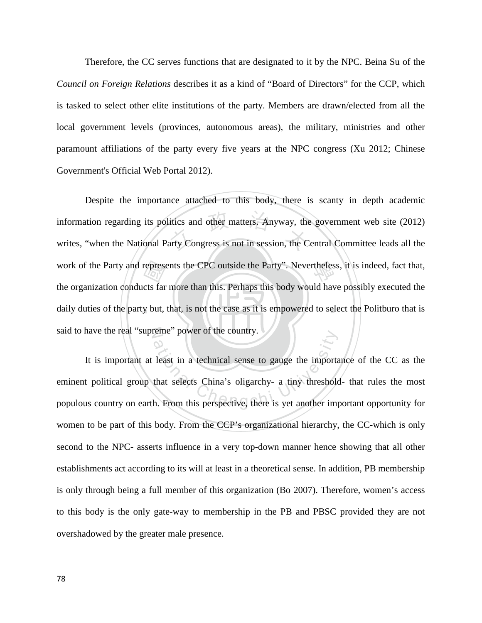Therefore, the CC serves functions that are designated to it by the NPC. Beina Su of the *Council on Foreign Relations* describes it as a kind of "Board of Directors" for the CCP, which is tasked to select other elite institutions of the party. Members are drawn/elected from all the local government levels (provinces, autonomous areas), the military, ministries and other paramount affiliations of the party every five years at the NPC congress (Xu 2012; Chinese Government's Official Web Portal 2012).

‧represe<br>cts far<br>y but, itics and other matters. Anyway, the<br>arty Congress is not in session, the C work of the Party and represents the CPC outside the Party". Nevertheless, it is indeed, fact that, daily duties of the party but, that, is not the case as it is empowered to select the Politburo that is said to have the real "supreme" power of the country. Despite the importance attached to this body, there is scanty in depth academic information regarding its politics and other matters. Anyway, the government web site (2012) writes, "when the National Party Congress is not in session, the Central Committee leads all the the organization conducts far more than this. Perhaps this body would have possibly executed the

France power of the country.<br>Least in a technical sense to gauge the important<br>that selects China's oligarchy- a tiny threshold<br>th. From this perspective, there is yet another imp It is important at least in a technical sense to gauge the importance of the CC as the eminent political group that selects China's oligarchy- a tiny threshold- that rules the most populous country on earth. From this perspective, there is yet another important opportunity for women to be part of this body. From the CCP's organizational hierarchy, the CC-which is only second to the NPC- asserts influence in a very top-down manner hence showing that all other establishments act according to its will at least in a theoretical sense. In addition, PB membership is only through being a full member of this organization (Bo 2007). Therefore, women's access to this body is the only gate-way to membership in the PB and PBSC provided they are not overshadowed by the greater male presence.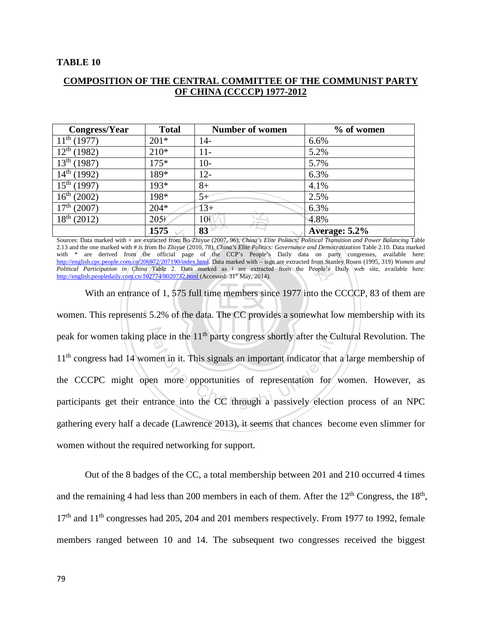# **COMPOSITION OF THE CENTRAL COMMITTEE OF THE COMMUNIST PARTY OF CHINA (CCCCP) 1977-2012**

| Congress/Year                                                                                                                                                                                                                                                                              | <b>Total</b>     | <b>Number of women</b> | % of women    |
|--------------------------------------------------------------------------------------------------------------------------------------------------------------------------------------------------------------------------------------------------------------------------------------------|------------------|------------------------|---------------|
| $11^{th}$ (1977)                                                                                                                                                                                                                                                                           | $201*$           | 14-                    | 6.6%          |
| $12^{th}$ (1982)                                                                                                                                                                                                                                                                           | $210*$           | $11-$                  | 5.2%          |
| $13^{th}$ (1987)                                                                                                                                                                                                                                                                           | $175*$           | $10-$                  | 5.7%          |
| $14^{\text{th}}$ (1992)                                                                                                                                                                                                                                                                    | 189*             | $12 -$                 | 6.3%          |
| $15^{th}$ (1997)                                                                                                                                                                                                                                                                           | $193*$           | $8+$                   | 4.1%          |
| $16^{th}$ (2002)                                                                                                                                                                                                                                                                           | 198*             | 5+                     | 2.5%          |
| 17 <sup>th</sup> (2007)                                                                                                                                                                                                                                                                    | $204*$           | $13+$                  | 6.3%          |
| $18^{th}$ (2012)                                                                                                                                                                                                                                                                           | 205 <sup>2</sup> | 10ŧ                    | 4.8%          |
|                                                                                                                                                                                                                                                                                            | 1575             | 83                     | Average: 5.2% |
| Sources: Data marked with + are extracted from Bo Zhiyue (2007, 96), China's Elite Politics: Political Transition and Power Balancing Table<br>2.13 and the one marked with # is from Bo Zhiyue (2010, 78), China's Elite Politics: Governance and Democratization Table 2.10. Data marked |                  |                        |               |

from Stan<br>People's Sources: Data marked with + are extracted from Bo Zhiyue (2007, 96), *China's Elite Politics: Political Transition and Power Balancing* Table with \* are derived from the official page of the CCP's People's Daily data on party congresses, available here: [http://english.cpc.people.com.cn/206972/207190/index.html.](http://english.cpc.people.com.cn/206972/207190/index.html) Data marked with – sign are extracted from Stanley Rosen (1995, 319) *Women and Political Participation in China* Table 2. Data marked as ǂ are extracted from the People's Daily web site, available here: <http://english.peopledaily.com.cn/102774/8020732.html> (Accessed: 31<sup>st</sup> May, 2014).

 $\begin{bmatrix} 1 & 0 & 0 \\ 0 & 0 & 1 \end{bmatrix}$  $\frac{06972/20}{102774/8}$ <br>the set of 1<br>s 5.2% peak for women taking place in the 11<sup>th</sup> party congress shortly after the Cultural Revolution. The 11<sup>th</sup> congress had 14 women in it. This signals an important indicator that a large membership of the CCCPC might open mo With an entrance of 1, 575 full time members since 1977 into the CCCCP, 83 of them are women. This represents 5.2% of the data. The CC provides a somewhat low membership with its 11<sup>th</sup> congress had 14 women in it. This signals an important indicator that a large membership of the CCCPC might open more opportunities of representation for women. However, as participants get their entrance into the CC through a passively election process of an NPC gathering every half a decade (Lawrence 2013), it seems that chances become even slimmer for women without the required networking for support.

Out of the 8 badges of the CC, a total membership between 201 and 210 occurred 4 times and the remaining 4 had less than 200 members in each of them. After the  $12<sup>th</sup>$  Congress, the  $18<sup>th</sup>$ ,  $17<sup>th</sup>$  and  $11<sup>th</sup>$  congresses had 205, 204 and 201 members respectively. From 1977 to 1992, female members ranged between 10 and 14. The subsequent two congresses received the biggest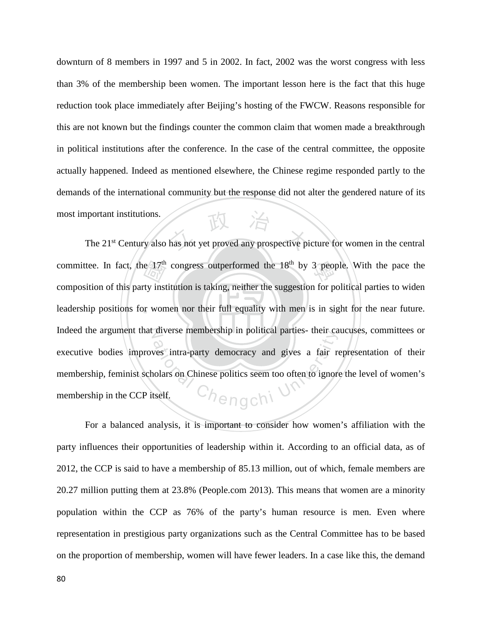downturn of 8 members in 1997 and 5 in 2002. In fact, 2002 was the worst congress with less than 3% of the membership been women. The important lesson here is the fact that this huge reduction took place immediately after Beijing's hosting of the FWCW. Reasons responsible for this are not known but the findings counter the common claim that women made a breakthrough in political institutions after the conference. In the case of the central committee, the opposite actually happened. Indeed as mentioned elsewhere, the Chinese regime responded partly to the demands of the international community but the response did not alter the gendered nature of its most important institutions.

leadership positions for women nor their full equality with men is in sight for the near future. e 17<sup>th</sup><br>ty inst<br>r won The 21<sup>st</sup> Century also has not yet proved any prospective picture for women in the central committee. In fact, the  $17<sup>th</sup>$  congress outperformed the  $18<sup>th</sup>$  by 3 people. With the pace the N Indeed the argument that diverse membership in political parties- their caucuses, committees or are membership in pointcal parties- their call<br>west intra-party democracy and gives a fair resolutions on Chinese politics seem too often to ignore<br>tself. composition of this party institution is taking, neither the suggestion for political parties to widen executive bodies improves intra-party democracy and gives a fair representation of their membership, feminist scholars on Chinese politics seem too often to ignore the level of women's membership in the CCP itself.

For a balanced analysis, it is important to consider how women's affiliation with the party influences their opportunities of leadership within it. According to an official data, as of 2012, the CCP is said to have a membership of 85.13 million, out of which, female members are 20.27 million putting them at 23.8% (People.com 2013). This means that women are a minority population within the CCP as 76% of the party's human resource is men. Even where representation in prestigious party organizations such as the Central Committee has to be based on the proportion of membership, women will have fewer leaders. In a case like this, the demand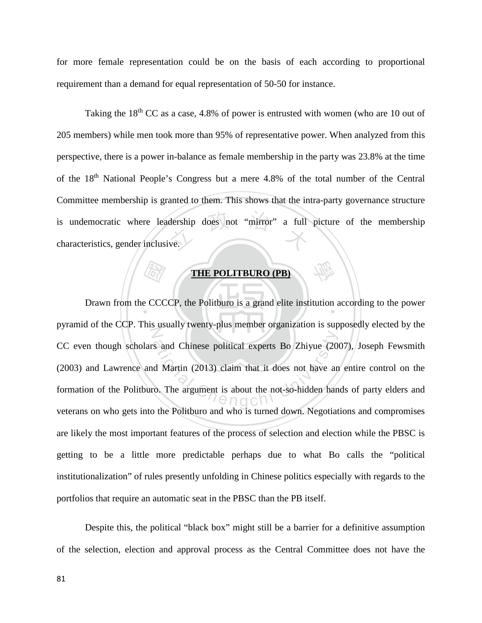for more female representation could be on the basis of each according to proportional requirement than a demand for equal representation of 50-50 for instance.

dership does not "mirror" a full<br>ve. Taking the  $18<sup>th</sup>$  CC as a case, 4.8% of power is entrusted with women (who are 10 out of 205 members) while men took more than 95% of representative power. When analyzed from this perspective, there is a power in-balance as female membership in the party was 23.8% at the time of the 18<sup>th</sup> National People's Congress but a mere 4.8% of the total number of the Central Committee membership is granted to them. This shows that the intra-party governance structure is undemocratic where leadership does not "mirror" a full picture of the membership characteristics, gender inclusive.

# **THE POLITBURO (PB)**

學

 國 Drawn from the CCCCP, the Politburo is a grand elite institution according to the power N ational Chinese political experts Bo Zhiyue (20<br>d Martin (2013) claim that it does not have an<br>co. The argument is about the not-so-hidden han pyramid of the CCP. This usually twenty-plus member organization is supposedly elected by the CC even though scholars and Chinese political experts Bo Zhiyue (2007), Joseph Fewsmith (2003) and Lawrence and Martin (2013) claim that it does not have an entire control on the formation of the Politburo. The argument is about the not-so-hidden hands of party elders and veterans on who gets into the Politburo and who is turned down. Negotiations and compromises are likely the most important features of the process of selection and election while the PBSC is getting to be a little more predictable perhaps due to what Bo calls the "political institutionalization" of rules presently unfolding in Chinese politics especially with regards to the portfolios that require an automatic seat in the PBSC than the PB itself.

Despite this, the political "black box" might still be a barrier for a definitive assumption of the selection, election and approval process as the Central Committee does not have the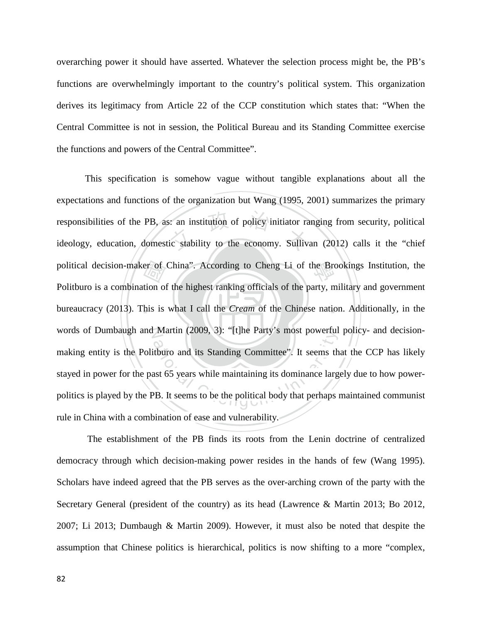overarching power it should have asserted. Whatever the selection process might be, the PB's functions are overwhelmingly important to the country's political system. This organization derives its legitimacy from Article 22 of the CCP constitution which states that: "When the Central Committee is not in session, the Political Bureau and its Standing Committee exercise the functions and powers of the Central Committee".

‧er of<br>tion of<br>his is : an institution of policy initiator ra<br>ic stability to the economy. Sulliva political decision-maker of China". According to Cheng Li of the Brookings Institution, the bureaucracy (2013). This is what I call the *Cream* of the Chinese nation. Additionally, in the words of Dumbaugh and Martin (2009, 3): "[t]he Party's most powerful policy- and decision-Martin (2009, 3). [t]ne Party's most powerful<br>tburo and its Standing Committee". It seems the<br>ast 65 years while maintaining its dominance large<br>PB. It seems to be the political body that perhaps This specification is somehow vague without tangible explanations about all the expectations and functions of the organization but Wang (1995, 2001) summarizes the primary responsibilities of the PB, as: an institution of policy initiator ranging from security, political ideology, education, domestic stability to the economy. Sullivan (2012) calls it the "chief Politburo is a combination of the highest ranking officials of the party, military and government making entity is the Politburo and its Standing Committee". It seems that the CCP has likely stayed in power for the past 65 years while maintaining its dominance largely due to how powerpolitics is played by the PB. It seems to be the political body that perhaps maintained communist rule in China with a combination of ease and vulnerability.

The establishment of the PB finds its roots from the Lenin doctrine of centralized democracy through which decision-making power resides in the hands of few (Wang 1995). Scholars have indeed agreed that the PB serves as the over-arching crown of the party with the Secretary General (president of the country) as its head (Lawrence & Martin 2013; Bo 2012, 2007; Li 2013; Dumbaugh & Martin 2009). However, it must also be noted that despite the assumption that Chinese politics is hierarchical, politics is now shifting to a more "complex,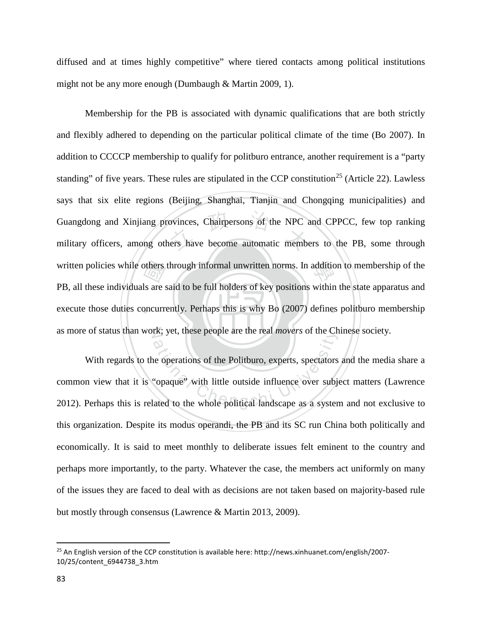diffused and at times highly competitive" where tiered contacts among political institutions might not be any more enough (Dumbaugh & Martin 2009, 1).

‧explorers<br>and the state of the state of the state of the state of the state of the state of the state of the state of the state of the state of the state of the state of the state of the state of the state of the state of ovinces, Chairpersons of the NPC a<br>ners have become automatic membe written policies while others through informal unwritten norms. In addition to membership of the execute those duties concurrently. Perhaps this is why Bo (2007) defines politburo membership as more of status than work; yet, these people are the real *movers* of the Chinese society. Membership for the PB is associated with dynamic qualifications that are both strictly and flexibly adhered to depending on the particular political climate of the time (Bo 2007). In addition to CCCCP membership to qualify for politburo entrance, another requirement is a "party standing" of five years. These rules are stipulated in the CCP constitution<sup>[25](#page-89-0)</sup> (Article 22). Lawless says that six elite regions (Beijing, Shanghai, Tianjin and Chongqing municipalities) and Guangdong and Xinjiang provinces, Chairpersons of the NPC and CPPCC, few top ranking military officers, among others have become automatic members to the PB, some through PB, all these individuals are said to be full holders of key positions within the state apparatus and

The specific are the real movers of the Chengchi University of the Chengchi University of the Politburo, experts, spectators "opaque" with little outside influence over subjected to the whole political landscape as a syste With regards to the operations of the Politburo, experts, spectators and the media share a common view that it is "opaque" with little outside influence over subject matters (Lawrence 2012). Perhaps this is related to the whole political landscape as a system and not exclusive to this organization. Despite its modus operandi, the PB and its SC run China both politically and economically. It is said to meet monthly to deliberate issues felt eminent to the country and perhaps more importantly, to the party. Whatever the case, the members act uniformly on many of the issues they are faced to deal with as decisions are not taken based on majority-based rule but mostly through consensus (Lawrence & Martin 2013, 2009).

 $\overline{\phantom{a}}$ 

<span id="page-89-0"></span><sup>25</sup> An English version of the CCP constitution is available here: http://news.xinhuanet.com/english/2007- 10/25/content\_6944738\_3.htm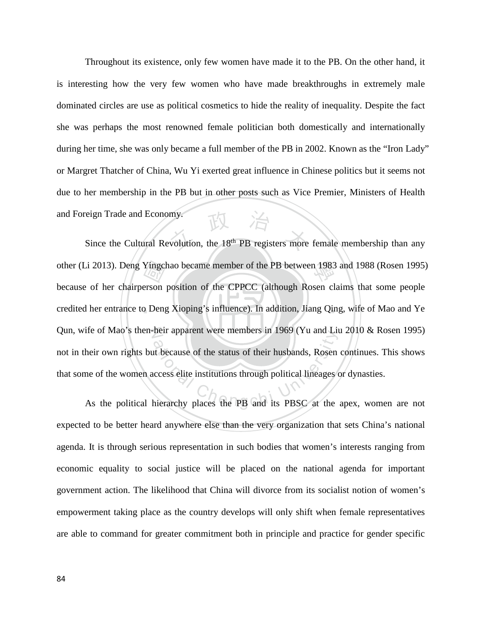Throughout its existence, only few women have made it to the PB. On the other hand, it is interesting how the very few women who have made breakthroughs in extremely male dominated circles are use as political cosmetics to hide the reality of inequality. Despite the fact she was perhaps the most renowned female politician both domestically and internationally during her time, she was only became a full member of the PB in 2002. Known as the "Iron Lady" or Margret Thatcher of China, Wu Yi exerted great influence in Chinese politics but it seems not due to her membership in the PB but in other posts such as Vice Premier, Ministers of Health and Foreign Trade and Economy.

‧**Yingcl<br>erson<br>D** Deng Since the Cultural Revolution, the 18<sup>th</sup> PB registers more female membership than any other (Li 2013). Deng Yingchao became member of the PB between 1983 and 1988 (Rosen 1995) credited her entrance to Deng Xioping's influence). In addition, Jiang Qing, wife of Mao and Ye Qun, wife of Mao's then-heir apparent were members in 1969 (Yu and Liu 2010 & Rosen 1995) heir own rights but because of the status of their husbands, Rosen continues. This shows<br>their own rights but because of the status of their husbands, Rosen continues. This shows<br>are of the women access elite institutions because of her chairperson position of the CPPCC (although Rosen claims that some people not in their own rights but because of the status of their husbands, Rosen continues. This shows that some of the women access elite institutions through political lineages or dynasties.

expected to be better heard anywhere else than the very organization that sets China's national agenda. It is through serious representation in such bodies that women's interests ranging from economic equality to social justice will be placed on the national agenda for important government action. The likelihood that China will divorce from its socialist notion of women's empowerment taking place as the country develops will only shift when female representatives are able to command for greater commitment both in principle and practice for gender specific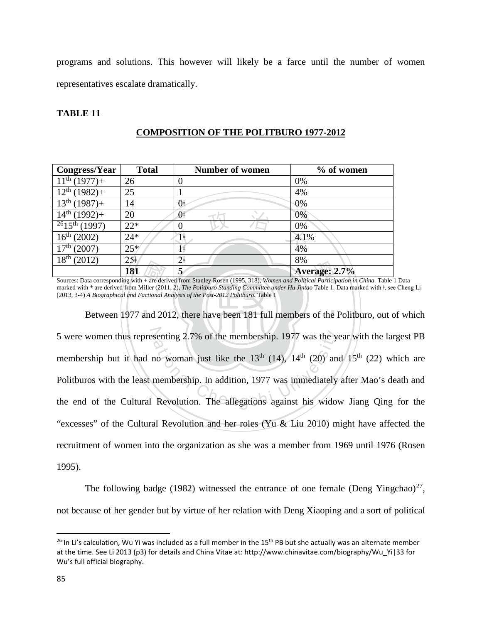programs and solutions. This however will likely be a farce until the number of women representatives escalate dramatically.

## **TABLE 11**

| <b>Congress/Year</b>                                                                                                                    | <b>Total</b>    | <b>Number of women</b> | $%$ of women  |
|-----------------------------------------------------------------------------------------------------------------------------------------|-----------------|------------------------|---------------|
| $11^{th}$ (1977)+                                                                                                                       | 26              | 0                      | 0%            |
| $12^{th}$ (1982)+                                                                                                                       | 25              |                        | 4%            |
| $13^{th}$ (1987)+                                                                                                                       | 14              | 0ŧ                     | 0%            |
| $14^{th}$ (1992)+                                                                                                                       | 20              | 0 <sup>†</sup>         | 0%            |
| $\sqrt{26}$ 15 <sup>th</sup> (1997)                                                                                                     | $22*$           |                        | 0%            |
| $16^{th}$ (2002)                                                                                                                        | $24*$           |                        | 4.1%          |
| 17 <sup>th</sup><br>(2007)                                                                                                              | $25*$           | Ĥ                      | 4%            |
| 18 <sup>th</sup><br>(2012)                                                                                                              | 25 <sup>†</sup> | 2 <sup>†</sup>         | 8%            |
|                                                                                                                                         | 181             | 5                      | Average: 2.7% |
| Sources: Data corresponding with + are derived from Stanley Rosen (1995, 318), Women and Political Participation in China. Table 1 Data |                 |                        |               |

# **COMPOSITION OF THE POLITBURO 1977-2012**

Final<br>
+ are der<br>
iiller (201<br>
actional A<br>
and 20 marked with \* are derived from Miller (2011, 2), *The Politburo Standing Committee under Hu Jintao* Table 1. Data marked with ǂ, see Cheng Li (2013, 3-4) *A Biographical and Factional Analysis of the Post-2012 Politburo.* Table 1

‧‧ 5 were women thus representing 2.7% of the membership. 1977 was the year with the largest PB senting 2.7% of the membership. 1977 was the year.<br>no woman just like the  $13<sup>th</sup>$  (14), 14<sup>th</sup> (20) and<br>membership. In addition, 1977 was immediately<br>Revolution. The allegations against his widow Between 1977 and 2012, there have been 181 full members of the Politburo, out of which membership but it had no woman just like the  $13<sup>th</sup> (14)$ ,  $14<sup>th</sup> (20)$  and  $15<sup>th</sup> (22)$  which are Politburos with the least membership. In addition, 1977 was immediately after Mao's death and the end of the Cultural Revolution. The allegations against his widow Jiang Qing for the "excesses" of the Cultural Revolution and her roles (Yu & Liu 2010) might have affected the recruitment of women into the organization as she was a member from 1969 until 1976 (Rosen 1995).

The following badge (1982) witnessed the entrance of one female (Deng Yingchao)<sup>[27](#page-91-1)</sup>, not because of her gender but by virtue of her relation with Deng Xiaoping and a sort of political

<span id="page-91-1"></span>l

<span id="page-91-0"></span><sup>&</sup>lt;sup>26</sup> In Li's calculation, Wu Yi was included as a full member in the 15<sup>th</sup> PB but she actually was an alternate member at the time. See Li 2013 (p3) for details and China Vitae at: http://www.chinavitae.com/biography/Wu\_Yi|33 for Wu's full official biography.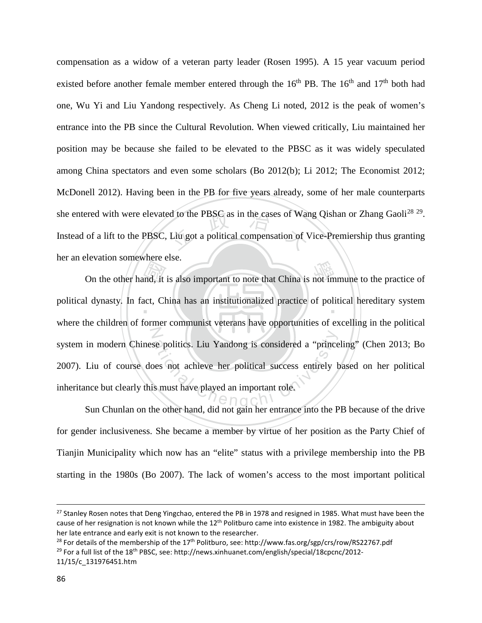Example 10 as in the cases of War<br>Liu got a political compensation of N<br> compensation as a widow of a veteran party leader (Rosen 1995). A 15 year vacuum period existed before another female member entered through the  $16<sup>th</sup>$  PB. The  $16<sup>th</sup>$  and  $17<sup>th</sup>$  both had one, Wu Yi and Liu Yandong respectively. As Cheng Li noted, 2012 is the peak of women's entrance into the PB since the Cultural Revolution. When viewed critically, Liu maintained her position may be because she failed to be elevated to the PBSC as it was widely speculated among China spectators and even some scholars (Bo 2012(b); Li 2012; The Economist 2012; McDonell 2012). Having been in the PB for five years already, some of her male counterparts she entered with were elevated to the PBSC as in the cases of Wang Qishan or Zhang Gaoli<sup>[28](#page-92-0) [29](#page-92-1)</sup>. Instead of a lift to the PBSC, Liu got a political compensation of Vice-Premiership thus granting her an elevation somewhere else.

On the other hand, it is also important to note that China is not immune to the practice of<br>1 dynasty. In fact, China has an institutionalized practice of political hereditary system<br>be objected as a communist vector as a political dynasty. In fact, China has an institutionalized practice of political hereditary system Exercise politics. Liu Yandong is considered a "prince<br>oes not achieve her political success entirely b<br>is must have played an important role. where the children of former communist veterans have opportunities of excelling in the political system in modern Chinese politics. Liu Yandong is considered a "princeling" (Chen 2013; Bo 2007). Liu of course does not achieve her political success entirely based on her political inheritance but clearly this must have played an important role.

 Sun Chunlan on the other hand, did not gain her entrance into the PB because of the drive for gender inclusiveness. She became a member by virtue of her position as the Party Chief of Tianjin Municipality which now has an "elite" status with a privilege membership into the PB starting in the 1980s (Bo 2007). The lack of women's access to the most important political

 $\overline{\phantom{a}}$ 

<sup>&</sup>lt;sup>27</sup> Stanley Rosen notes that Deng Yingchao, entered the PB in 1978 and resigned in 1985. What must have been the cause of her resignation is not known while the  $12^{\text{th}}$  Politburo came into existence in 1982. The ambiguity about her late entrance and early exit is not known to the researcher.

<span id="page-92-1"></span><span id="page-92-0"></span><sup>&</sup>lt;sup>28</sup> For details of the membership of the 17<sup>th</sup> Politburo, see: http://www.fas.org/sgp/crs/row/RS22767.pdf <sup>29</sup> For a full list of the 18<sup>th</sup> PBSC, see: http://news.xinhuanet.com/english/special/18cpcnc/2012-11/15/c\_131976451.htm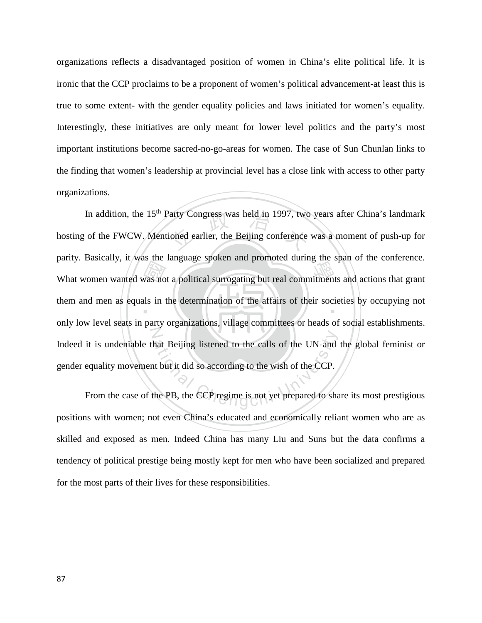organizations reflects a disadvantaged position of women in China's elite political life. It is ironic that the CCP proclaims to be a proponent of women's political advancement-at least this is true to some extent- with the gender equality policies and laws initiated for women's equality. Interestingly, these initiatives are only meant for lower level politics and the party's most important institutions become sacred-no-go-areas for women. The case of Sun Chunlan links to the finding that women's leadership at provincial level has a close link with access to other party organizations.

What women wanted was not a political surrogating but real commitments and actions that grant<br>them and men as equals in the determination of the affairs of their societies by occupying not<br>ank low lovel sects in party exer Party Congress was held in 1997, two<br>ioned earlier, the Beijing conference them and men as equals in the determination of the affairs of their societies by occupying not N hat Beijing listened to the calls of the UN and<br>the but it did so according to the wish of the CCP.<br>the PB, the CCP regime is not yet prepared to sha In addition, the  $15<sup>th</sup>$  Party Congress was held in 1997, two years after China's landmark hosting of the FWCW. Mentioned earlier, the Beijing conference was a moment of push-up for parity. Basically, it was the language spoken and promoted during the span of the conference. only low level seats in party organizations, village committees or heads of social establishments. Indeed it is undeniable that Beijing listened to the calls of the UN and the global feminist or gender equality movement but it did so according to the wish of the CCP.

From the case of the PB, the CCP regime is not yet prepared to share its most prestigious positions with women; not even China's educated and economically reliant women who are as skilled and exposed as men. Indeed China has many Liu and Suns but the data confirms a tendency of political prestige being mostly kept for men who have been socialized and prepared for the most parts of their lives for these responsibilities.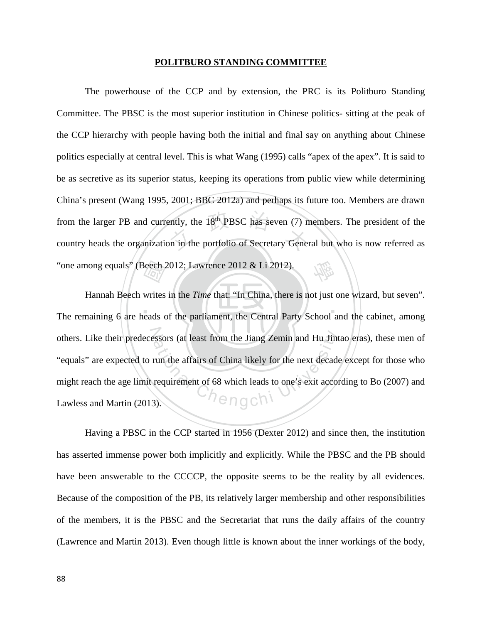#### **POLITBURO STANDING COMMITTEE**

ently, the 18<sup>th</sup> PBSC has seven (7) m<br>on in the portfolio of Secretary Gener 學 The powerhouse of the CCP and by extension, the PRC is its Politburo Standing Committee. The PBSC is the most superior institution in Chinese politics- sitting at the peak of the CCP hierarchy with people having both the initial and final say on anything about Chinese politics especially at central level. This is what Wang (1995) calls "apex of the apex". It is said to be as secretive as its superior status, keeping its operations from public view while determining China's present (Wang 1995, 2001; BBC 2012a) and perhaps its future too. Members are drawn from the larger PB and currently, the  $18<sup>th</sup>$  PBSC has seven (7) members. The president of the country heads the organization in the portfolio of Secretary General but who is now referred as "one among equals" (Beech 2012; Lawrence 2012 & Li 2012).

‧‧ Beech?<br>writes<br>eads o others. Like their predecessors (at least from the Jiang Zemin and Hu Jintao eras), these men of "equals" are expected to run the affairs of China likely for the next decade except for those who might reach the age limit r Hannah Beech writes in the *Time* that: "In China, there is not just one wizard, but seven". The remaining 6 are heads of the parliament, the Central Party School and the cabinet, among "equals" are expected to run the affairs of China likely for the next decade except for those who might reach the age limit requirement of 68 which leads to one's exit according to Bo (2007) and Lawless and Martin (2013).

Having a PBSC in the CCP started in 1956 (Dexter 2012) and since then, the institution has asserted immense power both implicitly and explicitly. While the PBSC and the PB should have been answerable to the CCCCP, the opposite seems to be the reality by all evidences. Because of the composition of the PB, its relatively larger membership and other responsibilities of the members, it is the PBSC and the Secretariat that runs the daily affairs of the country (Lawrence and Martin 2013). Even though little is known about the inner workings of the body,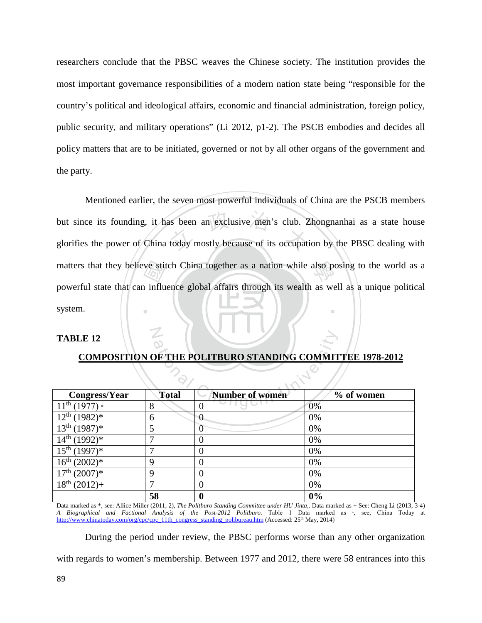researchers conclude that the PBSC weaves the Chinese society. The institution provides the most important governance responsibilities of a modern nation state being "responsible for the country's political and ideological affairs, economic and financial administration, foreign policy, public security, and military operations" (Li 2012, p1-2). The PSCB embodies and decides all policy matters that are to be initiated, governed or not by all other organs of the government and the party.

ve stit<br>
1 influ<br>
1 as been an exclusive men's club. Z<br>today mostly because of its occupati matters that they believe stitch China together as a nation while also posing to the world as a ‧ Mentioned earlier, the seven most powerful individuals of China are the PSCB members but since its founding, it has been an exclusive men's club. Zhongnanhai as a state house glorifies the power of China today mostly because of its occupation by the PBSC dealing with powerful state that can influence global affairs through its wealth as well as a unique political system.

# **TABLE 12**

N

| <b>TABLE 12</b>                                                  |              |                        |            |
|------------------------------------------------------------------|--------------|------------------------|------------|
| <b>COMPOSITION OF THE POLITBURO STANDING COMMITTEE 1978-2012</b> |              |                        |            |
|                                                                  |              |                        |            |
|                                                                  |              |                        |            |
| Congress/Year                                                    | <b>Total</b> | <b>Number of women</b> | % of women |
| $11^{\text{th}}$<br>$(1977)$ $\dagger$                           | 8            | 0                      | 0%         |
| 12 <sup>th</sup><br>$(1982)*$                                    | 6            | $\theta$               | 0%         |
| 13 <sup>th</sup><br>$(1987)*$                                    | 5            | 0                      | 0%         |
| 14 <sup>th</sup><br>$(1992)*$                                    | 7            | 0                      | 0%         |
| $15^{th}$ (1997)*                                                | 7            | 0                      | 0%         |
| 16 <sup>th</sup><br>$(2002)*$                                    | 9            | $\overline{0}$         | 0%         |
| $17th (2007)*$                                                   | 9            | $\overline{0}$         | 0%         |
| 18 <sup>th</sup><br>$(2012)+$                                    | 7            | $\overline{0}$         | 0%         |
|                                                                  | 58           | $\boldsymbol{0}$       | 0%         |

## **COMPOSITION OF THE POLITBURO STANDING COMMITTEE 1978-2012**

Data marked as \*, see: Allice Miller (2011, 2), *The Politburo Standing Committee under HU Jinta,*. Data marked as + See: Cheng Li (2013, 3-4) *A Biographical and Factional Analysis of the Post-2012 Politburo.* Table 1 Data marked as ǂ, see, China Today at [http://www.chinatoday.com/org/cpc/cpc\\_11th\\_congress\\_standing\\_polibureau.htm](http://www.chinatoday.com/org/cpc/cpc_11th_congress_standing_polibureau.htm) (Accessed: 25<sup>th</sup> May, 2014)

During the period under review, the PBSC performs worse than any other organization

with regards to women's membership. Between 1977 and 2012, there were 58 entrances into this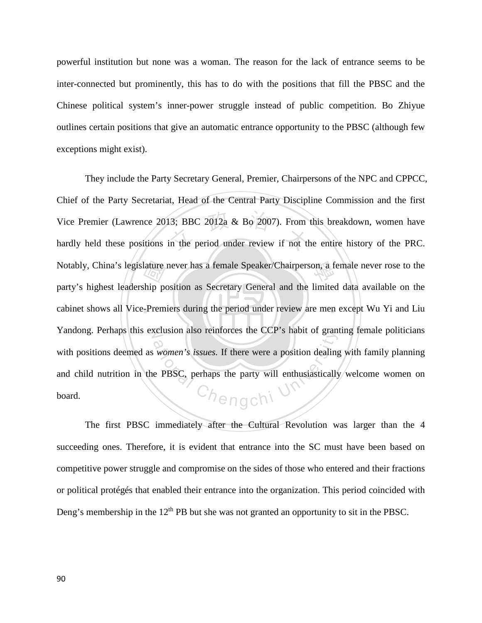powerful institution but none was a woman. The reason for the lack of entrance seems to be inter-connected but prominently, this has to do with the positions that fill the PBSC and the Chinese political system's inner-power struggle instead of public competition. Bo Zhiyue outlines certain positions that give an automatic entrance opportunity to the PBSC (although few exceptions might exist).

‧ature<br>
ship<br>
premier<br>
premier<br>
premier<br>
premier<br>
premier<br>
premier<br>
premier<br>
premier<br>
premier<br>
premier<br>
premier<br>
premier<br>
premier<br>
premier<br>
premier<br>
premier<br>
premier<br>
premier<br>
premier<br>
premier<br>
premier<br>
premier<br>
premier<br>
pr 13; BBC 2012a  $\&$  Bo 2007). From<br>in the period under review if not the Notably, China's legislature never has a female Speaker/Chairperson, a female never rose to the cabinet shows all Vice-Premiers during the period under review are men except Wu Yi and Liu N Yandong. Perhaps this exclusion also reinforces the CCP's habit of granting female politicians Equision also removes the CCP s habit of grain<br>women's issues. If there were a position dealing<br>e PBSC, perhaps the party will enthusiastically They include the Party Secretary General, Premier, Chairpersons of the NPC and CPPCC, Chief of the Party Secretariat, Head of the Central Party Discipline Commission and the first Vice Premier (Lawrence 2013; BBC 2012a & Bo 2007). From this breakdown, women have hardly held these positions in the period under review if not the entire history of the PRC. party's highest leadership position as Secretary General and the limited data available on the with positions deemed as *women's issues.* If there were a position dealing with family planning and child nutrition in the PBSC, perhaps the party will enthusiastically welcome women on board.

The first PBSC immediately after the Cultural Revolution was larger than the 4 succeeding ones. Therefore, it is evident that entrance into the SC must have been based on competitive power struggle and compromise on the sides of those who entered and their fractions or political protégés that enabled their entrance into the organization. This period coincided with Deng's membership in the  $12<sup>th</sup>$  PB but she was not granted an opportunity to sit in the PBSC.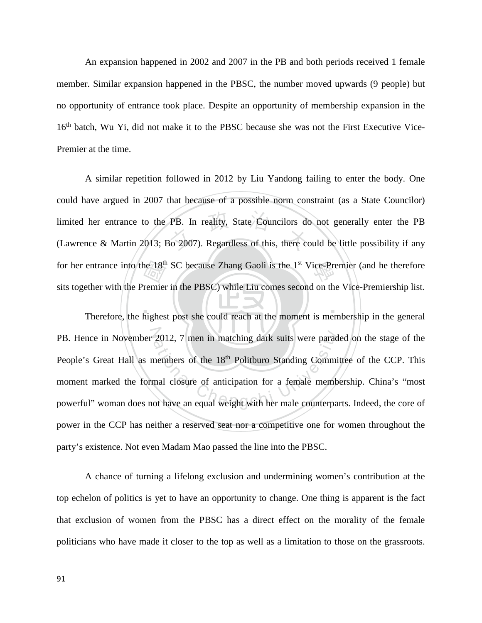An expansion happened in 2002 and 2007 in the PB and both periods received 1 female member. Similar expansion happened in the PBSC, the number moved upwards (9 people) but no opportunity of entrance took place. Despite an opportunity of membership expansion in the 16<sup>th</sup> batch, Wu Yi, did not make it to the PBSC because she was not the First Executive Vice-Premier at the time.

ne 18<sup>th</sup><br>remier<br>highes PB. In reality, State Councilors do<br>30 2007). Regardless of this, there co for her entrance into the 18<sup>th</sup> SC because Zhang Gaoli is the 1<sup>st</sup> Vice-Premier (and he therefore A similar repetition followed in 2012 by Liu Yandong failing to enter the body. One could have argued in 2007 that because of a possible norm constraint (as a State Councilor) limited her entrance to the PB. In reality, State Councilors do not generally enter the PB (Lawrence & Martin 2013; Bo 2007). Regardless of this, there could be little possibility if any sits together with the Premier in the PBSC) while Liu comes second on the Vice-Premiership list.

 $\mathbf{A} \times \mathbf{B}$ PB. Hence in November 2012, 7 men in matching dark suits were paraded on the stage of the 2012, 7 men in matching dark suits were parad<br>nembers of the 18<sup>th</sup> Politburo Standing Commi<br>mal closure of anticipation for a female memb<br>ot have an equal weight with her male counterpa Therefore, the highest post she could reach at the moment is membership in the general People's Great Hall as members of the 18<sup>th</sup> Politburo Standing Committee of the CCP. This moment marked the formal closure of anticipation for a female membership. China's "most powerful" woman does not have an equal weight with her male counterparts. Indeed, the core of power in the CCP has neither a reserved seat nor a competitive one for women throughout the party's existence. Not even Madam Mao passed the line into the PBSC.

A chance of turning a lifelong exclusion and undermining women's contribution at the top echelon of politics is yet to have an opportunity to change. One thing is apparent is the fact that exclusion of women from the PBSC has a direct effect on the morality of the female politicians who have made it closer to the top as well as a limitation to those on the grassroots.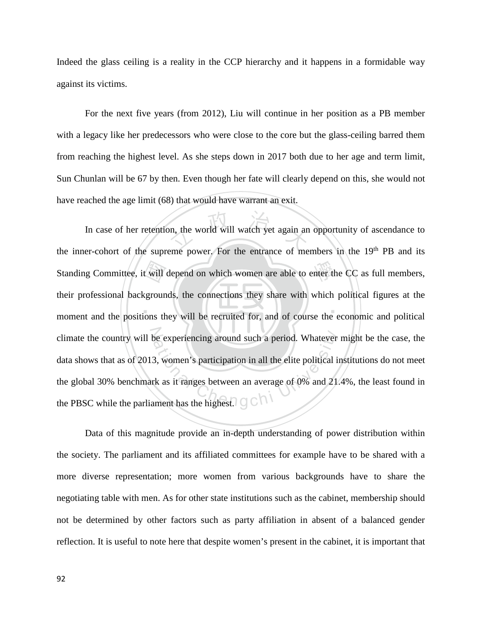Indeed the glass ceiling is a reality in the CCP hierarchy and it happens in a formidable way against its victims.

For the next five years (from 2012), Liu will continue in her position as a PB member with a legacy like her predecessors who were close to the core but the glass-ceiling barred them from reaching the highest level. As she steps down in 2017 both due to her age and term limit, Sun Chunlan will be 67 by then. Even though her fate will clearly depend on this, she would not have reached the age limit (68) that would have warrant an exit.

 $\mathbf{A}$  .  $\mathbf{A}$  ,  $\mathbf{A}$  ,  $\mathbf{A}$  ,  $\mathbf{A}$  ,  $\mathbf{A}$ Standing Committee, it will depend on which women are able to enter the CC as full members, their professional backgrounds, the connections they share with which political figures at the moment and the positions they will on, the world will watch yet again an climate the country will be experiencing around such a period. Whatever might be the case, the data shows that as of 2013, women's participation in all the elite political institutions do not meet the global 30% benchmark In case of her retention, the world will watch yet again an opportunity of ascendance to the inner-cohort of the supreme power. For the entrance of members in the 19th PB and its their professional backgrounds, the connections they share with which political figures at the moment and the positions they will be recruited for, and of course the economic and political data shows that as of 2013, women's participation in all the elite political institutions do not meet the global 30% benchmark as it ranges between an average of 0% and 21.4%, the least found in the PBSC while the parliament has the highest.  $\bigcirc$ 

Data of this magnitude provide an in-depth understanding of power distribution within the society. The parliament and its affiliated committees for example have to be shared with a more diverse representation; more women from various backgrounds have to share the negotiating table with men. As for other state institutions such as the cabinet, membership should not be determined by other factors such as party affiliation in absent of a balanced gender reflection. It is useful to note here that despite women's present in the cabinet, it is important that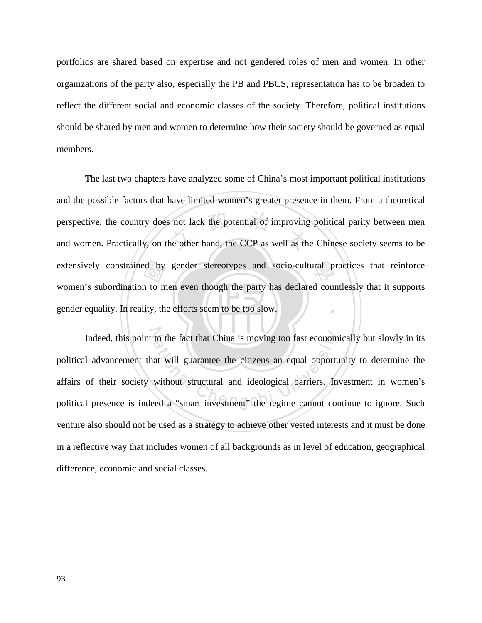portfolios are shared based on expertise and not gendered roles of men and women. In other organizations of the party also, especially the PB and PBCS, representation has to be broaden to reflect the different social and economic classes of the society. Therefore, political institutions should be shared by men and women to determine how their society should be governed as equal members.

gender equality. In reality, the efforts seem to be too slow. ed by<br>n to m<br>lity, th perspective, the country does not lack the potential of improving political parity between men<br>and women. Practically, on the other hand, the CCP as well as the Chinese society seems to be extensively constrained by gender stereotypes and socio-cultural practices that reinforce ‧ The last two chapters have analyzed some of China's most important political institutions and the possible factors that have limited women's greater presence in them. From a theoretical perspective, the country does not lack the potential of improving political parity between men women's subordination to men even though the party has declared countlessly that it supports

Indeed, this point to the fact that China is moving too fast economically but slowly in its<br>1 advancement that will guarantee the citizens an equal opportunity to determine the<br>1 of their society without structural and ide political advancement that will guarantee the citizens an equal opportunity to determine the affairs of their society without structural and ideological barriers. Investment in women's political presence is indeed a "smart investment" the regime cannot continue to ignore. Such venture also should not be used as a strategy to achieve other vested interests and it must be done in a reflective way that includes women of all backgrounds as in level of education, geographical difference, economic and social classes.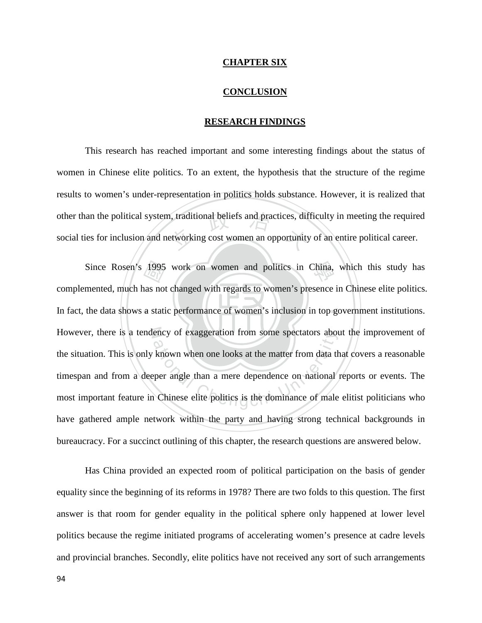### **CHAPTER SIX**

## **CONCLUSION**

## **RESEARCH FINDINGS**

other than the political system, traditional beliefs and practices, difficulty in meeting the required social ties for inclusion and networking cost women an opportunity of an entire political career. This research has reached important and some interesting findings about the status of women in Chinese elite politics. To an extent, the hypothesis that the structure of the regime results to women's under-representation in politics holds substance. However, it is realized that social ties for inclusion and networking cost women an opportunity of an entire political career.

In fact, the data shows a static performance of women's inclusion in top government institutions. Since Rosen's 1995 work on women and politics in China, which this study has<br>mented, much has not changed with regards to women's presence in Chinese elite politics.<br>the data shows a static performance of women's inclusion N However, there is a tendency of exaggeration from some spectators about the improvement of ency of exaggeration from some spectators about<br>
Nown when one looks at the matter from data the<br>
per angle than a mere dependence on national<br>
Chinese elite politics is the dominance of male complemented, much has not changed with regards to women's presence in Chinese elite politics. the situation. This is only known when one looks at the matter from data that covers a reasonable timespan and from a deeper angle than a mere dependence on national reports or events. The most important feature in Chinese elite politics is the dominance of male elitist politicians who have gathered ample network within the party and having strong technical backgrounds in bureaucracy. For a succinct outlining of this chapter, the research questions are answered below.

Has China provided an expected room of political participation on the basis of gender equality since the beginning of its reforms in 1978? There are two folds to this question. The first answer is that room for gender equality in the political sphere only happened at lower level politics because the regime initiated programs of accelerating women's presence at cadre levels and provincial branches. Secondly, elite politics have not received any sort of such arrangements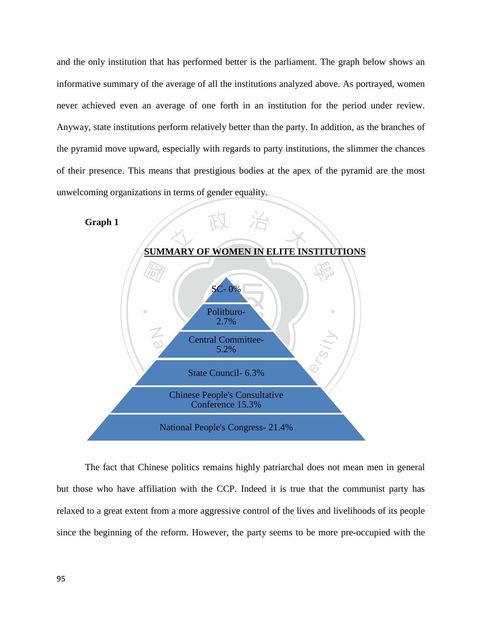and the only institution that has performed better is the parliament. The graph below shows an informative summary of the average of all the institutions analyzed above. As portrayed, women never achieved even an average of one forth in an institution for the period under review. Anyway, state institutions perform relatively better than the party. In addition, as the branches of the pyramid move upward, especially with regards to party institutions, the slimmer the chances of their presence. This means that prestigious bodies at the apex of the pyramid are the most unwelcoming organizations in terms of gender equality.

**Graph 1**



The fact that Chinese politics remains highly patriarchal does not mean men in general but those who have affiliation with the CCP. Indeed it is true that the communist party has relaxed to a great extent from a more aggressive control of the lives and livelihoods of its people since the beginning of the reform. However, the party seems to be more pre-occupied with the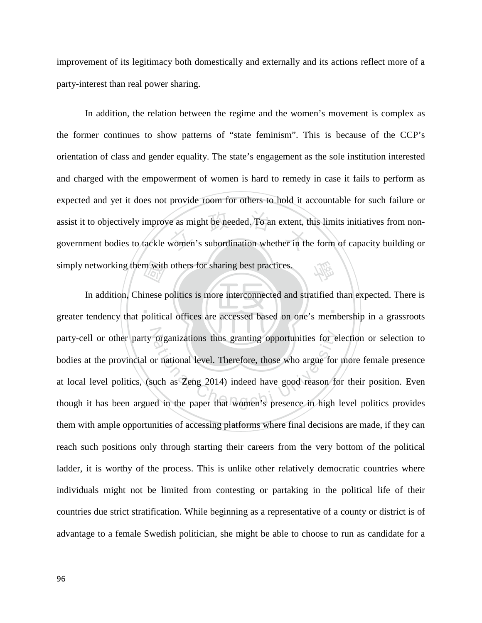improvement of its legitimacy both domestically and externally and its actions reflect more of a party-interest than real power sharing.

re as might be needed. To an extent, the women's subordination whether in the 學 In addition, the relation between the regime and the women's movement is complex as the former continues to show patterns of "state feminism". This is because of the CCP's orientation of class and gender equality. The state's engagement as the sole institution interested and charged with the empowerment of women is hard to remedy in case it fails to perform as expected and yet it does not provide room for others to hold it accountable for such failure or assist it to objectively improve as might be needed. To an extent, this limits initiatives from nongovernment bodies to tackle women's subordination whether in the form of capacity building or

‧‧ simply networking them with others for sharing best practices.<br>In addition, Chinese politics is more interconnected and<br>greater tendency that political offices are accessed based on party-cell or other party organizations thus granting opportunities for election or selection to bodies at the provincial or national level. Therefore, those who argue for more female presence at local level politics, (suc In addition, Chinese politics is more interconnected and stratified than expected. There is greater tendency that political offices are accessed based on one's membership in a grassroots bodies at the provincial or national level. Therefore, those who argue for more female presence at local level politics, (such as Zeng 2014) indeed have good reason for their position. Even though it has been argued in the paper that women's presence in high level politics provides them with ample opportunities of accessing platforms where final decisions are made, if they can reach such positions only through starting their careers from the very bottom of the political ladder, it is worthy of the process. This is unlike other relatively democratic countries where individuals might not be limited from contesting or partaking in the political life of their countries due strict stratification. While beginning as a representative of a county or district is of advantage to a female Swedish politician, she might be able to choose to run as candidate for a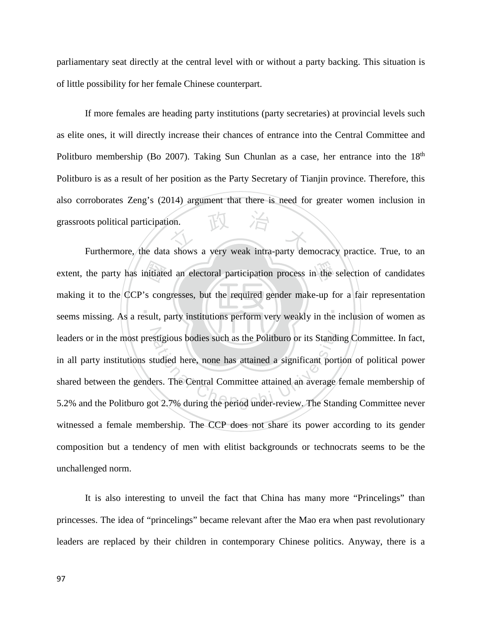parliamentary seat directly at the central level with or without a party backing. This situation is of little possibility for her female Chinese counterpart.

THT If more females are heading party institutions (party secretaries) at provincial levels such as elite ones, it will directly increase their chances of entrance into the Central Committee and Politburo membership (Bo 2007). Taking Sun Chunlan as a case, her entrance into the  $18<sup>th</sup>$ Politburo is as a result of her position as the Party Secretary of Tianjin province. Therefore, this also corroborates Zeng's (2014) argument that there is need for greater women inclusion in grassroots political participation.

‧‧ nitiate<br>'s con<br>esult, p extent, the party has initiated an electoral participation process in the selection of candidates leaders or in the most prestigious bodies such as the Politburo or its Standing Committee. In fact, stigious bodies such as the Politburo or its Standitudied here, none has attained a significant port ers. The Central Committee attained an average of 2.7% during the period under-review. The Stan making it to the CCP's congresses, but the required gender make-up for a fair representation seems missing. As a result, party institutions perform very weakly in the inclusion of women as in all party institutions studied here, none has attained a significant portion of political power shared between the genders. The Central Committee attained an average female membership of 5.2% and the Politburo got 2.7% during the period under-review. The Standing Committee never witnessed a female membership. The CCP does not share its power according to its gender composition but a tendency of men with elitist backgrounds or technocrats seems to be the unchallenged norm.

It is also interesting to unveil the fact that China has many more "Princelings" than princesses. The idea of "princelings" became relevant after the Mao era when past revolutionary leaders are replaced by their children in contemporary Chinese politics. Anyway, there is a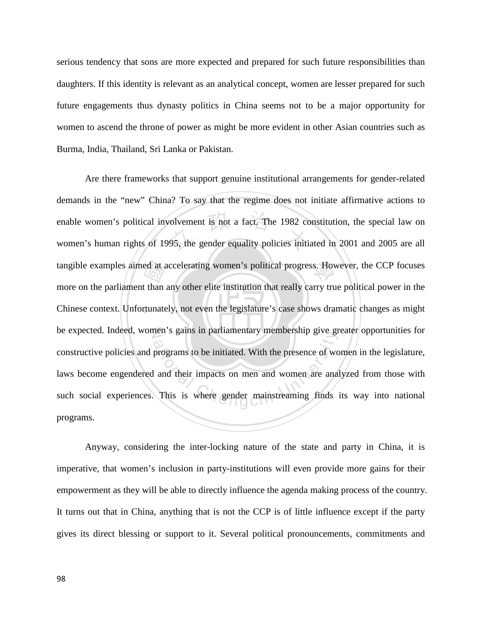serious tendency that sons are more expected and prepared for such future responsibilities than daughters. If this identity is relevant as an analytical concept, women are lesser prepared for such future engagements thus dynasty politics in China seems not to be a major opportunity for women to ascend the throne of power as might be more evident in other Asian countries such as Burma, India, Thailand, Sri Lanka or Pakistan.

‧ed at a<br>t than<br>tunate volvement is not a fact. The 1982 co<br>95, the gender equality policies initi tangible examples aimed at accelerating women's political progress. However, the CCP focuses Chinese context. Unfortunately, not even the legislature's case shows dramatic changes as might be expected. Indeed, women's gains in parliamentary membership give greater opportunities for ments gains in partiamentary membersing give gradients<br>programs to be initiated. With the presence of words<br>and their impacts on men and women are anal<br>This is where gender mainstreaming finds Are there frameworks that support genuine institutional arrangements for gender-related demands in the "new" China? To say that the regime does not initiate affirmative actions to enable women's political involvement is not a fact. The 1982 constitution, the special law on women's human rights of 1995, the gender equality policies initiated in 2001 and 2005 are all more on the parliament than any other elite institution that really carry true political power in the constructive policies and programs to be initiated. With the presence of women in the legislature, laws become engendered and their impacts on men and women are analyzed from those with such social experiences. This is where gender mainstreaming finds its way into national programs.

Anyway, considering the inter-locking nature of the state and party in China, it is imperative, that women's inclusion in party-institutions will even provide more gains for their empowerment as they will be able to directly influence the agenda making process of the country. It turns out that in China, anything that is not the CCP is of little influence except if the party gives its direct blessing or support to it. Several political pronouncements, commitments and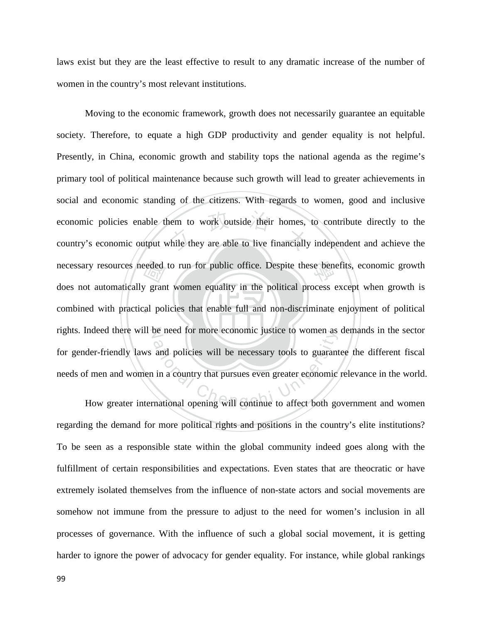laws exist but they are the least effective to result to any dramatic increase of the number of women in the country's most relevant institutions.

‧eeded<br>y gran<br>cal pol nem to work outside their homes,<br>while they are able to live financially necessary resources needed to run for public office. Despite these benefits, economic growth combined with practical policies that enable full and non-discriminate enjoyment of political rights. Indeed there will be need for more economic justice to women as demands in the sector be need for more economic justice to women as<br>and policies will be necessary tools to guarant<br>in a country that pursues even greater economic<br>mational opening will continue to affect both go Moving to the economic framework, growth does not necessarily guarantee an equitable society. Therefore, to equate a high GDP productivity and gender equality is not helpful. Presently, in China, economic growth and stability tops the national agenda as the regime's primary tool of political maintenance because such growth will lead to greater achievements in social and economic standing of the citizens. With regards to women, good and inclusive economic policies enable them to work outside their homes, to contribute directly to the country's economic output while they are able to live financially independent and achieve the does not automatically grant women equality in the political process except when growth is for gender-friendly laws and policies will be necessary tools to guarantee the different fiscal needs of men and women in a country that pursues even greater economic relevance in the world.

How greater international opening will continue to affect both government and women regarding the demand for more political rights and positions in the country's elite institutions? To be seen as a responsible state within the global community indeed goes along with the fulfillment of certain responsibilities and expectations. Even states that are theocratic or have extremely isolated themselves from the influence of non-state actors and social movements are somehow not immune from the pressure to adjust to the need for women's inclusion in all processes of governance. With the influence of such a global social movement, it is getting harder to ignore the power of advocacy for gender equality. For instance, while global rankings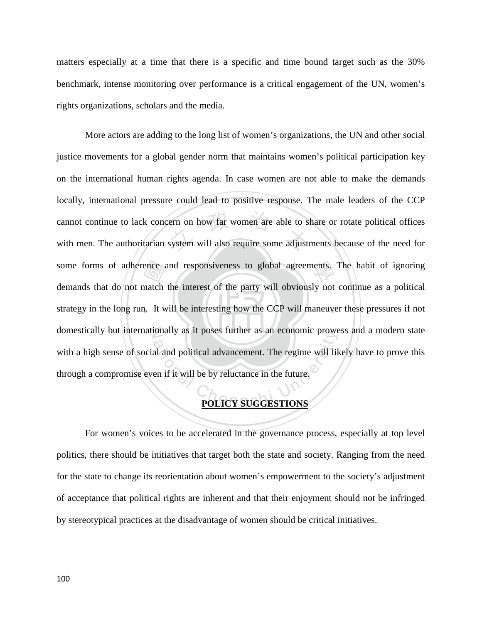matters especially at a time that there is a specific and time bound target such as the 30% benchmark, intense monitoring over performance is a critical engagement of the UN, women's rights organizations, scholars and the media.

strategy in the long run. It will be interesting how the CCP will maneuver these pressures if not some forms of adherence and responsiveness to global agreements. The habit of ignoring demands that do not match the interest of the party will obviously not continue as a political strategy in the long run. It will be int ern on how far women are able to set<br>system will also require some adjust domestically but internationally as it poses further as an economic prowess and a modern state Final and political advancement. The regime will like<br>al and political advancement. The regime will like<br>the if it will be by reluctance in the future. More actors are adding to the long list of women's organizations, the UN and other social justice movements for a global gender norm that maintains women's political participation key on the international human rights agenda. In case women are not able to make the demands locally, international pressure could lead to positive response. The male leaders of the CCP cannot continue to lack concern on how far women are able to share or rotate political offices with men. The authoritarian system will also require some adjustments because of the need for demands that do not match the interest of the party will obviously not continue as a political with a high sense of social and political advancement. The regime will likely have to prove this through a compromise even if it will be by reluctance in the future.

# **POLICY SUGGESTIONS**

For women's voices to be accelerated in the governance process, especially at top level politics, there should be initiatives that target both the state and society. Ranging from the need for the state to change its reorientation about women's empowerment to the society's adjustment of acceptance that political rights are inherent and that their enjoyment should not be infringed by stereotypical practices at the disadvantage of women should be critical initiatives.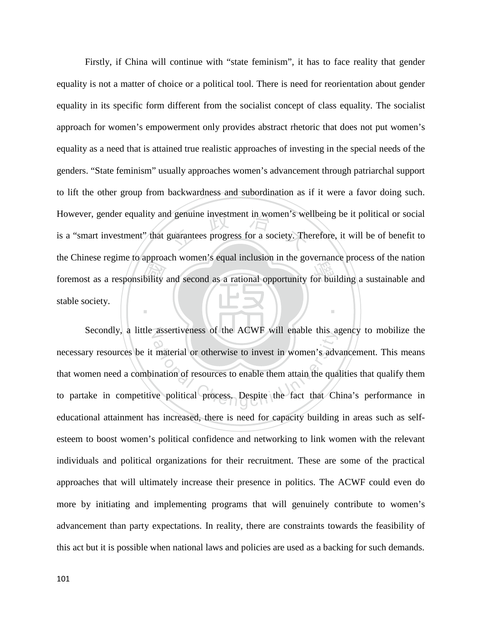foremost as a responsibility and second as a rational opportunity for building a sustainable and stable society. d genuine investment in women's we<br>guarantees progress for a society. The ‧ Firstly, if China will continue with "state feminism", it has to face reality that gender equality is not a matter of choice or a political tool. There is need for reorientation about gender equality in its specific form different from the socialist concept of class equality. The socialist approach for women's empowerment only provides abstract rhetoric that does not put women's equality as a need that is attained true realistic approaches of investing in the special needs of the genders. "State feminism" usually approaches women's advancement through patriarchal support to lift the other group from backwardness and subordination as if it were a favor doing such. However, gender equality and genuine investment in women's wellbeing be it political or social is a "smart investment" that guarantees progress for a society. Therefore, it will be of benefit to the Chinese regime to approach women's equal inclusion in the governance process of the nation stable society.

N Secondly, a little assertiveness of the ACWF will enable this agency to mobilize the assertiveness of the ACWF will enable this as<br>material or otherwise to invest in women's adviation of resources to enable them attain the quality<br>we political process. Despite the fact that Ch necessary resources be it material or otherwise to invest in women's advancement. This means that women need a combination of resources to enable them attain the qualities that qualify them to partake in competitive political process. Despite the fact that China's performance in educational attainment has increased, there is need for capacity building in areas such as selfesteem to boost women's political confidence and networking to link women with the relevant individuals and political organizations for their recruitment. These are some of the practical approaches that will ultimately increase their presence in politics. The ACWF could even do more by initiating and implementing programs that will genuinely contribute to women's advancement than party expectations. In reality, there are constraints towards the feasibility of this act but it is possible when national laws and policies are used as a backing for such demands.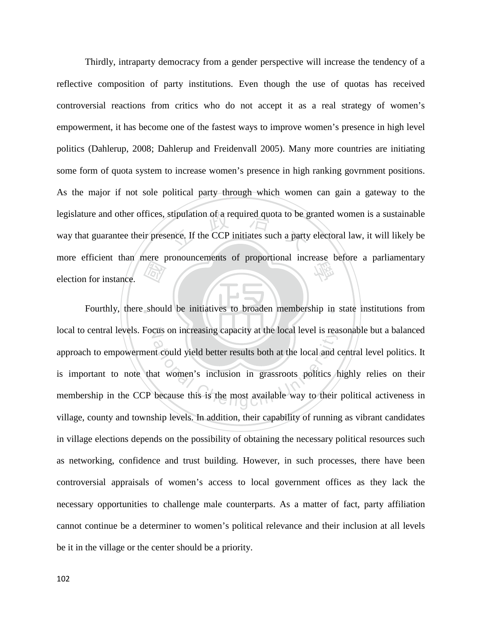**RAY**<br>shoul stipulation of a required quota to be g<br>ence. If the CCP initiates such a party more efficient than mere pronouncements of proportional increase before a parliamentary election for instance. Thirdly, intraparty democracy from a gender perspective will increase the tendency of a reflective composition of party institutions. Even though the use of quotas has received controversial reactions from critics who do not accept it as a real strategy of women's empowerment, it has become one of the fastest ways to improve women's presence in high level politics (Dahlerup, 2008; Dahlerup and Freidenvall 2005). Many more countries are initiating some form of quota system to increase women's presence in high ranking govrnment positions. As the major if not sole political party through which women can gain a gateway to the legislature and other offices, stipulation of a required quota to be granted women is a sustainable way that guarantee their presence. If the CCP initiates such a party electoral law, it will likely be election for instance.

Fourthly, there should be initiatives to broaden membership in state institutions from local to central levels. Focus on increasing capacity at the local level is reasonable but a balanced The set of increasing capacity at the local level is reader<br>at could yield better results both at the local and c<br>at women's inclusion in grassroots politics because this is the most available way to their approach to empowerment could yield better results both at the local and central level politics. It is important to note that women's inclusion in grassroots politics highly relies on their membership in the CCP because this is the most available way to their political activeness in village, county and township levels. In addition, their capability of running as vibrant candidates in village elections depends on the possibility of obtaining the necessary political resources such as networking, confidence and trust building. However, in such processes, there have been controversial appraisals of women's access to local government offices as they lack the necessary opportunities to challenge male counterparts. As a matter of fact, party affiliation cannot continue be a determiner to women's political relevance and their inclusion at all levels be it in the village or the center should be a priority.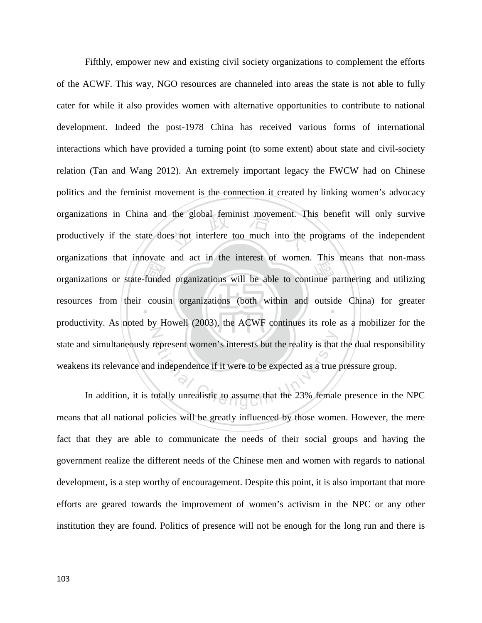organizations or state-funded organizations will be able to continue partnering and utilizing<br>resources from their cousin organizations (both within and outside China) for greater the global feminist movement. The<br>s not interfere too much into the resources from their cousin organizations (both within and outside China) for greater N represent women's interests but the reality is that<br>at independence if it were to be expected as a true<br>otally unrealistic to assume that the 23% female Fifthly, empower new and existing civil society organizations to complement the efforts of the ACWF. This way, NGO resources are channeled into areas the state is not able to fully cater for while it also provides women with alternative opportunities to contribute to national development. Indeed the post-1978 China has received various forms of international interactions which have provided a turning point (to some extent) about state and civil-society relation (Tan and Wang 2012). An extremely important legacy the FWCW had on Chinese politics and the feminist movement is the connection it created by linking women's advocacy organizations in China and the global feminist movement. This benefit will only survive productively if the state does not interfere too much into the programs of the independent organizations that innovate and act in the interest of women. This means that non-mass productivity. As noted by Howell (2003), the ACWF continues its role as a mobilizer for the state and simultaneously represent women's interests but the reality is that the dual responsibility weakens its relevance and independence if it were to be expected as a true pressure group.

In addition, it is totally unrealistic to assume that the 23% female presence in the NPC means that all national policies will be greatly influenced by those women. However, the mere fact that they are able to communicate the needs of their social groups and having the government realize the different needs of the Chinese men and women with regards to national development, is a step worthy of encouragement. Despite this point, it is also important that more efforts are geared towards the improvement of women's activism in the NPC or any other institution they are found. Politics of presence will not be enough for the long run and there is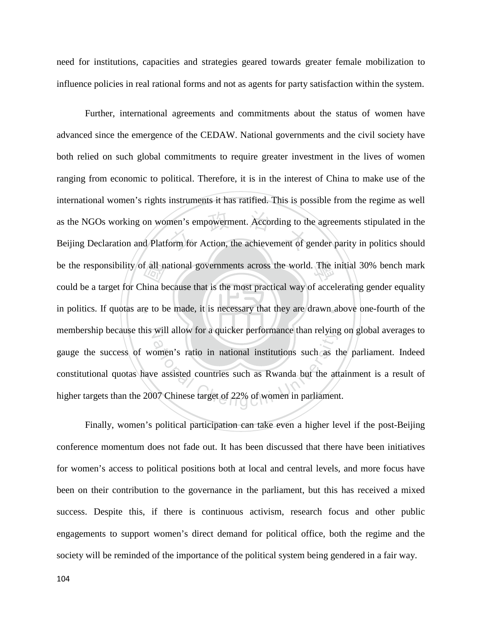need for institutions, capacities and strategies geared towards greater female mobilization to influence policies in real rational forms and not as agents for party satisfaction within the system.

‧ $\begin{bmatrix} \frac{\partial \mathbf{a}}{\partial x} \\ \frac{\partial \mathbf{a}}{\partial x} \end{bmatrix}$ <br>hina b men's empowerment. According to the<br>orm for Action, the achievement of g be the responsibility of all national governments across the world. The initial 30% bench mark in politics. If quotas are to be made, it is necessary that they are drawn above one-fourth of the membership because this will allow for a quicker performance than relying on global averages to will allow for a quicker performance than relying<br>omen's ratio in national institutions such as the<br>e assisted countries such as Rwanda but the att<br>07 Chinese target of 22% of women in parliament Further, international agreements and commitments about the status of women have advanced since the emergence of the CEDAW. National governments and the civil society have both relied on such global commitments to require greater investment in the lives of women ranging from economic to political. Therefore, it is in the interest of China to make use of the international women's rights instruments it has ratified. This is possible from the regime as well as the NGOs working on women's empowerment. According to the agreements stipulated in the Beijing Declaration and Platform for Action, the achievement of gender parity in politics should could be a target for China because that is the most practical way of accelerating gender equality gauge the success of women's ratio in national institutions such as the parliament. Indeed constitutional quotas have assisted countries such as Rwanda but the attainment is a result of higher targets than the 2007 Chinese target of 22% of women in parliament.

Finally, women's political participation can take even a higher level if the post-Beijing conference momentum does not fade out. It has been discussed that there have been initiatives for women's access to political positions both at local and central levels, and more focus have been on their contribution to the governance in the parliament, but this has received a mixed success. Despite this, if there is continuous activism, research focus and other public engagements to support women's direct demand for political office, both the regime and the society will be reminded of the importance of the political system being gendered in a fair way.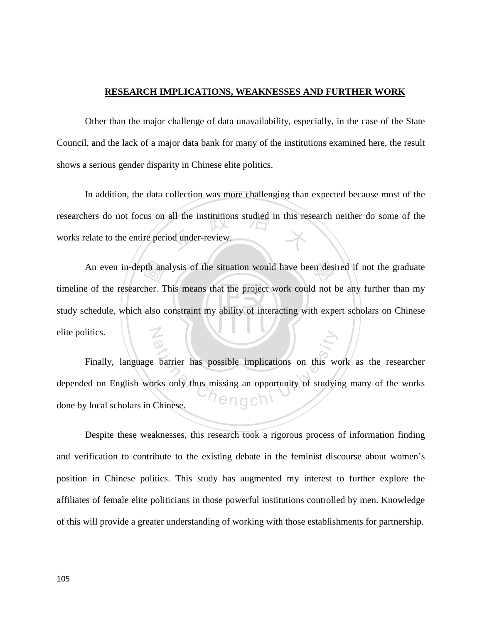## **RESEARCH IMPLICATIONS, WEAKNESSES AND FURTHER WORK**

Other than the major challenge of data unavailability, especially, in the case of the State Council, and the lack of a major data bank for many of the institutions examined here, the result shows a serious gender disparity in Chinese elite politics.

researchers do not focus on all the institutions studied in this research neither do some of the works relate to the entire period under-review. In addition, the data collection was more challenging than expected because most of the works relate to the entire period under-review.

study schedule, which also constraint my ability of interacting with expert scholars on Chinese An even in-depth analysis of the situation would have been desired if not the graduate<br>
a of the researcher. This means that the project work could not be any further than my<br>
chedule, which also constraint my ability of i N timeline of the researcher. This means that the project work could not be any further than my elite politics.

Barrier has possible implications on this we<br>rks only thus missing an opportunity of studyin<br>Chinese. Finally, language barrier has possible implications on this work as the researcher depended on English works only thus missing an opportunity of studying many of the works done by local scholars in Chinese.

Despite these weaknesses, this research took a rigorous process of information finding and verification to contribute to the existing debate in the feminist discourse about women's position in Chinese politics. This study has augmented my interest to further explore the affiliates of female elite politicians in those powerful institutions controlled by men. Knowledge of this will provide a greater understanding of working with those establishments for partnership.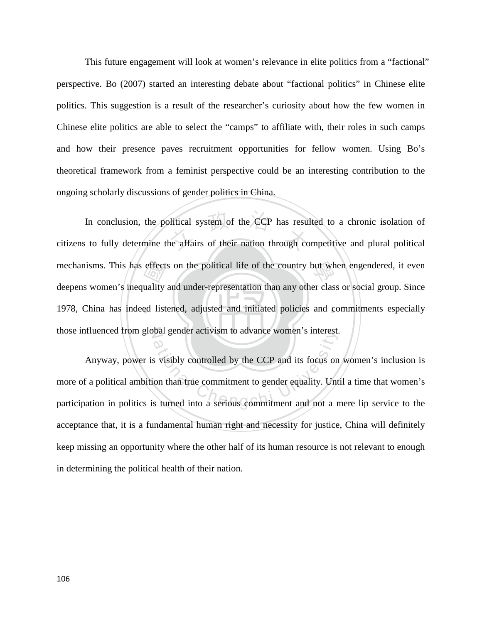This future engagement will look at women's relevance in elite politics from a "factional" perspective. Bo (2007) started an interesting debate about "factional politics" in Chinese elite politics. This suggestion is a result of the researcher's curiosity about how the few women in Chinese elite politics are able to select the "camps" to affiliate with, their roles in such camps and how their presence paves recruitment opportunities for fellow women. Using Bo's theoretical framework from a feminist perspective could be an interesting contribution to the ongoing scholarly discussions of gender politics in China.

‧effect<br>
uality<br>
ed list In conclusion, the political system of the CCP has resulted to a chronic isolation of citizens to fully determine the affairs of their nation through competitive and plural political mechanisms. This has effects on the political life of the country but when engendered, it even 1978, China has indeed listened, adjusted and initiated policies and commitments especially those influenced from global gender activism to advance women's interest. In conclusion, the political system of the CCP has resulted to a chronic isolation of deepens women's inequality and under-representation than any other class or social group. Since

Anyway, power is visibly controlled by the CCP and its focus on women's inclusion is<br>more of a political ambition than true commitment to gender equality. Until a time that women's<br>participation in politics is turned into Anyway, power is visibly controlled by the CCP and its focus on women's inclusion is more of a political ambition than true commitment to gender equality. Until a time that women's acceptance that, it is a fundamental human right and necessity for justice, China will definitely keep missing an opportunity where the other half of its human resource is not relevant to enough in determining the political health of their nation.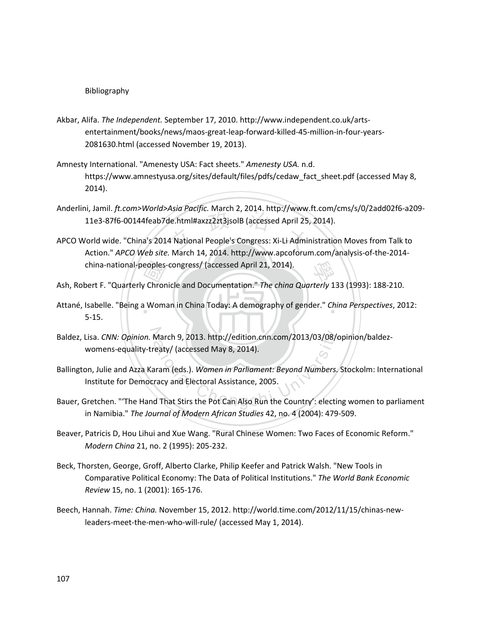## Bibliography

- Akbar, Alifa. *The Independent.* September 17, 2010. http://www.independent.co.uk/artsentertainment/books/news/maos-great-leap-forward-killed-45-million-in-four-years-2081630.html (accessed November 19, 2013).
- Amnesty International. "Amenesty USA: Fact sheets." *Amenesty USA.* n.d. https://www.amnestyusa.org/sites/default/files/pdfs/cedaw\_fact\_sheet.pdf (accessed May 8, 2014).
- de.html#axzz2zt3jsolB (accessed April 25,<br>4 National People's Congress: Xi-Li Admir Anderlini, Jamil. *ft.com>World>Asia Pacific.* March 2, 2014. http://www.ft.com/cms/s/0/2add02f6-a209- 11e3-87f6-00144feab7de.html#axzz2zt3jsolB (accessed April 25, 2014).
- APCO World wide. "China's 2014 National People's Congress: Xi-Li Administration Moves from Talk to Action." *APCO Web site.* March 14, 2014. http://www.apcoforum.com/analysis-of-the-2014 china-national-peoples-congress/ (accessed April 21, 2014).
- 
- china-national-peoples-congress/ (accessed April 21, 2014).<br>Ash, Robert F. "Quarterly Chronicle and Documentation." *The china Quarterly* 133 (1993): 188-210.<br>Attané, Isabelle. "Being a Woman in China Today: A demography o ‧ Attané, Isabelle. "Being a Woman in China Today: A demography of gender." *China Perspectives*, 2012: 5-15.
- Baldez, Lisa. *CNN: Opinion.* March 9, 2013. http://edition.cnn.com/2013/03/08/opinion/baldez-<br>womens-equality-treaty/ (accessed May 8, 2014).<br>Ballington, Julie and Azza Karam (eds.). *Women in Parliament: Beyond Numbers,* womens-equality-treaty/ (accessed May 8, 2014).
- Ballington, Julie and Azza Karam (eds.). *Women in Parliament: Beyond Numbers.* Stockolm: International Institute for Democracy and Electoral Assistance, 2005.
- Bauer, Gretchen. "'The Hand That Stirs the Pot Can Also Run the Country': electing women to parliament in Namibia." *The Journal of Modern African Studies* 42, no. 4 (2004): 479-509.
- Beaver, Patricis D, Hou Lihui and Xue Wang. "Rural Chinese Women: Two Faces of Economic Reform." *Modern China* 21, no. 2 (1995): 205-232.
- Beck, Thorsten, George, Groff, Alberto Clarke, Philip Keefer and Patrick Walsh. "New Tools in Comparative Political Economy: The Data of Political Institutions." *The World Bank Economic Review* 15, no. 1 (2001): 165-176.
- Beech, Hannah. *Time: China.* November 15, 2012. http://world.time.com/2012/11/15/chinas-newleaders-meet-the-men-who-will-rule/ (accessed May 1, 2014).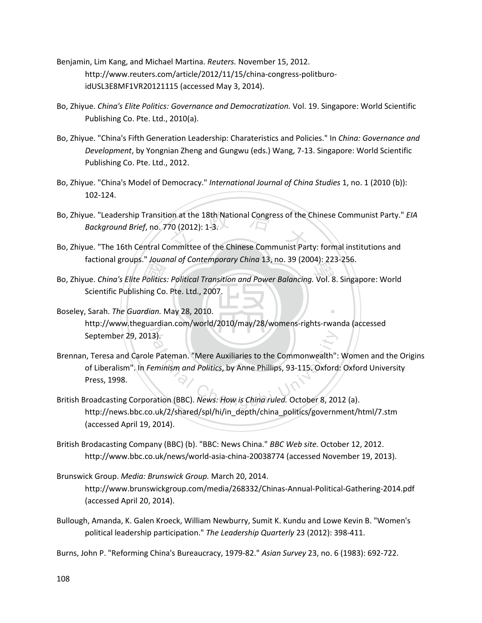- Benjamin, Lim Kang, and Michael Martina. *Reuters.* November 15, 2012. http://www.reuters.com/article/2012/11/15/china-congress-politburoidUSL3E8MF1VR20121115 (accessed May 3, 2014).
- Bo, Zhiyue. *China's Elite Politics: Governance and Democratization.* Vol. 19. Singapore: World Scientific Publishing Co. Pte. Ltd., 2010(a).
- Bo, Zhiyue. "China's Fifth Generation Leadership: Charateristics and Policies." In *China: Governance and Development*, by Yongnian Zheng and Gungwu (eds.) Wang, 7-13. Singapore: World Scientific Publishing Co. Pte. Ltd., 2012.
- Bo, Zhiyue. "China's Model of Democracy." *International Journal of China Studies* 1, no. 1 (2010 (b)): 102-124.
- Bo, Zhiyue. "Leadership Transition at the 18th National Congress of the Chinese Communist Party." *EIA*<br>Bo, Zhiyue. "The 16th Central Committee of the Chinese Communist Party: formal institutions and *Background Brief*, no. 770 (2012): 1-3.
- Bo, Zhiyue. "The 16th Central Committee of the Chinese Communist Party: formal institutions and factional groups." *Jouanal of Contemporary China* 13, no. 39 (2004): 223-256.
- Hactional groups. *Joudnar of Contemporary China* 13, no. 39 (2004): 223-256.<br>Bo, Zhiyue. *China's Elite Politics: Political Transition and Power Balancing*. Vol. 8. Singapore: World<br>Scientific Publishing Co. Pte. Ltd., 20 Scientific Publishing Co. Pte. Ltd., 2007.
- ‧Boseley, Sarah. *The Guardian.* May 28, 2010. ‧ september 29, 2013). http://www.theguardian.com/world/2010/may/28/womens-rights-rwanda (accessed
- 3).<br>
Pateman. "Mere Auxiliaries to the Commonwealth":<br>
eminism and Politics, by Anne Phillips, 93-115. Oxford<br>
ation (BBC). News: How is China ruled. October 8, 201 Brennan, Teresa and Carole Pateman. "Mere Auxiliaries to the Commonwealth": Women and the Origins of Liberalism". In *Feminism and Politics*, by Anne Phillips, 93-115. Oxford: Oxford University Press, 1998.
- British Broadcasting Corporation (BBC). *News: How is China ruled.* October 8, 2012 (a). http://news.bbc.co.uk/2/shared/spl/hi/in\_depth/china\_politics/government/html/7.stm (accessed April 19, 2014).
- British Brodacasting Company (BBC) (b). "BBC: News China." *BBC Web site.* October 12, 2012. http://www.bbc.co.uk/news/world-asia-china-20038774 (accessed November 19, 2013).
- Brunswick Group. *Media: Brunswick Group.* March 20, 2014. http://www.brunswickgroup.com/media/268332/Chinas-Annual-Political-Gathering-2014.pdf (accessed April 20, 2014).
- Bullough, Amanda, K. Galen Kroeck, William Newburry, Sumit K. Kundu and Lowe Kevin B. "Women's political leadership participation." *The Leadership Quarterly* 23 (2012): 398-411.
- Burns, John P. "Reforming China's Bureaucracy, 1979-82." *Asian Survey* 23, no. 6 (1983): 692-722.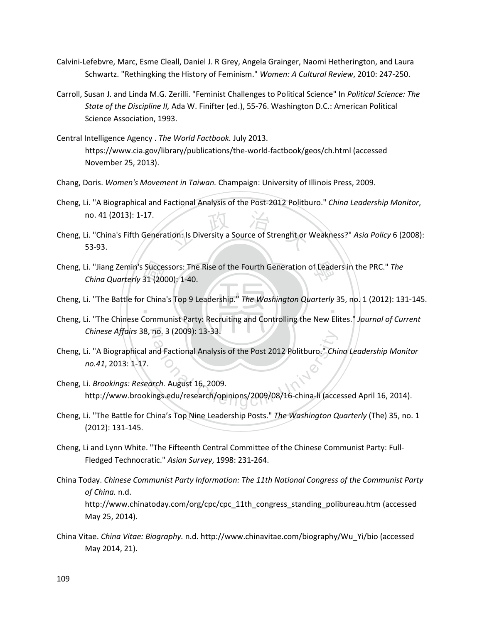- Calvini-Lefebvre, Marc, Esme Cleall, Daniel J. R Grey, Angela Grainger, Naomi Hetherington, and Laura Schwartz. "Rethingking the History of Feminism." *Women: A Cultural Review*, 2010: 247-250.
- Carroll, Susan J. and Linda M.G. Zerilli. "Feminist Challenges to Political Science" In *Political Science: The State of the Discipline II,* Ada W. Finifter (ed.), 55-76. Washington D.C.: American Political Science Association, 1993.
- Central Intelligence Agency . *The World Factbook.* July 2013. https://www.cia.gov/library/publications/the-world-factbook/geos/ch.html (accessed November 25, 2013).
- Chang, Doris. *Women's Movement in Taiwan.* Champaign: University of Illinois Press, 2009.
- Cheng, Li. "A Biographical and Factional Analysis of the Post-2012 Politburo." *China Leadership Monitor*, no. 41 (2013): 1-17.
- tion: Is Diversity a Source of Strenght or Cheng, Li. "China's Fifth Generation: Is Diversity a Source of Strenght or Weakness?" *Asia Policy* 6 (2008): 53-93.
- Succes<br>31 (200<br>Commu 學 Cheng, Li. "Jiang Zemin's Successors: The Rise of the Fourth Generation of Leaders in the PRC." *The China Quarterly* 31 (2000): 1-40.
- $\frac{1}{\sqrt{2}}$ Cheng, Li. "The Battle for China's Top 9 Leadership." *The Washington Quarterly* 35, no. 1 (2012): 131-145.
- N *Chinese Affairs* 38, no. 3 (2009): 13-33. Cheng, Li. "The Chinese Communist Party: Recruiting and Controlling the New Elites." *Journal of Current*
- no. 3 (2009): 13-33.<br>And Factional Analysis of the Post 2012 Politburo." Chin<br>Arch. August 16, 2009.<br>Angs.edu/research/opinions/2009/08/16-china-li (acce Cheng, Li. "A Biographical and Factional Analysis of the Post 2012 Politburo." *China Leadership Monitor no.41*, 2013: 1-17.
- Cheng, Li. *Brookings: Research.* August 16, 2009. http://www.brookings.edu/research/opinions/2009/08/16-china-li (accessed April 16, 2014).
- Cheng, Li. "The Battle for China's Top Nine Leadership Posts." *The Washington Quarterly* (The) 35, no. 1 (2012): 131-145.
- Cheng, Li and Lynn White. "The Fifteenth Central Committee of the Chinese Communist Party: Full-Fledged Technocratic." *Asian Survey*, 1998: 231-264.
- China Today. *Chinese Communist Party Information: The 11th National Congress of the Communist Party of China.* n.d. http://www.chinatoday.com/org/cpc/cpc\_11th\_congress\_standing\_polibureau.htm (accessed May 25, 2014).
- China Vitae. *China Vitae: Biography.* n.d. http://www.chinavitae.com/biography/Wu\_Yi/bio (accessed May 2014, 21).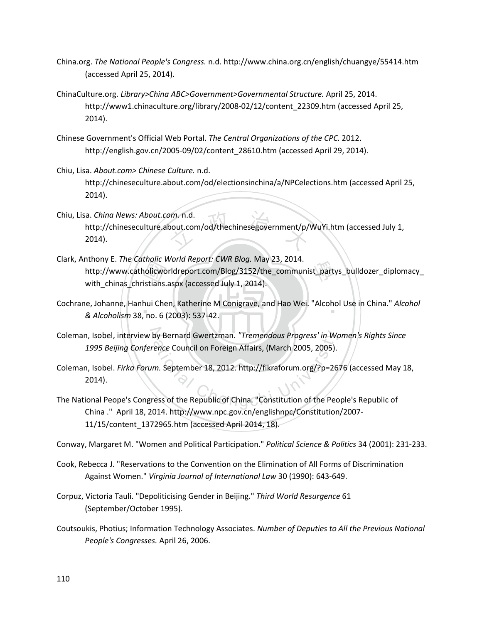- China.org. *The National People's Congress.* n.d. http://www.china.org.cn/english/chuangye/55414.htm (accessed April 25, 2014).
- ChinaCulture.org. *Library>China ABC>Government>Governmental Structure.* April 25, 2014. http://www1.chinaculture.org/library/2008-02/12/content\_22309.htm (accessed April 25, 2014).
- Chinese Government's Official Web Portal. *The Central Organizations of the CPC.* 2012. http://english.gov.cn/2005-09/02/content\_28610.htm (accessed April 29, 2014).
- Chiu, Lisa. *About.com> Chinese Culture.* n.d. http://chineseculture.about.com/od/electionsinchina/a/NPCelections.htm (accessed April 25, 2014).
- bout.com/od/thechinesegovernment/p/<br>
Nout.com/od/thechinesegovernment/p/ Chiu, Lisa. *China News: About.com.* n.d. http://chineseculture.about.com/od/thechinesegovernment/p/WuYi.htm (accessed July 1, 2014).
- molicworldreport.com/Blog/3152/the\_communist\_party<br>holicworldreport.com/Blog/3152/the\_communist\_party<br>istians.aspx (accessed July 1, 2014).<br>hui Chen, Katherine M Conigrave, and Hao Wei. "Alcoho Clark, Anthony E. *The Catholic World Report: CWR Blog.* May 23, 2014. http://www.catholicworldreport.com/Blog/3152/the\_communist\_partys\_bulldozer\_diplomacy\_ with\_chinas\_christians.aspx (accessed July 1, 2014).
- ‧*& Alcoholism* 38, no. 6 (2003): 537-42. Cochrane, Johanne, Hanhui Chen, Katherine M Conigrave, and Hao Wei. "Alcohol Use in China." *Alcohol* **Carlo China**
- Coleman, Isobel, interview by Bernard Gwertzman. "Tremendous Progress' in Women's Rights Since *1995 Beijing Conference* Council on Foreign Affairs, (March 2005, 2005).
- by Bernard Gwertzman. "Tremendous Progress' in Workence Council on Foreign Affairs, (March 2005, 2005).<br>
2005).<br>
2012.http://fikraforum.org/?p=26<br>
2013.http://fikraforum.org/?p=26<br>
2013.http://fikraforum.org/?p=26<br>
2014.ht Coleman, Isobel. *Firka Forum.* September 18, 2012. http://fikraforum.org/?p=2676 (accessed May 18, 2014).
- The National Peope's Congress of the Republic of China. "Constitution of the People's Republic of China ." April 18, 2014. http://www.npc.gov.cn/englishnpc/Constitution/2007- 11/15/content\_1372965.htm (accessed April 2014, 18).
- Conway, Margaret M. "Women and Political Participation." *Political Science & Politics* 34 (2001): 231-233.
- Cook, Rebecca J. "Reservations to the Convention on the Elimination of All Forms of Discrimination Against Women." *Virginia Journal of International Law* 30 (1990): 643-649.
- Corpuz, Victoria Tauli. "Depoliticising Gender in Beijing." *Third World Resurgence* 61 (September/October 1995).
- Coutsoukis, Photius; Information Technology Associates. *Number of Deputies to All the Previous National People's Congresses.* April 26, 2006.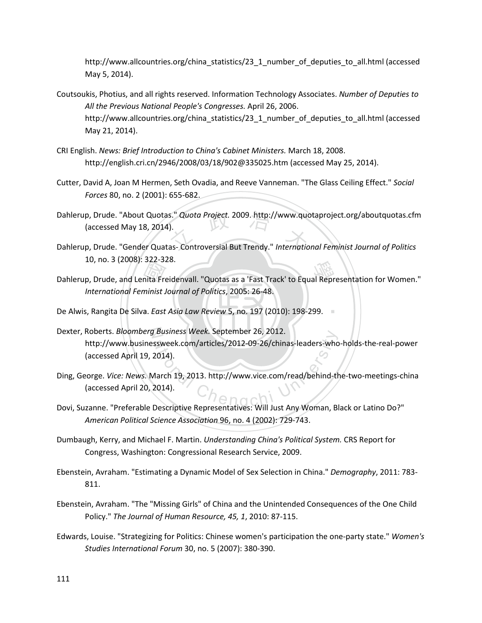http://www.allcountries.org/china\_statistics/23\_1\_number\_of\_deputies\_to\_all.html (accessed May 5, 2014).

- Coutsoukis, Photius, and all rights reserved. Information Technology Associates. *Number of Deputies to All the Previous National People's Congresses.* April 26, 2006. http://www.allcountries.org/china\_statistics/23\_1\_number\_of\_deputies\_to\_all.html (accessed May 21, 2014).
- CRI English. *News: Brief Introduction to China's Cabinet Ministers.* March 18, 2008. http://english.cri.cn/2946/2008/03/18/902@335025.htm (accessed May 25, 2014).
- Cutter, David A, Joan M Hermen, Seth Ovadia, and Reeve Vanneman. "The Glass Ceiling Effect." *Social Forces* 80, no. 2 (2001): 655-682.
- Dahlerup, Drude. "About Quotas." *Quota Project.* 2009. http://www.quotaproject.org/aboutquotas.cfm<br>(accessed May 18, 2014).<br>Dahlerup, Drude. "Gender Quatas- Controversial But Trendy." *International Feminist Journal of Po* (accessed May 18, 2014).
- Dahlerup, Drude. "Gender Quatas- Controversial But Trendy." *International Feminist Journal of Politics* 10, no. 3 (2008): 322-328.
- ID, NO. 3 (2008): 322-328.<br>
Dahlerup, Drude, and Lenita Freidenvall. "Quotas as a 'Fast Track' to Equal Representation for Women."<br>
International Feminist Journal of Politics, 2005: 26-48.<br>
De Alwis, Rangita De Silva. *Eas International Feminist Journal of Politics*, 2005: 26-48.
- **De Alwis, Rangita De Silva.** *East Asia Law Review* **5, no. 197 (2010): 198-299.**
- N Dexter, Roberts. *Bloomberg Business Week.* September 26, 2012. Business week. September 26, 2012.<br>SSweek.com/articles/2012-09-26/chinas-leaders-who<br>2014).<br>Aarch 19, 2013. http://www.vice.com/read/behind-tr<br>2014).<br>Descriptive Representatives: Will Just Any Woman. Bl http://www.businessweek.com/articles/2012-09-26/chinas-leaders-who-holds-the-real-power (accessed April 19, 2014).
- Ding, George. *Vice: News.* March 19, 2013. http://www.vice.com/read/behind-the-two-meetings-china (accessed April 20, 2014).
- Dovi, Suzanne. "Preferable Descriptive Representatives: Will Just Any Woman, Black or Latino Do?" *American Political Science Association* 96, no. 4 (2002): 729-743.
- Dumbaugh, Kerry, and Michael F. Martin. *Understanding China's Political System.* CRS Report for Congress, Washington: Congressional Research Service, 2009.
- Ebenstein, Avraham. "Estimating a Dynamic Model of Sex Selection in China." *Demography*, 2011: 783- 811.
- Ebenstein, Avraham. "The "Missing Girls" of China and the Unintended Consequences of the One Child Policy." *The Journal of Human Resource, 45, 1*, 2010: 87-115.
- Edwards, Louise. "Strategizing for Politics: Chinese women's participation the one-party state." *Women's Studies International Forum* 30, no. 5 (2007): 380-390.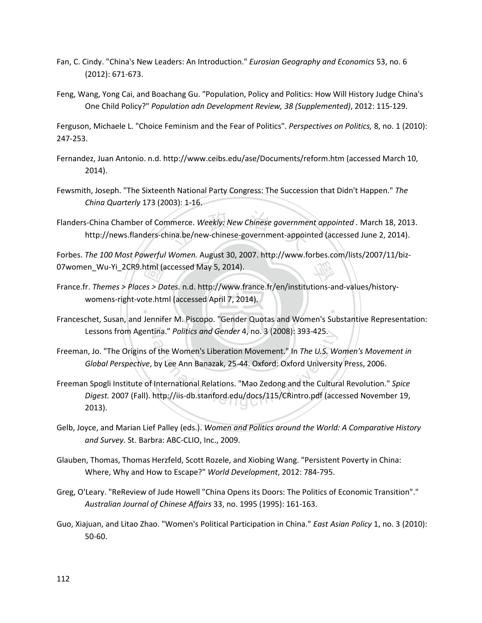- Fan, C. Cindy. "China's New Leaders: An Introduction." *Eurosian Geography and Economics* 53, no. 6 (2012): 671-673.
- Feng, Wang, Yong Cai, and Boachang Gu. "Population, Policy and Politics: How Will History Judge China's One Child Policy?" *Population adn Development Review, 38 (Supplemented)*, 2012: 115-129.

Ferguson, Michaele L. "Choice Feminism and the Fear of Politics". *Perspectives on Politics,* 8, no. 1 (2010): 247-253.

- Fernandez, Juan Antonio. n.d. http://www.ceibs.edu/ase/Documents/reform.htm (accessed March 10, 2014).
- Fewsmith, Joseph. "The Sixteenth National Party Congress: The Succession that Didn't Happen." *The China Quarterly* 173 (2003): 1-16.
- nmerce. Weekly: New Chinese governmer<br>ina.be/new-chinese-government-appoir Flanders-China Chamber of Commerce. *Weekly: New Chinese government appointed .* March 18, 2013. http://news.flanders-china.be/new-chinese-government-appointed (accessed June 2, 2014).

學 Forbes. *The 100 Most Powerful Women.* August 30, 2007. http://www.forbes.com/lists/2007/11/biz-

- 07women\_Wu-Yi\_2CR9.html (accessed May 5, 2014).<br>
France.fr. Themes > Places > Dates. n.d. http://www.f<br>
womens-right-vote.html (accessed April 7, 20<br>
Franceschet. Susan. and Jennifer M. Piscopo. "Gende ‧ France.fr. *Themes > Places > Dates.* n.d. http://www.france.fr/en/institutions-and-values/historywomens-right-vote.html (accessed April 7, 2014).
- Lessons from Agentina." *Politics and Gender* 4, no. 3 (2008): 393-425. Franceschet, Susan, and Jennifer M. Piscopo. "Gender Quotas and Women's Substantive Representation:
- Freeman, Jo. "The Origins of the Women's Liberation Movement." In *The U.S. Women's Movement in Global Perspective*, by Lee Ann Banazak, 25-44. Oxford: Oxford University Press, 2006.
- Ina." Politics and Gender 4, no. 3 (2008): 393-425.<br>
f the Women's Liberation Movement." In *The U.S. Were Ann Banazak, 25-44. Oxford: Oxford University*<br>
International Relations. "Mao Zedong and the Cultura<br>
http://iis-db Freeman Spogli Institute of International Relations. "Mao Zedong and the Cultural Revolution." *Spice Digest.* 2007 (Fall). http://iis-db.stanford.edu/docs/115/CRintro.pdf (accessed November 19, 2013).
- Gelb, Joyce, and Marian Lief Palley (eds.). *Women and Politics around the World: A Comparative History and Survey.* St. Barbra: ABC-CLIO, Inc., 2009.
- Glauben, Thomas, Thomas Herzfeld, Scott Rozele, and Xiobing Wang. "Persistent Poverty in China: Where, Why and How to Escape?" *World Development*, 2012: 784-795.
- Greg, O'Leary. "ReReview of Jude Howell "China Opens its Doors: The Politics of Economic Transition"." *Australian Journal of Chinese Affairs* 33, no. 1995 (1995): 161-163.
- Guo, Xiajuan, and Litao Zhao. "Women's Political Participation in China." *East Asian Policy* 1, no. 3 (2010): 50-60.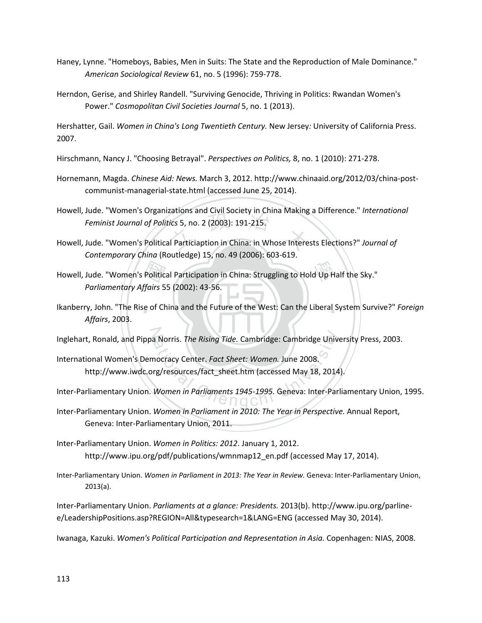- Haney, Lynne. "Homeboys, Babies, Men in Suits: The State and the Reproduction of Male Dominance." *American Sociological Review* 61, no. 5 (1996): 759-778.
- Herndon, Gerise, and Shirley Randell. "Surviving Genocide, Thriving in Politics: Rwandan Women's Power." *Cosmopolitan Civil Societies Journal* 5, no. 1 (2013).

Hershatter, Gail. *Women in China's Long Twentieth Century.* New Jersey*:* University of California Press. 2007.

- Hirschmann, Nancy J. "Choosing Betrayal". *Perspectives on Politics,* 8, no. 1 (2010): 271-278.
- Hornemann, Magda. *Chinese Aid: News.* March 3, 2012. http://www.chinaaid.org/2012/03/china-postcommunist-managerial-state.html (accessed June 25, 2014).
- Howell, Jude. Women's Organizations and Civil Society in China Making a Difference. *Internation*<br>Feminist Journal of Politics 5, no. 2 (2003): 191-215.<br>Howell, Jude. "Women's Political Particiaption in China: in Whose Int Howell, Jude. "Women's Organizations and Civil Society in China Making a Difference." *International Feminist Journal of Politics* 5, no. 2 (2003): 191-215.
- *Contemporary China* (Routledge) 15, no. 49 (2006): 603-619.
- Howell, Jude. "Women's Political Participation in China: Struggling to Hold Up Half the Sky."<br>
Parliamentary Affairs 55 (2002): 43-56.<br>
Ikanberry, John. "The Rise of China and the Future of the West: Can the Liberal System *Parliamentary Affairs* 55 (2002): 43-56.
- Ikanberry, John. "The Rise of China and the Future of the West: Can the Liberal System Survive?" *Foreign Affairs*, 2003.
- 
- Inglehart, Ronald, and Pippa Norris. *The Rising Tide.* Cambridge: Cambridge University Press, 2003.<br>
International Women's Democracy Center. *Fact Sheet: Women.* June 2008.<br>
http://www.iwdc.org/resources/fact\_sheet.htm (a International Women's Democracy Center. *Fact Sheet: Women.* June 2008. http://www.iwdc.org/resources/fact\_sheet.htm (accessed May 18, 2014).
- Inter-Parliamentary Union. *Women in Parliaments 1945-1995.* Geneva: Inter-Parliamentary Union, 1995.
- Inter-Parliamentary Union. *Women in Parliament in 2010: The Year in Perspective.* Annual Report, Geneva: Inter-Parliamentary Union, 2011.
- Inter-Parliamentary Union. *Women in Politics: 2012*. January 1, 2012. http://www.ipu.org/pdf/publications/wmnmap12\_en.pdf (accessed May 17, 2014).
- Inter-Parliamentary Union. *Women in Parliament in 2013: The Year in Review.* Geneva: Inter-Parliamentary Union, 2013(a).

Inter-Parliamentary Union. *Parliaments at a glance: Presidents.* 2013(b). http://www.ipu.org/parlinee/LeadershipPositions.asp?REGION=All&typesearch=1&LANG=ENG (accessed May 30, 2014).

Iwanaga, Kazuki. *Women's Political Participation and Representation in Asia.* Copenhagen: NIAS, 2008.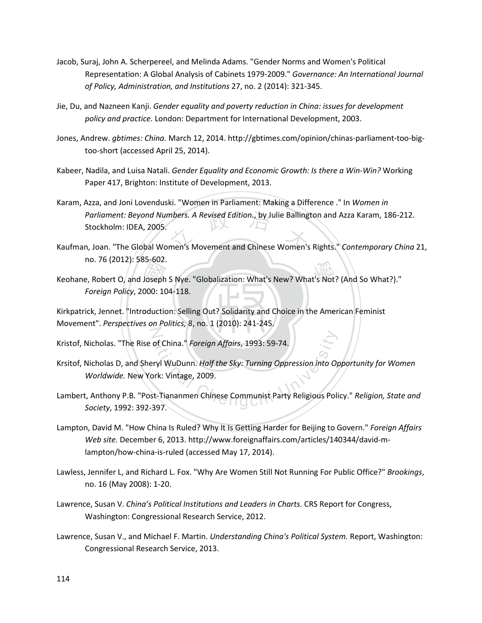- Jacob, Suraj, John A. Scherpereel, and Melinda Adams. "Gender Norms and Women's Political Representation: A Global Analysis of Cabinets 1979-2009." *Governance: An International Journal of Policy, Administration, and Institutions* 27, no. 2 (2014): 321-345.
- Jie, Du, and Nazneen Kanji. *Gender equality and poverty reduction in China: issues for development policy and practice.* London: Department for International Development, 2003.
- Jones, Andrew. *gbtimes: China.* March 12, 2014. http://gbtimes.com/opinion/chinas-parliament-too-bigtoo-short (accessed April 25, 2014).
- Kabeer, Nadila, and Luisa Natali. *Gender Equality and Economic Growth: Is there a Win-Win?* Working Paper 417, Brighton: Institute of Development, 2013.
- Parliament: Beyond Numbers. A Revised Edition., by Julie Ballington and Azza Karam, 186-212.<br>Stockholm: IDEA, 2005.<br>Kaufman, Joan. "The Global Women's Movement and Chinese Women's Rights." *Contemporary China* 21, Karam, Azza, and Joni Lovenduski. "Women in Parliament: Making a Difference ." In *Women in Parliament: Beyond Numbers. A Revised Edition.*, by Julie Ballington and Azza Karam, 186-212. Stockholm: IDEA, 2005.
- no. 76 (2012): 585-602.
- Ho. 76 (2012): 585-602.<br>
Keohane, Robert O, and Joseph S Nye. "Globalization: What's New? What's Not? (And So What?)."<br>
Foreign Policy, 2000: 104-118.<br>
Kirkpatrick, Jennet. "Introduction: Selling Out? Solidarity and Choice *Foreign Policy*, 2000: 104-118.

Kirkpatrick, Jennet. "Introduction: Selling Out? Solidarity and Choice in the American Feminist N Movement". *Perspectives on Politics,* 8, no. 1 (2010): 241-245.

- Kristof, Nicholas. "The Rise of China." *Foreign Affairs*, 1993: 59-74.
- of China." *Foreign Affairs,* 1993: 59-74.<br>ryl WuDunn. *Half the Sky: Turning Oppression into Op*<br>rk: Vintage, 2009.<br>t-Tiananmen Chinese Communist Party Religious Poli<br>397 Krsitof, Nicholas D, and Sheryl WuDunn. *Half the Sky: Turning Oppression into Opportunity for Women Worldwide.* New York: Vintage, 2009.
- Lambert, Anthony P.B. "Post-Tiananmen Chinese Communist Party Religious Policy." *Religion, State and Society*, 1992: 392-397.
- Lampton, David M. "How China Is Ruled? Why It Is Getting Harder for Beijing to Govern." *Foreign Affairs Web site.* December 6, 2013. http://www.foreignaffairs.com/articles/140344/david-mlampton/how-china-is-ruled (accessed May 17, 2014).
- Lawless, Jennifer L, and Richard L. Fox. "Why Are Women Still Not Running For Public Office?" *Brookings*, no. 16 (May 2008): 1-20.
- Lawrence, Susan V. *China's Political Institutions and Leaders in Charts.* CRS Report for Congress, Washington: Congressional Research Service, 2012.
- Lawrence, Susan V., and Michael F. Martin. *Understanding China's Political System.* Report, Washington: Congressional Research Service, 2013.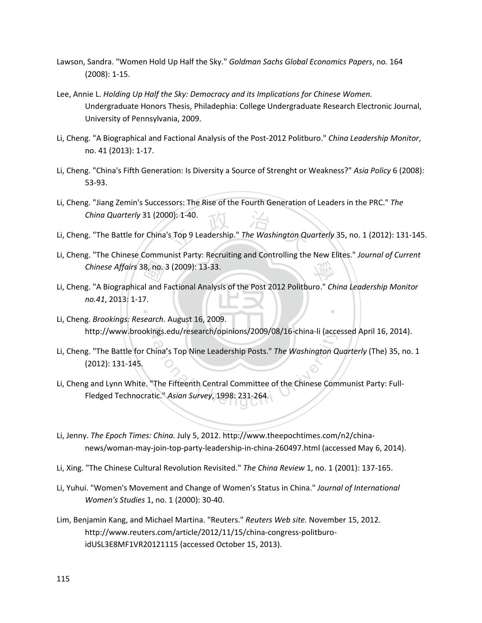- Lawson, Sandra. "Women Hold Up Half the Sky." *Goldman Sachs Global Economics Papers*, no. 164 (2008): 1-15.
- Lee, Annie L. *Holding Up Half the Sky: Democracy and its Implications for Chinese Women.* Undergraduate Honors Thesis, Philadephia: College Undergraduate Research Electronic Journal, University of Pennsylvania, 2009.
- Li, Cheng. "A Biographical and Factional Analysis of the Post-2012 Politburo." *China Leadership Monitor*, no. 41 (2013): 1-17.
- Li, Cheng. "China's Fifth Generation: Is Diversity a Source of Strenght or Weakness?" *Asia Policy* 6 (2008): 53-93.
- 0): 1-40.<br>s Top 9 Leadership." *The Washington Qu* Li, Cheng. "Jiang Zemin's Successors: The Rise of the Fourth Generation of Leaders in the PRC." *The China Quarterly* 31 (2000): 1-40.
- Li, Cheng. "The Battle for China's Top 9 Leadership." *The Washington Quarterly* 35, no. 1 (2012): 131-145.
- 學 Li, Cheng. "The Chinese Communist Party: Recruiting and Controlling the New Elites." *Journal of Current*
- Chinese Affairs 38, no. 3 (2009): 13-33.<br>g. "A Biographical and Factional Analys<br>no.41, 2013: 1-17.<br>g. *Brookinas: Research.* August 16. 200 ‧ Li, Cheng. "A Biographical and Factional Analysis of the Post 2012 Politburo." *China Leadership Monitor no.41*, 2013: 1-17.
- N http://www.brookings.edu/research/opinions/2009/08/16-china-li (accessed April 16, 2014). Li, Cheng. *Brookings: Research.* August 16, 2009.
- ngs.eau/research/opinions/2009/08/16-china-li (acce<br>hina's Top Nine Leadership Posts." *The Washington Q*<br>The Fifteenth Central Committee of the Chinese Com<br>ic." *Asian Survey,* 1998: 231-264. Li, Cheng. "The Battle for China's Top Nine Leadership Posts." *The Washington Quarterly* (The) 35, no. 1 (2012): 131-145.
- Li, Cheng and Lynn White. "The Fifteenth Central Committee of the Chinese Communist Party: Full-Fledged Technocratic." *Asian Survey*, 1998: 231-264.
- Li, Jenny. *The Epoch Times: China.* July 5, 2012. http://www.theepochtimes.com/n2/chinanews/woman-may-join-top-party-leadership-in-china-260497.html (accessed May 6, 2014).
- Li, Xing. "The Chinese Cultural Revolution Revisited." *The China Review* 1, no. 1 (2001): 137-165.
- Li, Yuhui. "Women's Movement and Change of Women's Status in China." *Journal of International Women's Studies* 1, no. 1 (2000): 30-40.
- Lim, Benjamin Kang, and Michael Martina. "Reuters." *Reuters Web site.* November 15, 2012. http://www.reuters.com/article/2012/11/15/china-congress-politburoidUSL3E8MF1VR20121115 (accessed October 15, 2013).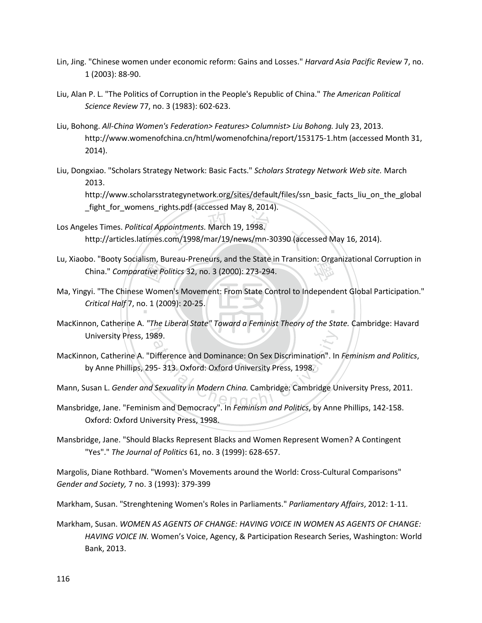- Lin, Jing. "Chinese women under economic reform: Gains and Losses." *Harvard Asia Pacific Review* 7, no. 1 (2003): 88-90.
- Liu, Alan P. L. "The Politics of Corruption in the People's Republic of China." *The American Political Science Review* 77, no. 3 (1983): 602-623.
- Liu, Bohong. *All-China Women's Federation> Features> Columnist> Liu Bohong.* July 23, 2013. http://www.womenofchina.cn/html/womenofchina/report/153175-1.htm (accessed Month 31, 2014).
- Liu, Dongxiao. "Scholars Strategy Network: Basic Facts." *Scholars Strategy Network Web site.* March 2013.

http://www.scholarsstrategynetwork.org/sites/default/files/ssn\_basic\_facts\_liu\_on\_the\_global \_fight\_for\_womens\_rights.pdf (accessed May 8, 2014).

- ointments. March 19, 1998.<br>
om/1998/mar/19/news/mn-30390 (acce Los Angeles Times. *Political Appointments.* March 19, 1998. http://articles.latimes.com/1998/mar/19/news/mn-30390 (accessed May 16, 2014).
- Lu, Xiaobo. "Booty Socialism, Bureau-Preneurs, and the State in Transition: Organizational Corruption in<br>China." *Comparative Politics* 32, no. 3 (2000): 273-294. China." *Comparative Politics* 32, no. 3 (2000): 273-294.
- $\frac{1}{2}$ <br>Itive Pc<br>D. 1 (20 ‧ Ma, Yingyi. "The Chinese Women's Movement: From State Control to Independent Global Participation." *Critical Half* 7, no. 1 (2009): 20-25.
- University Press, 1989. MacKinnon, Catherine A. *"The Liberal State" Toward a Feminist Theory of the State.* Cambridge: Havard
- 89.<br>
Olifference and Dominance: On Sex Discrimination". In<br>
5- 313. Oxford: Oxford University Press, 1998.<br>
Sexuality in Modern China. Cambridge: Cambridge University Press, 1998. MacKinnon, Catherine A. "Difference and Dominance: On Sex Discrimination". In *Feminism and Politics*, by Anne Phillips, 295- 313. Oxford: Oxford University Press, 1998.
- Mann, Susan L. *Gender and Sexuality in Modern China.* Cambridge: Cambridge University Press, 2011.
- Mansbridge, Jane. "Feminism and Democracy". In *Feminism and Politics*, by Anne Phillips, 142-158. Oxford: Oxford University Press, 1998.
- Mansbridge, Jane. "Should Blacks Represent Blacks and Women Represent Women? A Contingent "Yes"." *The Journal of Politics* 61, no. 3 (1999): 628-657.

Margolis, Diane Rothbard. "Women's Movements around the World: Cross-Cultural Comparisons" *Gender and Society,* 7 no. 3 (1993): 379-399

Markham, Susan. "Strenghtening Women's Roles in Parliaments." *Parliamentary Affairs*, 2012: 1-11.

Markham, Susan. *WOMEN AS AGENTS OF CHANGE: HAVING VOICE IN WOMEN AS AGENTS OF CHANGE: HAVING VOICE IN.* Women's Voice, Agency, & Participation Research Series, Washington: World Bank, 2013.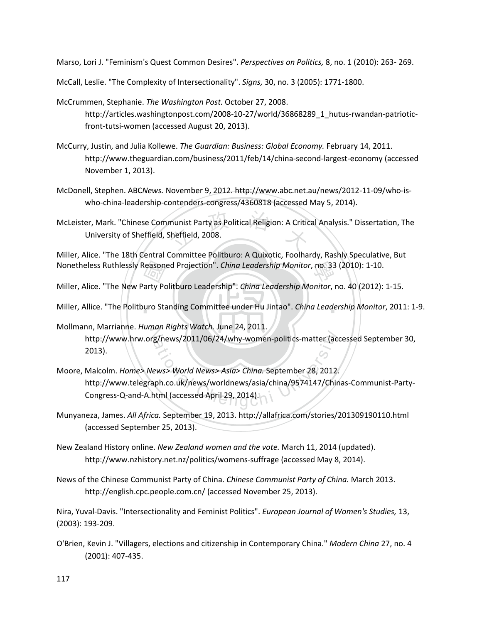Marso, Lori J. "Feminism's Quest Common Desires". *Perspectives on Politics,* 8, no. 1 (2010): 263- 269.

McCall, Leslie. "The Complexity of Intersectionality". *Signs,* 30, no. 3 (2005): 1771-1800.

- McCrummen, Stephanie. *The Washington Post.* October 27, 2008. http://articles.washingtonpost.com/2008-10-27/world/36868289\_1\_hutus-rwandan-patrioticfront-tutsi-women (accessed August 20, 2013).
- McCurry, Justin, and Julia Kollewe. *The Guardian: Business: Global Economy.* February 14, 2011. http://www.theguardian.com/business/2011/feb/14/china-second-largest-economy (accessed November 1, 2013).
- McDonell, Stephen. ABC*News.* November 9, 2012. http://www.abc.net.au/news/2012-11-09/who-iswho-china-leadership-contenders-congress/4360818 (accessed May 5, 2014).
- munist Party as Political Religion: A Critic<br>Sheffield, 2008. McLeister, Mark. "Chinese Communist Party as Political Religion: A Critical Analysis." Dissertation, The University of Sheffield, Sheffield, 2008.

Nonetheless Ruthlessly Reasoned Projection". *China Leadership Monitor*, no. 33 (2010): 1-10.<br>Miller, Alice. "The New Party Politburo Leadership". *China Leadership Monitor*, no. 40 (2012):<br>Miller, Allice. "The Politburo S Miller, Alice. "The 18th Central Committee Politburo: A Quixotic, Foolhardy, Rashly Speculative, But

Miller, Alice. "The New Party Politburo Leadership". *China Leadership Monitor*, no. 40 (2012): 1-15.

‧‧ Miller, Allice. "The Politburo Standing Committee under Hu Jintao". *China Leadership Monitor*, 2011: 1-9.

- Mollmann, Marrianne. *Human Rights Watch.* June 24, 2011. 2013).
- Inf, wiaritainie. *Human Kights Watch.* June 24, 2011.<br>http://www.hrw.org/news/2011/06/24/why-women-politics-matter (accessed September 30,<br>2013).<br>Malcolm. Home> News> World News> Asia> China. September 28, 2012.<br>http://ww Moore, Malcolm. *Home> News> World News> Asia> China.* September 28, 2012. http://www.telegraph.co.uk/news/worldnews/asia/china/9574147/Chinas-Communist-Party-Congress-Q-and-A.html (accessed April 29, 2014).
- Munyaneza, James. *All Africa.* September 19, 2013. http://allafrica.com/stories/201309190110.html (accessed September 25, 2013).
- New Zealand History online. *New Zealand women and the vote.* March 11, 2014 (updated). http://www.nzhistory.net.nz/politics/womens-suffrage (accessed May 8, 2014).
- News of the Chinese Communist Party of China. *Chinese Communist Party of China.* March 2013. http://english.cpc.people.com.cn/ (accessed November 25, 2013).

Nira, Yuval-Davis. "Intersectionality and Feminist Politics". *European Journal of Women's Studies,* 13, (2003): 193-209.

O'Brien, Kevin J. "Villagers, elections and citizenship in Contemporary China." *Modern China* 27, no. 4 (2001): 407-435.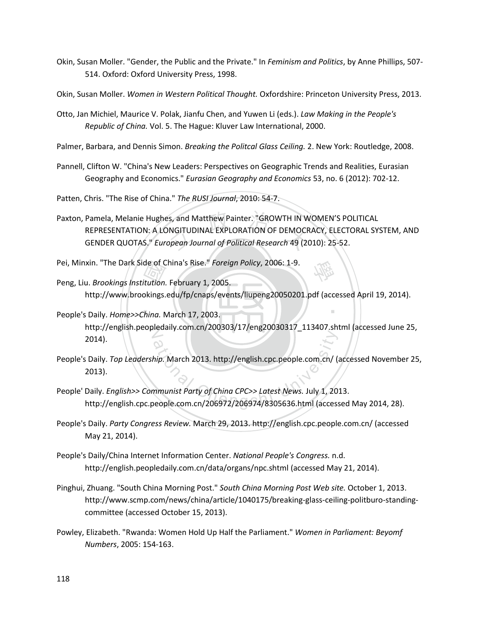- Okin, Susan Moller. "Gender, the Public and the Private." In *Feminism and Politics*, by Anne Phillips, 507- 514. Oxford: Oxford University Press, 1998.
- Okin, Susan Moller. *Women in Western Political Thought.* Oxfordshire: Princeton University Press, 2013.
- Otto, Jan Michiel, Maurice V. Polak, Jianfu Chen, and Yuwen Li (eds.). *Law Making in the People's Republic of China.* Vol. 5. The Hague: Kluver Law International, 2000.
- Palmer, Barbara, and Dennis Simon. *Breaking the Politcal Glass Ceiling.* 2. New York: Routledge, 2008.
- Pannell, Clifton W. "China's New Leaders: Perspectives on Geographic Trends and Realities, Eurasian Geography and Economics." *Eurasian Geography and Economics* 53, no. 6 (2012): 702-12.
- Patten, Chris. "The Rise of China." *The RUSI Journal*, 2010: 54-7.
- Pamela, Melanie Hughes, and Matthew Painter. "GROWTH IN WOMEN'S PO<br>REPRESENTATION: A LONGITUDINAL EXPLORATION OF DEMOCRACY, ELECT<br>GENDER QUOTAS." *European Journal of Political Research* 49 (2010): 25-52. Paxton, Pamela, Melanie Hughes, and Matthew Painter. "GROWTH IN WOMEN'S POLITICAL REPRESENTATION: A LONGITUDINAL EXPLORATION OF DEMOCRACY, ELECTORAL SYSTEM, AND
- Pei, Minxin. "The Dark Side of China's Rise." *Foreign Policy*, 2006: 1-9.
- de of C<br>itution.<br>pkings.<br><mark>:hina.</mark> N 學 Peng, Liu. *Brookings Institution.* February 1, 2005. http://www.brookings.edu/fp/cnaps/events/liupeng20050201.pdf (accessed April 19, 2014).
- ‧People's Daily. *Home>>China.* March 17, 2003. ‧ N http://english.peopledaily.com.cn/200303/17/eng20030317\_113407.shtml (accessed June 25, 2014).
- hip. March 2013. http://english.cpc.people.com.cn/ (a<br>http://english.cpc.people.com.cn/ (a<br>http://english.cpc.people.com.cn/ 2009<br>eople.com.cn/206972/206974/8305636.html (access People's Daily. *Top Leadership.* March 2013. http://english.cpc.people.com.cn/ (accessed November 25, 2013).
- People' Daily. *English>> Communist Party of China CPC>> Latest News.* July 1, 2013. http://english.cpc.people.com.cn/206972/206974/8305636.html (accessed May 2014, 28).
- People's Daily. *Party Congress Review.* March 29, 2013. http://english.cpc.people.com.cn/ (accessed May 21, 2014).
- People's Daily/China Internet Information Center. *National People's Congress.* n.d. http://english.peopledaily.com.cn/data/organs/npc.shtml (accessed May 21, 2014).
- Pinghui, Zhuang. "South China Morning Post." *South China Morning Post Web site.* October 1, 2013. http://www.scmp.com/news/china/article/1040175/breaking-glass-ceiling-politburo-standingcommittee (accessed October 15, 2013).
- Powley, Elizabeth. "Rwanda: Women Hold Up Half the Parliament." *Women in Parliament: Beyomf Numbers*, 2005: 154-163.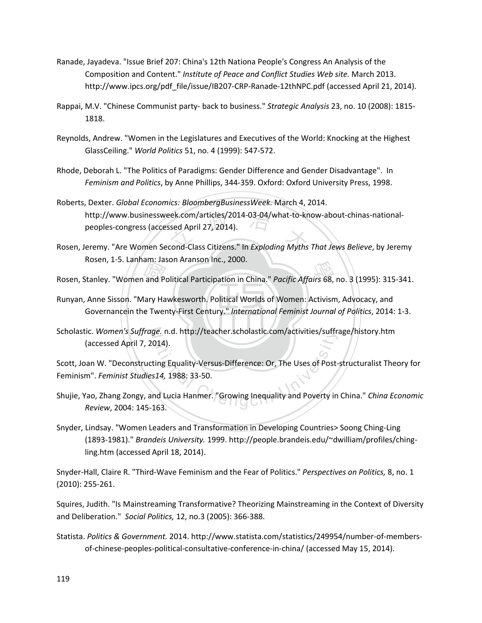- Ranade, Jayadeva. "Issue Brief 207: China's 12th Nationa People's Congress An Analysis of the Composition and Content." *Institute of Peace and Conflict Studies Web site.* March 2013. http://www.ipcs.org/pdf\_file/issue/IB207-CRP-Ranade-12thNPC.pdf (accessed April 21, 2014).
- Rappai, M.V. "Chinese Communist party- back to business." *Strategic Analysis* 23, no. 10 (2008): 1815- 1818.
- Reynolds, Andrew. "Women in the Legislatures and Executives of the World: Knocking at the Highest GlassCeiling." *World Politics* 51, no. 4 (1999): 547-572.
- Rhode, Deborah L. "The Politics of Paradigms: Gender Difference and Gender Disadvantage". In *Feminism and Politics*, by Anne Phillips, 344-359. Oxford: Oxford University Press, 1998.
- http://www.businessweek.com/articles/2014-03-04/what-to-know-about-chinas-national-<br>peoples-congress (accessed April 27, 2014).<br>eremy. "Are Women Second-Class Citizens." In Exploding Myths That Jews Believe, by Jeren Roberts, Dexter. *Global Economics: BloombergBusinessWeek.* March 4, 2014. peoples-congress (accessed April 27, 2014).
- Rosen, Jeremy. "Are Women Second-Class Citizens." In *Exploding Myths That Jews Believe*, by Jeremy Rosen, 1-5. Lanham: Jason Aranson Inc., 2000.
- 
- ‧‧ Governancein the Twenty-First Century." *International Feminist Journal of Politics*, 2014: 1-3. Rosen, Stanley. "Women and Political Participation in China." *Pacific Affairs* 68, no. 3 (1995): 315-341.<br>Runyan, Anne Sisson. "Mary Hawkesworth. Political Worlds of Women: Activism, Advocacy, and<br>Governancein the Twenty-Runyan, Anne Sisson. "Mary Hawkesworth. Political Worlds of Women: Activism, Advocacy, and
- Scholastic. Women's Suffrage. n.d. http://teacher.scholastic.com/activities/suffrage/history.htm (accessed April 7, 2014).

ge. n.a. http://teacher.scholastic.com/activities/suffra<br>014).<br>ting Equality-Versus-Difference: Or, The Uses of Post-<br>514, 1988: 33-50.<br>nd Lucia Hanmer. "Growing Inequality and Poverty in<br>163. Scott, Joan W. "Deconstructing Equality-Versus-Difference: Or, The Uses of Post-structuralist Theory for Feminism". *Feminist Studies14,* 1988: 33-50.

- Shujie, Yao, Zhang Zongy, and Lucia Hanmer. "Growing Inequality and Poverty in China." *China Economic Review*, 2004: 145-163.
- Snyder, Lindsay. "Women Leaders and Transformation in Developing Countries> Soong Ching-Ling (1893-1981)." *Brandeis University.* 1999. http://people.brandeis.edu/~dwilliam/profiles/chingling.htm (accessed April 18, 2014).

Snyder-Hall, Claire R. "Third-Wave Feminism and the Fear of Politics." *Perspectives on Politics,* 8, no. 1 (2010): 255-261.

Squires, Judith. "Is Mainstreaming Transformative? Theorizing Mainstreaming in the Context of Diversity and Deliberation." *Social Politics,* 12, no.3 (2005): 366-388.

Statista. *Politics & Government.* 2014. http://www.statista.com/statistics/249954/number-of-membersof-chinese-peoples-political-consultative-conference-in-china/ (accessed May 15, 2014).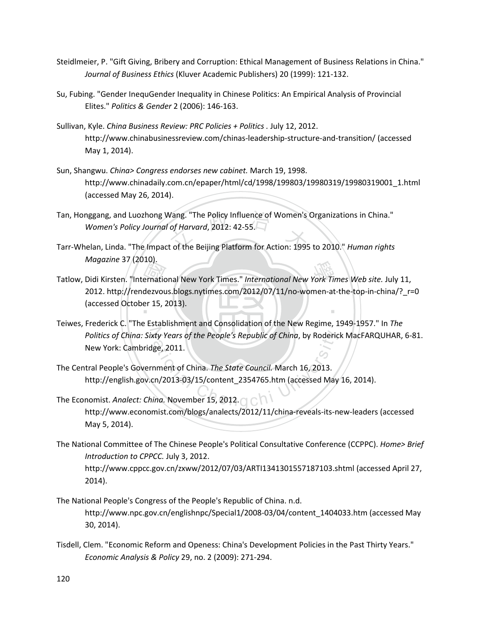- Steidlmeier, P. "Gift Giving, Bribery and Corruption: Ethical Management of Business Relations in China." *Journal of Business Ethics* (Kluver Academic Publishers) 20 (1999): 121-132.
- Su, Fubing. "Gender InequGender Inequality in Chinese Politics: An Empirical Analysis of Provincial Elites." *Politics & Gender* 2 (2006): 146-163.
- Sullivan, Kyle. *China Business Review: PRC Policies + Politics .* July 12, 2012. http://www.chinabusinessreview.com/chinas-leadership-structure-and-transition/ (accessed May 1, 2014).
- Sun, Shangwu. *China> Congress endorses new cabinet.* March 19, 1998. http://www.chinadaily.com.cn/epaper/html/cd/1998/199803/19980319/19980319001\_1.html (accessed May 26, 2014).
- Tan, Honggang, and Luozhong Wang. "The Policy Influence of Women's Organizations in China."<br>*Women's Policy Journal of Harvard*, 2012: 42-55.<br>Tarr-Whelan, Linda. "The Impact of the Beijing Platform for Action: 1995 to 2010 Tan, Honggang, and Luozhong Wang. "The Policy Influence of Women's Organizations in China." *Women's Policy Journal of Harvard*, 2012: 42-55.
- *Magazine* 37 (2010).
- Magazine 37 (2010).<br>
Tatlow, Didi Kirsten. "International New York Times." *International New York Times Web site.* July 11,<br>
2012. http://rendezvous.blogs.nytimes.com/2012/07/11/no-women-at-the-top-in-china/?\_r=<br>
(accesse ‧ 2012. http://rendezvous.blogs.nytimes.com/2012/07/11/no-women-at-the-top-in-china/?\_r=0 (accessed October 15, 2013).
- Politics of China: Sixty Years of the People's Republic of China, by Roderick MacFARQUHAR, 6-81.<br>
New York: Cambridge, 2011.<br>
tral People's Government of China. The State Council. March 16, 2013.<br>
http://english.gov.cn/201 Teiwes, Frederick C. "The Establishment and Consolidation of the New Regime, 1949-1957." In *The*  New York: Cambridge, 2011.
- The Central People's Government of China. *The State Council.* March 16, 2013. http://english.gov.cn/2013-03/15/content\_2354765.htm (accessed May 16, 2014).
- The Economist. *Analect: China.* November 15, 2012. **The Economist.** Analysis http://www.economist.com/blogs/analects/2012/11/china-reveals-its-new-leaders (accessed May 5, 2014).
- The National Committee of The Chinese People's Political Consultative Conference (CCPPC). *Home> Brief Introduction to CPPCC.* July 3, 2012. http://www.cppcc.gov.cn/zxww/2012/07/03/ARTI1341301557187103.shtml (accessed April 27, 2014).
- The National People's Congress of the People's Republic of China. n.d. http://www.npc.gov.cn/englishnpc/Special1/2008-03/04/content\_1404033.htm (accessed May 30, 2014).
- Tisdell, Clem. "Economic Reform and Openess: China's Development Policies in the Past Thirty Years." *Economic Analysis & Policy* 29, no. 2 (2009): 271-294.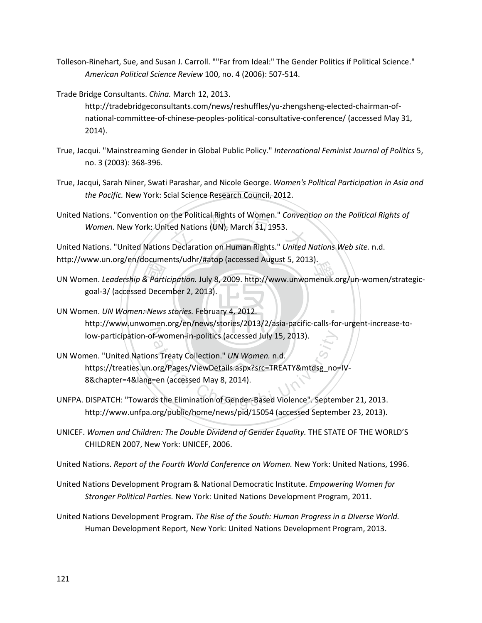- Tolleson-Rinehart, Sue, and Susan J. Carroll. ""Far from Ideal:" The Gender Politics if Political Science." *American Political Science Review* 100, no. 4 (2006): 507-514.
- Trade Bridge Consultants. *China.* March 12, 2013.

http://tradebridgeconsultants.com/news/reshuffles/yu-zhengsheng-elected-chairman-ofnational-committee-of-chinese-peoples-political-consultative-conference/ (accessed May 31, 2014).

- True, Jacqui. "Mainstreaming Gender in Global Public Policy." *International Feminist Journal of Politics* 5, no. 3 (2003): 368-396.
- True, Jacqui, Sarah Niner, Swati Parashar, and Nicole George. *Women's Political Participation in Asia and the Pacific.* New York: Scial Science Research Council, 2012.

United Nations. "Convention on the Political Rights of Women." *Convention on the Political Rights of Women.* New York: United Nations (UN), March 31, 1953.<br>United Nations. "United Nations Declaration on Human Rights." *Un Women.* New York: United Nations (UN), March 31, 1953.

United Nations. "United Nations Declaration on Human Rights." *United Nations Web site.* n.d. http://www.un.org/en/documents/udhr/#atop (accessed August 5, 2013).

- nttp://www.un.org/en/documents/udni/#atop (accessed August 5, 2013).<br>
UN Women. *Leadership & Participation.* July 8, 2009. http://www.unwomenuk.org/un-women/strategic-<br>
goal-3/ (accessed December 2, 2013).<br>
UN Women. *UN* goal-3/ (accessed December 2, 2013).
- ‧UN Women. *UN Women: News stories.* February 4, 2012. ‧ low-participation-of-women-in-politics (accessed July 15, 2013). http://www.unwomen.org/en/news/stories/2013/2/asia-pacific-calls-for-urgent-increase-to-
- F-women-in-politics (accessed July 15, 2013).<br>
In Treaty Collection." *UN Women.* n.d.<br>
Org/Pages/ViewDetails.aspx?src=TREATY&mtdsg\_no=<br>
The Chengchi University of Gender-Based Violence". Septem UN Women. "United Nations Treaty Collection." *UN Women.* n.d. https://treaties.un.org/Pages/ViewDetails.aspx?src=TREATY&mtdsg\_no=IV-8&chapter=4&lang=en (accessed May 8, 2014).
- UNFPA. DISPATCH: "Towards the Elimination of Gender-Based Violence". September 21, 2013. http://www.unfpa.org/public/home/news/pid/15054 (accessed September 23, 2013).
- UNICEF. *Women and Children: The Double Dividend of Gender Equality.* THE STATE OF THE WORLD'S CHILDREN 2007, New York: UNICEF, 2006.

United Nations. *Report of the Fourth World Conference on Women.* New York: United Nations, 1996.

- United Nations Development Program & National Democratic Institute. *Empowering Women for Stronger Political Parties.* New York: United Nations Development Program, 2011.
- United Nations Development Program. *The Rise of the South: Human Progress in a DIverse World.* Human Development Report, New York: United Nations Development Program, 2013.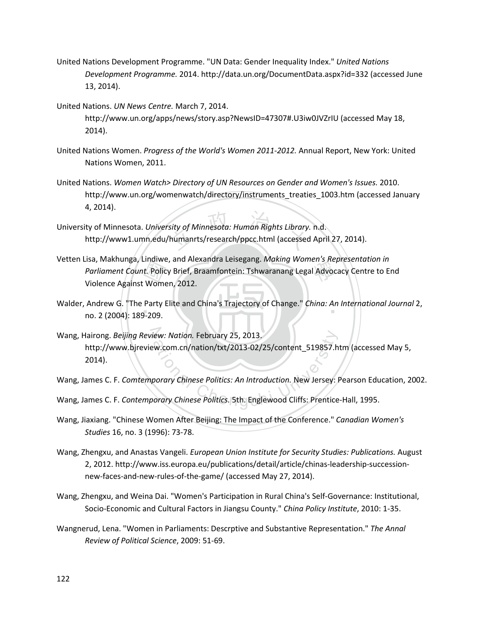- United Nations Development Programme. "UN Data: Gender Inequality Index." *United Nations Development Programme.* 2014. http://data.un.org/DocumentData.aspx?id=332 (accessed June 13, 2014).
- United Nations. *UN News Centre.* March 7, 2014. http://www.un.org/apps/news/story.asp?NewsID=47307#.U3iw0JVZrIU (accessed May 18, 2014).
- United Nations Women. *Progress of the World's Women 2011-2012.* Annual Report, New York: United Nations Women, 2011.
- United Nations. *Women Watch> Directory of UN Resources on Gender and Women's Issues.* 2010. http://www.un.org/womenwatch/directory/instruments\_treaties\_1003.htm (accessed January 4, 2014).
- sity of Minnesota: Human Rights Library.<br>humanrts/research/ppcc.html (accessed University of Minnesota. *University of Minnesota: Human Rights Library.* n.d. http://www1.umn.edu/humanrts/research/ppcc.html (accessed April 27, 2014).
- t. Polic<br>*t.* Polic<br>Mome<br>Party P<br>-209. en s ke<br>I Advod Vetten Lisa, Makhunga, Lindiwe, and Alexandra Leisegang. *Making Women's Representation in Parliament Count.* Policy Brief, Braamfontein: Tshwaranang Legal Advocacy Centre to End Violence Against Women, 2012.
- ‧no. 2 (2004): 189-209. Walder, Andrew G. "The Party Elite and China's Trajectory of Change." *China: An International Journal* 2, Walder
- N Wang, Hairong. *Beijing Review: Nation.* February 25, 2013. Wang, Hairong. *Beijing Review: Nation.* February 25, 2013.<br>
http://www.bjreview.com.cn/nation/txt/2013-02/25/content\_519857.htm (accesse<br>
2014).<br>
Wang, James C. F. *Contemporary Chinese Politics: An Introduction*. New Jer http://www.bjreview.com.cn/nation/txt/2013-02/25/content\_519857.htm (accessed May 5, 2014).
- Wang, James C. F. *Comtemporary Chinese Politics: An Introduction.* New Jersey: Pearson Education, 2002.
- 
- Wang, Jiaxiang. "Chinese Women After Beijing: The Impact of the Conference." *Canadian Women's Studies* 16, no. 3 (1996): 73-78.
- Wang, Zhengxu, and Anastas Vangeli. *European Union Institute for Security Studies: Publications.* August 2, 2012. http://www.iss.europa.eu/publications/detail/article/chinas-leadership-successionnew-faces-and-new-rules-of-the-game/ (accessed May 27, 2014).
- Wang, Zhengxu, and Weina Dai. "Women's Participation in Rural China's Self-Governance: Institutional, Socio-Economic and Cultural Factors in Jiangsu County." *China Policy Institute*, 2010: 1-35.
- Wangnerud, Lena. "Women in Parliaments: Descrptive and Substantive Representation." *The Annal Review of Political Science*, 2009: 51-69.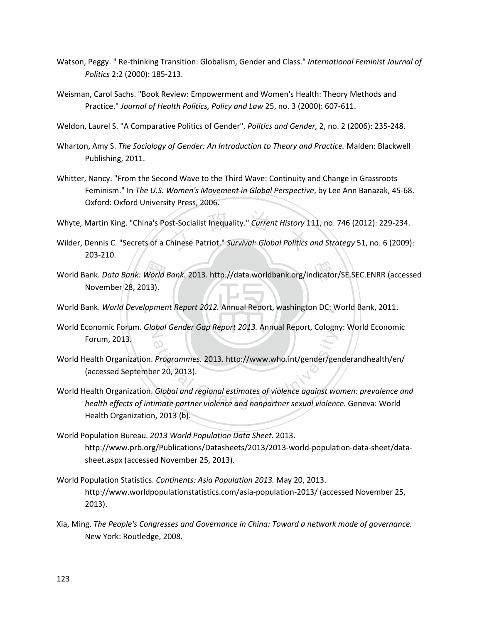- Watson, Peggy. " Re-thinking Transition: Globalism, Gender and Class." *International Feminist Journal of Politics* 2:2 (2000): 185-213.
- Weisman, Carol Sachs. "Book Review: Empowerment and Women's Health: Theory Methods and Practice." *Journal of Health Politics, Policy and Law* 25, no. 3 (2000): 607-611.
- Weldon, Laurel S. "A Comparative Politics of Gender". *Politics and Gender,* 2, no. 2 (2006): 235-248.
- Wharton, Amy S. *The Sociology of Gender: An Introduction to Theory and Practice.* Malden: Blackwell Publishing, 2011.
- Whitter, Nancy. "From the Second Wave to the Third Wave: Continuity and Change in Grassroots Feminism." In *The U.S. Women's Movement in Global Perspective*, by Lee Ann Banazak, 45-68. Oxford: Oxford University Press, 2006.
- Whyte, Martin King. "China's Post-Socialist Inequality." *Current History* 111, no. 746 (2012): 229-234.
- st-Socialist Inequality." Current History 1<br>Chinese Patriot." Survival: Global Politics Wilder, Dennis C. "Secrets of a Chinese Patriot." *Survival: Global Politics and Strategy* 51, no. 6 (2009): 203-210.
- World Bank. *Data Bank: World Bank.* 2013. http://data.worldbank.org/indicator/SE.SEC.ENRR (accessed<br>November 28, 2013).<br>World Bank. *World Development Report 2012.* Annual Report, washington DC: World Bank, 2011. November 28, 2013).
- World Bank. *World Development Report 2012.* Annual Report, washington DC: World Bank, 2011.
- N World Economic Forum. *Global Gender Gap Report 2013.* Annual Report, Cologny: World Economic Forum, 2013.
- World Health Organization. *Programmes.* 2013. http://www.who.int/gender/genderandhealth/en/ (accessed September 20, 2013).
- Programmes. 2013. http://www.who.int/gender/ger<br>er 20, 2013).<br>Global and regional estimates of violence against wo<br>imate partner violence and nonpartner sexual violence World Health Organization. *Global and regional estimates of violence against women: prevalence and health effects of intimate partner violence and nonpartner sexual violence.* Geneva: World Health Organization, 2013 (b).
- World Population Bureau. *2013 World Population Data Sheet.* 2013. http://www.prb.org/Publications/Datasheets/2013/2013-world-population-data-sheet/datasheet.aspx (accessed November 25, 2013).
- World Population Statistics. *Continents: Asia Population 2013.* May 20, 2013. http://www.worldpopulationstatistics.com/asia-population-2013/ (accessed November 25, 2013).
- Xia, Ming. *The People's Congresses and Governance in China: Toward a network mode of governance.* New York: Routledge, 2008.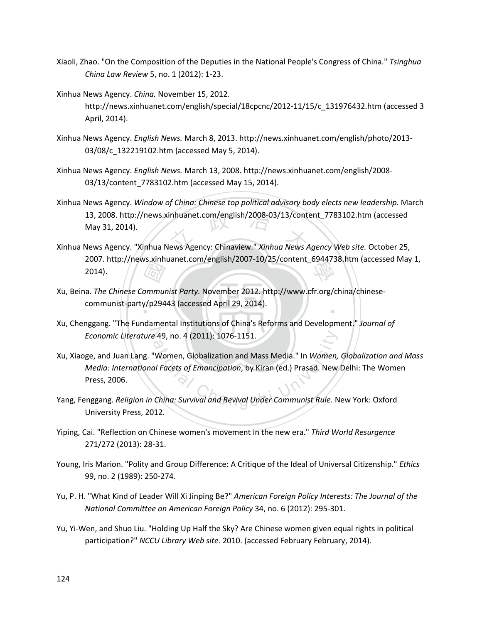- Xiaoli, Zhao. "On the Composition of the Deputies in the National People's Congress of China." *Tsinghua China Law Review* 5, no. 1 (2012): 1-23.
- Xinhua News Agency. *China.* November 15, 2012. http://news.xinhuanet.com/english/special/18cpcnc/2012-11/15/c\_131976432.htm (accessed 3 April, 2014).
- Xinhua News Agency. *English News.* March 8, 2013. http://news.xinhuanet.com/english/photo/2013- 03/08/c\_132219102.htm (accessed May 5, 2014).
- Xinhua News Agency. *English News.* March 13, 2008. http://news.xinhuanet.com/english/2008- 03/13/content\_7783102.htm (accessed May 15, 2014).
- 13, 2008. http://news.xinhuanet.com/english/2008-03/13/content\_7783102.htm (accessed<br>May 31, 2014).<br>Xinhua News Agency: Web site. October 25, Xinhua News Agency. *Window of China: Chinese top political advisory body elects new leadership.* March 13, 2008. http://news.xinhuanet.com/english/2008-03/13/content\_7783102.htm (accessed May 31, 2014).
- 2007. http://news.xinhuanet.com/english/2007-10/25/content\_6944738.htm (accessed May 1,<br>2014). 2014).
- 國 ‧ Xu, Beina. *The Chinese Communist Party.* November 2012. http://www.cfr.org/china/chinesecommunist-party/p29443 (accessed April 29, 2014).
- N *Economic Literature* 49, no. 4 (2011): 1076-1151. Xu, Chenggang. "The Fundamental Institutions of China's Reforms and Development." *Journal of*
- Economic Literature 49, no. 4 (2011): 1076-1151.<br>Xu, Xiaoge, and Juan Lang. "Women, Globalization and Mass Media." In *Women, Globalization and Media: International Facets of Emancipation*, by Kiran (ed.) Prasad. New Delhi Xu, Xiaoge, and Juan Lang. "Women, Globalization and Mass Media." In *Women, Globalization and Mass Media: International Facets of Emancipation*, by Kiran (ed.) Prasad. New Delhi: The Women Press, 2006.
- University Press, 2012.
- Yiping, Cai. "Reflection on Chinese women's movement in the new era." *Third World Resurgence* 271/272 (2013): 28-31.
- Young, Iris Marion. "Polity and Group Difference: A Critique of the Ideal of Universal Citizenship." *Ethics* 99, no. 2 (1989): 250-274.
- Yu, P. H. "What Kind of Leader Will Xi Jinping Be?" *American Foreign Policy Interests: The Journal of the National Committee on American Foreign Policy* 34, no. 6 (2012): 295-301.
- Yu, Yi-Wen, and Shuo Liu. "Holding Up Half the Sky? Are Chinese women given equal rights in political participation?" *NCCU Library Web site.* 2010. (accessed February February, 2014).